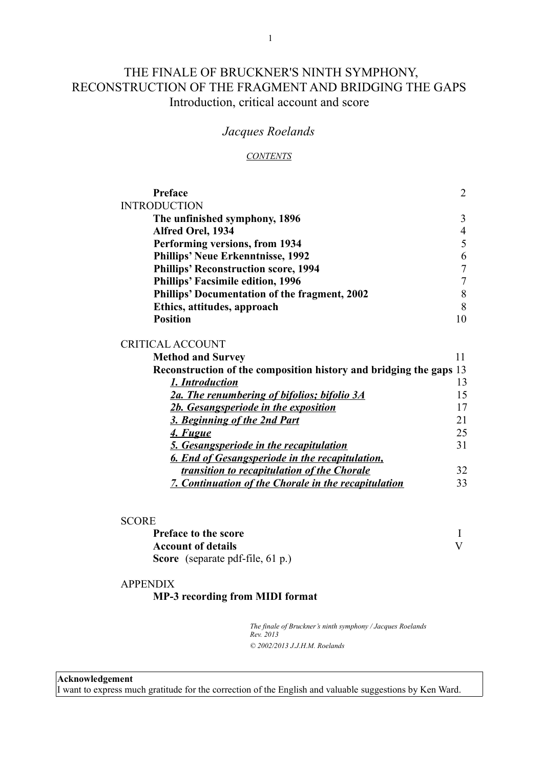# THE FINALE OF BRUCKNER'S NINTH SYMPHONY, RECONSTRUCTION OF THE FRAGMENT AND BRIDGING THE GAPS Introduction, critical account and score

# *Jacques Roelands*

#### *CONTENTS*

| Preface                                       | $\mathcal{D}_{\cdot}$ |
|-----------------------------------------------|-----------------------|
| <b>INTRODUCTION</b>                           |                       |
| The unfinished symphony, 1896                 | 3                     |
| Alfred Orel, 1934                             | $\overline{4}$        |
| Performing versions, from 1934                | 5                     |
| <b>Phillips' Neue Erkenntnisse, 1992</b>      | 6                     |
| <b>Phillips' Reconstruction score, 1994</b>   | 7                     |
| <b>Phillips' Facsimile edition, 1996</b>      | 7                     |
| Phillips' Documentation of the fragment, 2002 | 8                     |
| Ethics, attitudes, approach                   | 8                     |
| <b>Position</b>                               |                       |

#### CRITICAL ACCOUNT

| <b>Method and Survey</b>                                           |    |
|--------------------------------------------------------------------|----|
| Reconstruction of the composition history and bridging the gaps 13 |    |
| 1. Introduction                                                    | 13 |
| 2a. The renumbering of bifolios; bifolio 3A                        | 15 |
| 2b. Gesangsperiode in the exposition                               |    |
| 3. Beginning of the 2nd Part                                       | 21 |
| 4. Fugue                                                           | 25 |
| <b>5. Gesangsperiode in the recapitulation</b>                     | 31 |
| 6. End of Gesangsperiode in the recapitulation,                    |    |
| transition to recapitulation of the Chorale                        | 32 |
| 7. Continuation of the Chorale in the recapitulation               | 33 |
|                                                                    |    |

| <b>Preface to the score</b>                |  |
|--------------------------------------------|--|
| <b>Account of details</b>                  |  |
| <b>Score</b> (separate pdf-file, $61 p$ .) |  |

### APPENDIX **MP-3 recording from MIDI format**

*The finale of Bruckner's ninth symphony / Jacques Roelands Rev. 2013 © 2002/2013 J.J.H.M. Roelands*

**Acknowledgement**

I want to express much gratitude for the correction of the English and valuable suggestions by Ken Ward.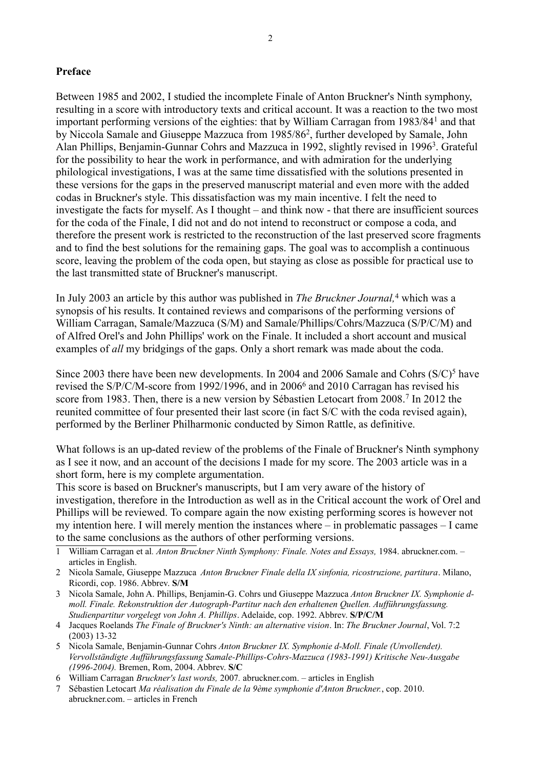# **Preface**

Between 1985 and 2002, I studied the incomplete Finale of Anton Bruckner's Ninth symphony, resulting in a score with introductory texts and critical account. It was a reaction to the two most important performing versions of the eighties: that by William Carragan from [1](#page-1-0)983/84<sup>1</sup> and that by Niccola Samale and Giuseppe Mazzuca from 1985/86<sup>[2](#page-1-1)</sup>, further developed by Samale, John Alan Phillips, Benjamin-Gunnar Cohrs and Mazzuca in 1992, slightly revised in 1996<sup>[3](#page-1-2)</sup>. Grateful for the possibility to hear the work in performance, and with admiration for the underlying philological investigations, I was at the same time dissatisfied with the solutions presented in these versions for the gaps in the preserved manuscript material and even more with the added codas in Bruckner's style. This dissatisfaction was my main incentive. I felt the need to investigate the facts for myself. As I thought – and think now - that there are insufficient sources for the coda of the Finale, I did not and do not intend to reconstruct or compose a coda, and therefore the present work is restricted to the reconstruction of the last preserved score fragments and to find the best solutions for the remaining gaps. The goal was to accomplish a continuous score, leaving the problem of the coda open, but staying as close as possible for practical use to the last transmitted state of Bruckner's manuscript.

In July 2003 an article by this author was published in *The Bruckner Journal,*[4](#page-1-3) which was a synopsis of his results. It contained reviews and comparisons of the performing versions of William Carragan, Samale/Mazzuca (S/M) and Samale/Phillips/Cohrs/Mazzuca (S/P/C/M) and of Alfred Orel's and John Phillips' work on the Finale. It included a short account and musical examples of *all* my bridgings of the gaps. Only a short remark was made about the coda.

Since 2003 there have been new developments. In 2004 and 2006 Samale and Cohrs  $(S/C)^5$  $(S/C)^5$  have revised the S/P/C/M-score from 1992/199[6](#page-1-5), and in 2006<sup>6</sup> and 2010 Carragan has revised his score from 1983. Then, there is a new version by Sébastien Letocart from 2008.<sup>[7](#page-1-6)</sup> In 2012 the reunited committee of four presented their last score (in fact S/C with the coda revised again), performed by the Berliner Philharmonic conducted by Simon Rattle, as definitive.

What follows is an up-dated review of the problems of the Finale of Bruckner's Ninth symphony as I see it now, and an account of the decisions I made for my score. The 2003 article was in a short form, here is my complete argumentation.

This score is based on Bruckner's manuscripts, but I am very aware of the history of investigation, therefore in the Introduction as well as in the Critical account the work of Orel and Phillips will be reviewed. To compare again the now existing performing scores is however not my intention here. I will merely mention the instances where – in problematic passages – I came to the same conclusions as the authors of other performing versions.

- <span id="page-1-0"></span>1 William Carragan et al*. Anton Bruckner Ninth Symphony: Finale. Notes and Essays,* 1984. abruckner.com. – articles in English.
- <span id="page-1-1"></span>2 Nicola Samale, Giuseppe Mazzuca *Anton Bruckner Finale della IX sinfonia, ricostruzione, partitura*. Milano, Ricordi, cop. 1986. Abbrev. **S/M**
- <span id="page-1-2"></span>3 Nicola Samale, John A. Phillips, Benjamin-G. Cohrs und Giuseppe Mazzuca *Anton Bruckner IX. Symphonie dmoll. Finale. Rekonstruktion der Autograph-Partitur nach den erhaltenen Quellen. Aufführungsfassung. Studienpartitur vorgelegt von John A. Phillips*. Adelaide, cop. 1992. Abbrev. **S/P/C/M**
- <span id="page-1-3"></span>4 Jacques Roelands *The Finale of Bruckner's Ninth: an alternative vision*. In: *The Bruckner Journal*, Vol. 7:2 (2003) 13-32
- <span id="page-1-4"></span>5 Nicola Samale, Benjamin-Gunnar Cohrs *Anton Bruckner IX. Symphonie d-Moll. Finale (Unvollendet). Vervollständigte Aufführungsfassung Samale-Phillips-Cohrs-Mazzuca (1983-1991) Kritische Neu-Ausgabe (1996-2004).* Bremen, Rom, 2004. Abbrev. **S/C**
- <span id="page-1-5"></span>6 William Carragan *Bruckner's last words,* 2007*.* abruckner.com. – articles in English
- <span id="page-1-6"></span>7 Sébastien Letocart *Ma réalisation du Finale de la 9ème symphonie d'Anton Bruckner.*, cop. 2010. abruckner.com. – articles in French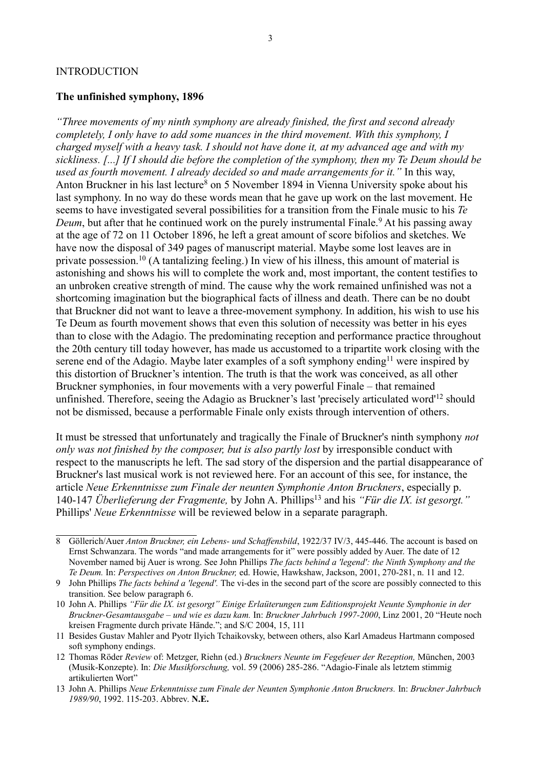#### INTRODUCTION

### **The unfinished symphony, 1896**

*"Three movements of my ninth symphony are already finished, the first and second already completely, I only have to add some nuances in the third movement. With this symphony, I charged myself with a heavy task. I should not have done it, at my advanced age and with my sickliness. [...] If I should die before the completion of the symphony, then my Te Deum should be used as fourth movement. I already decided so and made arrangements for it."* In this way, Anton Bruckner in his last lecture<sup>[8](#page-2-0)</sup> on 5 November 1894 in Vienna University spoke about his last symphony. In no way do these words mean that he gave up work on the last movement. He seems to have investigated several possibilities for a transition from the Finale music to his *Te*  Deum, but after that he continued work on the purely instrumental Finale.<sup>[9](#page-2-1)</sup> At his passing away at the age of 72 on 11 October 1896, he left a great amount of score bifolios and sketches. We have now the disposal of 349 pages of manuscript material. Maybe some lost leaves are in private possession.[10](#page-2-2) (A tantalizing feeling.) In view of his illness, this amount of material is astonishing and shows his will to complete the work and, most important, the content testifies to an unbroken creative strength of mind. The cause why the work remained unfinished was not a shortcoming imagination but the biographical facts of illness and death. There can be no doubt that Bruckner did not want to leave a three-movement symphony. In addition, his wish to use his Te Deum as fourth movement shows that even this solution of necessity was better in his eyes than to close with the Adagio. The predominating reception and performance practice throughout the 20th century till today however, has made us accustomed to a tripartite work closing with the serene end of the Adagio. Maybe later examples of a soft symphony ending<sup>[11](#page-2-3)</sup> were inspired by this distortion of Bruckner's intention. The truth is that the work was conceived, as all other Bruckner symphonies, in four movements with a very powerful Finale – that remained unfinished. Therefore, seeing the Adagio as Bruckner's last 'precisely articulated word'[12](#page-2-4) should not be dismissed, because a performable Finale only exists through intervention of others.

It must be stressed that unfortunately and tragically the Finale of Bruckner's ninth symphony *not only was not finished by the composer, but is also partly lost* by irresponsible conduct with respect to the manuscripts he left. The sad story of the dispersion and the partial disappearance of Bruckner's last musical work is not reviewed here. For an account of this see, for instance, the article *Neue Erkenntnisse zum Finale der neunten Symphonie Anton Bruckners*, especially p. 140-147 *Überlieferung der Fragmente,* by John A. Phillips[13](#page-2-5) and his *"Für die IX. ist gesorgt."* Phillips' *Neue Erkenntnisse* will be reviewed below in a separate paragraph.

<span id="page-2-0"></span><sup>8</sup> Göllerich/Auer *Anton Bruckner, ein Lebens- und Schaffensbild*, 1922/37 IV/3, 445-446. The account is based on Ernst Schwanzara. The words "and made arrangements for it" were possibly added by Auer. The date of 12 November named bij Auer is wrong. See John Phillips *The facts behind a 'legend': the Ninth Symphony and the Te Deum.* In: *Perspectives on Anton Bruckner,* ed. Howie, Hawkshaw, Jackson, 2001, 270-281, n. 11 and 12.

<span id="page-2-1"></span><sup>9</sup> John Phillips *The facts behind a 'legend'.* The vi-des in the second part of the score are possibly connected to this transition. See below paragraph 6.

<span id="page-2-2"></span><sup>10</sup> John A. Phillips *"Für die IX. ist gesorgt" Einige Erlaüterungen zum Editionsprojekt Neunte Symphonie in der Bruckner-Gesamtausgabe – und wie es dazu kam.* In: *Bruckner Jahrbuch 1997-2000*, Linz 2001, 20 "Heute noch kreisen Fragmente durch private Hände."; and S/C 2004, 15, 111

<span id="page-2-3"></span><sup>11</sup> Besides Gustav Mahler and Pyotr Ilyich Tchaikovsky, between others, also Karl Amadeus Hartmann composed soft symphony endings.

<span id="page-2-4"></span><sup>12</sup> Thomas Röder *Review* of: Metzger, Riehn (ed.) *Bruckners Neunte im Fegefeuer der Rezeption,* München, 2003 (Musik-Konzepte). In: *Die Musikforschung,* vol. 59 (2006) 285-286. "Adagio-Finale als letztem stimmig artikulierten Wort"

<span id="page-2-5"></span><sup>13</sup> John A. Phillips *Neue Erkenntnisse zum Finale der Neunten Symphonie Anton Bruckners.* In: *Bruckner Jahrbuch 1989/90*, 1992. 115-203. Abbrev. **N.E.**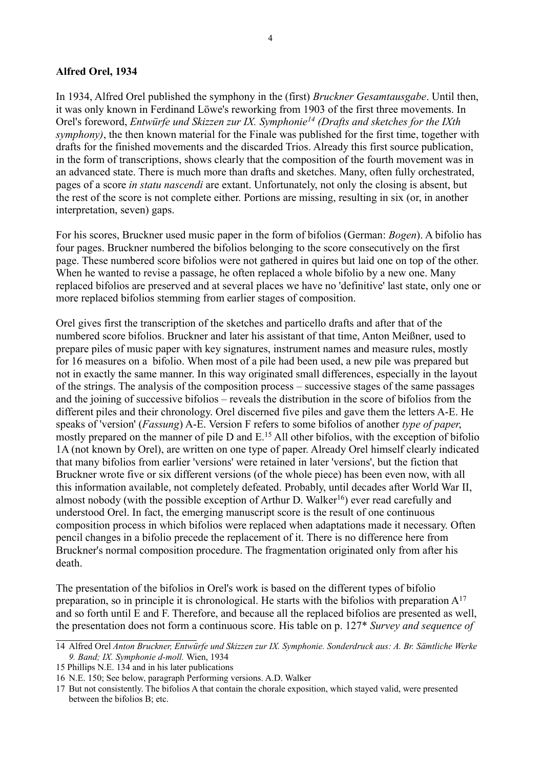# **Alfred Orel, 1934**

In 1934, Alfred Orel published the symphony in the (first) *Bruckner Gesamtausgabe*. Until then, it was only known in Ferdinand Löwe's reworking from 1903 of the first three movements. In Orel's foreword, *Entwürfe und Skizzen zur IX. Symphonie[14](#page-3-0) (Drafts and sketches for the IXth symphony)*, the then known material for the Finale was published for the first time, together with drafts for the finished movements and the discarded Trios. Already this first source publication, in the form of transcriptions, shows clearly that the composition of the fourth movement was in an advanced state. There is much more than drafts and sketches. Many, often fully orchestrated, pages of a score *in statu nascendi* are extant. Unfortunately, not only the closing is absent, but the rest of the score is not complete either. Portions are missing, resulting in six (or, in another interpretation, seven) gaps.

For his scores, Bruckner used music paper in the form of bifolios (German: *Bogen*). A bifolio has four pages. Bruckner numbered the bifolios belonging to the score consecutively on the first page. These numbered score bifolios were not gathered in quires but laid one on top of the other. When he wanted to revise a passage, he often replaced a whole bifolio by a new one. Many replaced bifolios are preserved and at several places we have no 'definitive' last state, only one or more replaced bifolios stemming from earlier stages of composition.

Orel gives first the transcription of the sketches and particello drafts and after that of the numbered score bifolios. Bruckner and later his assistant of that time, Anton Meißner, used to prepare piles of music paper with key signatures, instrument names and measure rules, mostly for 16 measures on a bifolio. When most of a pile had been used, a new pile was prepared but not in exactly the same manner. In this way originated small differences, especially in the layout of the strings. The analysis of the composition process – successive stages of the same passages and the joining of successive bifolios – reveals the distribution in the score of bifolios from the different piles and their chronology. Orel discerned five piles and gave them the letters A-E. He speaks of 'version' (*Fassung*) A-E. Version F refers to some bifolios of another *type of paper*, mostly prepared on the manner of pile  $D$  and  $E$ .<sup>[15](#page-3-1)</sup> All other bifolios, with the exception of bifolio 1A (not known by Orel), are written on one type of paper. Already Orel himself clearly indicated that many bifolios from earlier 'versions' were retained in later 'versions', but the fiction that Bruckner wrote five or six different versions (of the whole piece) has been even now, with all this information available, not completely defeated. Probably, until decades after World War II, almost nobody (with the possible exception of Arthur D. Walker<sup>[16](#page-3-2)</sup>) ever read carefully and understood Orel. In fact, the emerging manuscript score is the result of one continuous composition process in which bifolios were replaced when adaptations made it necessary. Often pencil changes in a bifolio precede the replacement of it. There is no difference here from Bruckner's normal composition procedure. The fragmentation originated only from after his death.

The presentation of the bifolios in Orel's work is based on the different types of bifolio preparation, so in principle it is chronological. He starts with the bifolios with preparation  $A^{17}$  $A^{17}$  $A^{17}$ and so forth until E and F. Therefore, and because all the replaced bifolios are presented as well, the presentation does not form a continuous score. His table on p. 127\* *Survey and sequence of* 

<span id="page-3-0"></span><sup>14</sup> Alfred Orel *Anton Bruckner, Entwürfe und Skizzen zur IX. Symphonie. Sonderdruck aus: A. Br. Sämtliche Werke 9. Band; IX. Symphonie d-moll.* Wien, 1934

<span id="page-3-1"></span><sup>15</sup> Phillips N.E. 134 and in his later publications

<span id="page-3-2"></span><sup>16</sup> N.E. 150; See below, paragraph Performing versions. A.D. Walker

<span id="page-3-3"></span><sup>17</sup> But not consistently. The bifolios A that contain the chorale exposition, which stayed valid, were presented between the bifolios B; etc.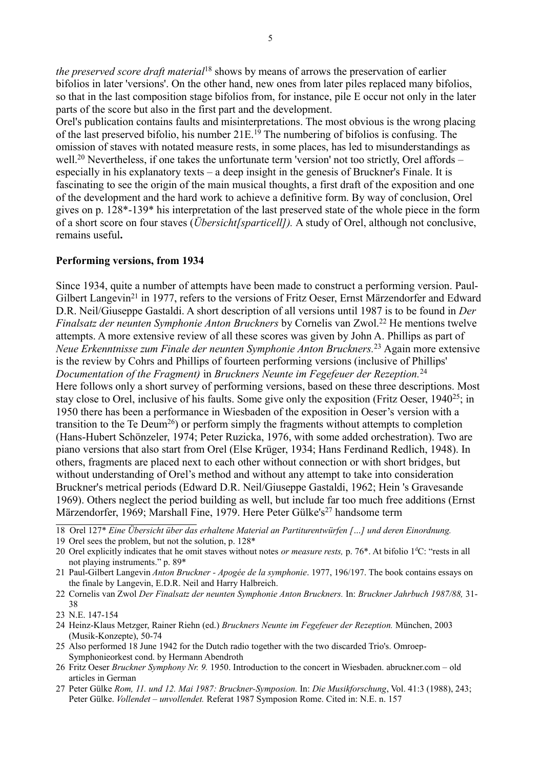*the preserved score draft material*[18](#page-4-0) shows by means of arrows the preservation of earlier bifolios in later 'versions'. On the other hand, new ones from later piles replaced many bifolios, so that in the last composition stage bifolios from, for instance, pile E occur not only in the later parts of the score but also in the first part and the development.

Orel's publication contains faults and misinterpretations. The most obvious is the wrong placing of the last preserved bifolio, his number  $21E^{19}$  $21E^{19}$  $21E^{19}$ . The numbering of bifolios is confusing. The omission of staves with notated measure rests, in some places, has led to misunderstandings as well.<sup>[20](#page-4-2)</sup> Nevertheless, if one takes the unfortunate term 'version' not too strictly, Orel affords – especially in his explanatory texts – a deep insight in the genesis of Bruckner's Finale. It is fascinating to see the origin of the main musical thoughts, a first draft of the exposition and one of the development and the hard work to achieve a definitive form. By way of conclusion, Orel gives on p. 128\*-139\* his interpretation of the last preserved state of the whole piece in the form of a short score on four staves (*Übersicht[sparticell]).* A study of Orel, although not conclusive, remains useful**.** 

# **Performing versions, from 1934**

Since 1934, quite a number of attempts have been made to construct a performing version. Paul-Gilbert Langevin<sup>[21](#page-4-3)</sup> in 1977, refers to the versions of Fritz Oeser, Ernst Märzendorfer and Edward D.R. Neil/Giuseppe Gastaldi. A short description of all versions until 1987 is to be found in *Der Finalsatz der neunten Symphonie Anton Bruckners* by Cornelis van Zwol.<sup>[22](#page-4-4)</sup> He mentions twelve attempts. A more extensive review of all these scores was given by John A. Phillips as part of *Neue Erkenntnisse zum Finale der neunten Symphonie Anton Bruckners.*[23](#page-4-5) Again more extensive is the review by Cohrs and Phillips of fourteen performing versions (inclusive of Phillips' *Documentation of the Fragment)* in *Bruckners Neunte im Fegefeuer der Rezeption.*[24](#page-4-6) Here follows only a short survey of performing versions, based on these three descriptions. Most stay close to Orel, inclusive of his faults. Some give only the exposition (Fritz Oeser, 1940<sup>[25](#page-4-7)</sup>; in 1950 there has been a performance in Wiesbaden of the exposition in Oeser's version with a transition to the Te Deum<sup>[26](#page-4-8)</sup>) or perform simply the fragments without attempts to completion (Hans-Hubert Schönzeler, 1974; Peter Ruzicka, 1976, with some added orchestration). Two are piano versions that also start from Orel (Else Krüger, 1934; Hans Ferdinand Redlich, 1948). In others, fragments are placed next to each other without connection or with short bridges, but without understanding of Orel's method and without any attempt to take into consideration Bruckner's metrical periods (Edward D.R. Neil/Giuseppe Gastaldi, 1962; Hein 's Gravesande 1969). Others neglect the period building as well, but include far too much free additions (Ernst Märzendorfer, 1969; Marshall Fine, 1979. Here Peter Gülke's<sup>[27](#page-4-9)</sup> handsome term

- <span id="page-4-7"></span>25 Also performed 18 June 1942 for the Dutch radio together with the two discarded Trio's. Omroep-Symphonieorkest cond. by Hermann Abendroth
- <span id="page-4-8"></span>26 Fritz Oeser *Bruckner Symphony Nr. 9.* 1950. Introduction to the concert in Wiesbaden. abruckner.com – old articles in German
- <span id="page-4-9"></span>27 Peter Gülke *Rom, 11. und 12. Mai 1987: Bruckner-Symposion.* In: *Die Musikforschung*, Vol. 41:3 (1988), 243; Peter Gülke. *Vollendet – unvollendet.* Referat 1987 Symposion Rome. Cited in: N.E. n. 157

<span id="page-4-0"></span><sup>18</sup> Orel 127\* *Eine Übersicht über das erhaltene Material an Partiturentwürfen […] und deren Einordnung.*

<span id="page-4-1"></span><sup>19</sup> Orel sees the problem, but not the solution, p. 128\*

<span id="page-4-2"></span><sup>20</sup> Orel explicitly indicates that he omit staves without notes *or measure rests*, p. 76<sup>\*</sup>. At bifolio 1<sup>d</sup>C: "rests in all not playing instruments." p. 89\*

<span id="page-4-3"></span><sup>21</sup> Paul-Gilbert Langevin *Anton Bruckner - Apogée de la symphonie*. 1977, 196/197. The book contains essays on the finale by Langevin, E.D.R. Neil and Harry Halbreich.

<span id="page-4-4"></span><sup>22</sup> Cornelis van Zwol *Der Finalsatz der neunten Symphonie Anton Bruckners.* In: *Bruckner Jahrbuch 1987/88,* 31- 38

<span id="page-4-5"></span><sup>23</sup> N.E. 147-154

<span id="page-4-6"></span><sup>24</sup> Heinz-Klaus Metzger, Rainer Riehn (ed.) *Bruckners Neunte im Fegefeuer der Rezeption.* München, 2003 (Musik-Konzepte), 50-74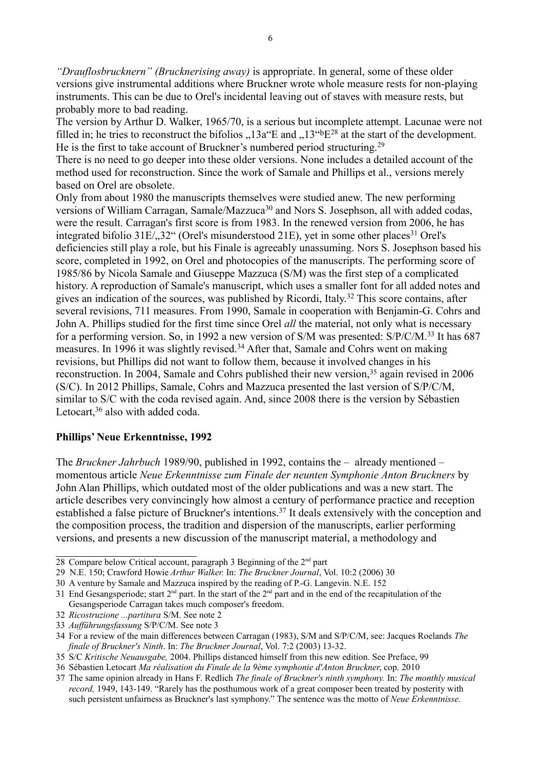*"Drauflosbrucknern" (Brucknerising away)* is appropriate. In general, some of these older versions give instrumental additions where Bruckner wrote whole measure rests for non-playing instruments. This can be due to Orel's incidental leaving out of staves with measure rests, but probably more to bad reading.

The version by Arthur D. Walker, 1965/70, is a serious but incomplete attempt. Lacunae were not filled in; he tries to reconstruct the bifolios  $13a^{\circ}$ E and  $13^{\circ}$ <sup>b</sup>E<sup>[28](#page-5-0)</sup> at the start of the development. He is the first to take account of Bruckner's numbered period structuring.<sup>[29](#page-5-1)</sup>

There is no need to go deeper into these older versions. None includes a detailed account of the method used for reconstruction. Since the work of Samale and Phillips et al., versions merely based on Orel are obsolete.

Only from about 1980 the manuscripts themselves were studied anew. The new performing versions of William Carragan, Samale/Mazzuca<sup>[30](#page-5-2)</sup> and Nors S. Josephson, all with added codas, were the result. Carragan's first score is from 1983. In the renewed version from 2006, he has integrated bifolio  $31E/32$  $31E/32$ " (Orel's misunderstood  $21E$ ), yet in some other places<sup>31</sup> Orel's deficiencies still play a role, but his Finale is agreeably unassuming. Nors S. Josephson based his score, completed in 1992, on Orel and photocopies of the manuscripts. The performing score of 1985/86 by Nicola Samale and Giuseppe Mazzuca (S/M) was the first step of a complicated history. A reproduction of Samale's manuscript, which uses a smaller font for all added notes and gives an indication of the sources, was published by Ricordi, Italy.[32](#page-5-4) This score contains, after several revisions, 711 measures. From 1990, Samale in cooperation with Benjamin-G. Cohrs and John A. Phillips studied for the first time since Orel *all* the material, not only what is necessary for a performing version. So, in 1992 a new version of S/M was presented: S/P/C/M.<sup>[33](#page-5-5)</sup> It has 687 measures. In 1996 it was slightly revised.[34](#page-5-6) After that, Samale and Cohrs went on making revisions, but Phillips did not want to follow them, because it involved changes in his reconstruction. In 2004, Samale and Cohrs published their new version,<sup>[35](#page-5-7)</sup> again revised in 2006 (S/C). In 2012 Phillips, Samale, Cohrs and Mazzuca presented the last version of S/P/C/M, similar to S/C with the coda revised again. And, since 2008 there is the version by Sébastien Letocart,<sup>[36](#page-5-8)</sup> also with added coda.

# **Phillips' Neue Erkenntnisse, 1992**

The *Bruckner Jahrbuch* 1989/90, published in 1992, contains the – already mentioned – momentous article *Neue Erkenntnisse zum Finale der neunten Symphonie Anton Bruckners* by John Alan Phillips, which outdated most of the older publications and was a new start. The article describes very convincingly how almost a century of performance practice and reception established a false picture of Bruckner's intentions.[37](#page-5-9) It deals extensively with the conception and the composition process, the tradition and dispersion of the manuscripts, earlier performing versions, and presents a new discussion of the manuscript material, a methodology and

<span id="page-5-0"></span><sup>28</sup> Compare below Critical account, paragraph 3 Beginning of the 2nd part

<span id="page-5-1"></span><sup>29</sup> N.E. 150; Crawford Howie *Arthur Walker.* In: *The Bruckner Journal*, Vol. 10:2 (2006) 30

<span id="page-5-2"></span><sup>30</sup> A venture by Samale and Mazzuca inspired by the reading of P.-G. Langevin. N.E. 152

<span id="page-5-3"></span><sup>31</sup> End Gesangsperiode; start  $2^{nd}$  part. In the start of the  $2^{nd}$  part and in the end of the recapitulation of the Gesangsperiode Carragan takes much composer's freedom.

<span id="page-5-4"></span><sup>32</sup> *Ricostruzione ...partitura* S/M. See note 2

<span id="page-5-5"></span><sup>33</sup> *Aufführungsfassung* S/P/C/M. See note 3

<span id="page-5-6"></span><sup>34</sup> For a review of the main differences between Carragan (1983), S/M and S/P/C/M, see: Jacques Roelands *The finale of Bruckner's Ninth*. In: *The Bruckner Journal*, Vol. 7:2 (2003) 13-32.

<span id="page-5-7"></span><sup>35</sup> S/C *Kritische Neuausgabe,* 2004. Phillips distanced himself from this new edition. See Preface, 99

<span id="page-5-8"></span><sup>36</sup> Sébastien Letocart *Ma réalisation du Finale de la 9ème symphonie d'Anton Bruckner*, cop. 2010

<span id="page-5-9"></span><sup>37</sup> The same opinion already in Hans F. Redlich *The finale of Bruckner's ninth symphony.* In: *The monthly musical record,* 1949, 143-149. "Rarely has the posthumous work of a great composer been treated by posterity with such persistent unfairness as Bruckner's last symphony." The sentence was the motto of *Neue Erkenntnisse.*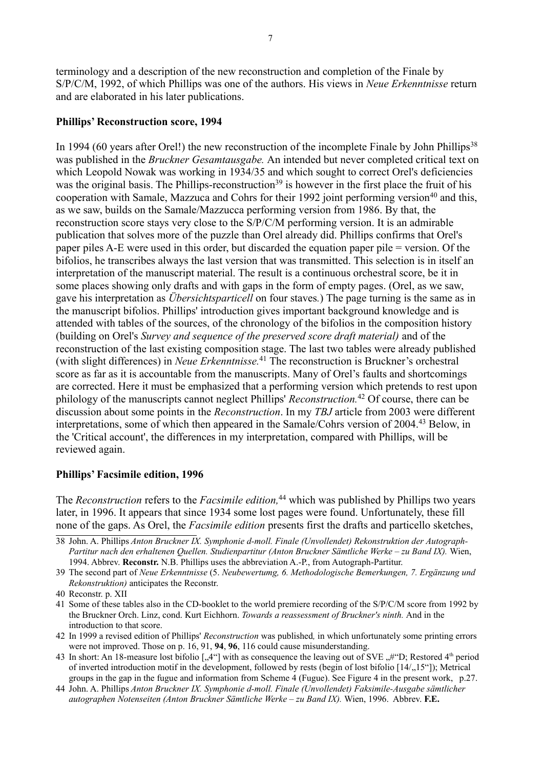terminology and a description of the new reconstruction and completion of the Finale by S/P/C/M, 1992, of which Phillips was one of the authors. His views in *Neue Erkenntnisse* return and are elaborated in his later publications.

#### **Phillips' Reconstruction score, 1994**

In 1994 (60 years after Orel!) the new reconstruction of the incomplete Finale by John Phillips<sup>[38](#page-6-0)</sup> was published in the *Bruckner Gesamtausgabe.* An intended but never completed critical text on which Leopold Nowak was working in 1934/35 and which sought to correct Orel's deficiencies was the original basis. The Phillips-reconstruction<sup>[39](#page-6-1)</sup> is however in the first place the fruit of his cooperation with Samale, Mazzuca and Cohrs for their 1992 joint performing version<sup>[40](#page-6-2)</sup> and this, as we saw, builds on the Samale/Mazzucca performing version from 1986. By that, the reconstruction score stays very close to the S/P/C/M performing version. It is an admirable publication that solves more of the puzzle than Orel already did. Phillips confirms that Orel's paper piles A-E were used in this order, but discarded the equation paper pile = version. Of the bifolios, he transcribes always the last version that was transmitted. This selection is in itself an interpretation of the manuscript material. The result is a continuous orchestral score, be it in some places showing only drafts and with gaps in the form of empty pages. (Orel, as we saw, gave his interpretation as *Übersichtsparticell* on four staves*.*) The page turning is the same as in the manuscript bifolios. Phillips' introduction gives important background knowledge and is attended with tables of the sources, of the chronology of the bifolios in the composition history (building on Orel's *Survey and sequence of the preserved score draft material)* and of the reconstruction of the last existing composition stage. The last two tables were already published (with slight differences) in *Neue Erkenntnisse.*[41](#page-6-3) The reconstruction is Bruckner's orchestral score as far as it is accountable from the manuscripts. Many of Orel's faults and shortcomings are corrected. Here it must be emphasized that a performing version which pretends to rest upon philology of the manuscripts cannot neglect Phillips' *Reconstruction.*[42](#page-6-4) Of course, there can be discussion about some points in the *Reconstruction*. In my *TBJ* article from 2003 were different interpretations, some of which then appeared in the Samale/Cohrs version of 2004.[43](#page-6-5) Below, in the 'Critical account', the differences in my interpretation, compared with Phillips, will be reviewed again.

#### **Phillips' Facsimile edition, 1996**

The *Reconstruction* refers to the *Facsimile edition*,<sup>[44](#page-6-6)</sup> which was published by Phillips two years later, in 1996. It appears that since 1934 some lost pages were found. Unfortunately, these fill none of the gaps. As Orel, the *Facsimile edition* presents first the drafts and particello sketches,

<span id="page-6-0"></span><sup>38</sup> John. A. Phillips *Anton Bruckner IX. Symphonie d-moll. Finale (Unvollendet) Rekonstruktion der Autograph-Partitur nach den erhaltenen Quellen. Studienpartitur (Anton Bruckner Sämtliche Werke – zu Band IX).* Wien, 1994. Abbrev. **Reconstr.** N.B. Phillips uses the abbreviation A.-P., from Autograph-Partitur.

<span id="page-6-1"></span><sup>39</sup> The second part of *Neue Erkenntnisse* (5. *Neubewertumg, 6. Methodologische Bemerkungen, 7. Ergänzung und Rekonstruktion)* anticipates the Reconstr.

<span id="page-6-2"></span><sup>40</sup> Reconstr. p. XII

<span id="page-6-3"></span><sup>41</sup> Some of these tables also in the CD-booklet to the world premiere recording of the S/P/C/M score from 1992 by the Bruckner Orch. Linz, cond. Kurt Eichhorn. *Towards a reassessment of Bruckner's ninth.* And in the introduction to that score.

<span id="page-6-4"></span><sup>42</sup> In 1999 a revised edition of Phillips' *Reconstruction* was published*,* in which unfortunately some printing errors were not improved. Those on p. 16, 91, **94**, **96**, 116 could cause misunderstanding.

<span id="page-6-5"></span><sup>43</sup> In short: An 18-measure lost bifolio  $\left[0.4\right]^{\alpha}$  with as consequence the leaving out of SVE  $\left[0.4\right]^{\alpha}$ , Restored 4<sup>th</sup> period of inverted introduction motif in the development, followed by rests (begin of lost bifolio  $[14/15^{\circ}$ ); Metrical groups in the gap in the fugue and information from Scheme 4 (Fugue). See Figure 4 in the present work, p.27.

<span id="page-6-6"></span><sup>44</sup> John. A. Phillips *Anton Bruckner IX. Symphonie d-moll. Finale (Unvollendet) Faksimile-Ausgabe sämtlicher autographen Notenseiten (Anton Bruckner Sämtliche Werke – zu Band IX).* Wien, 1996. Abbrev. **F.E.**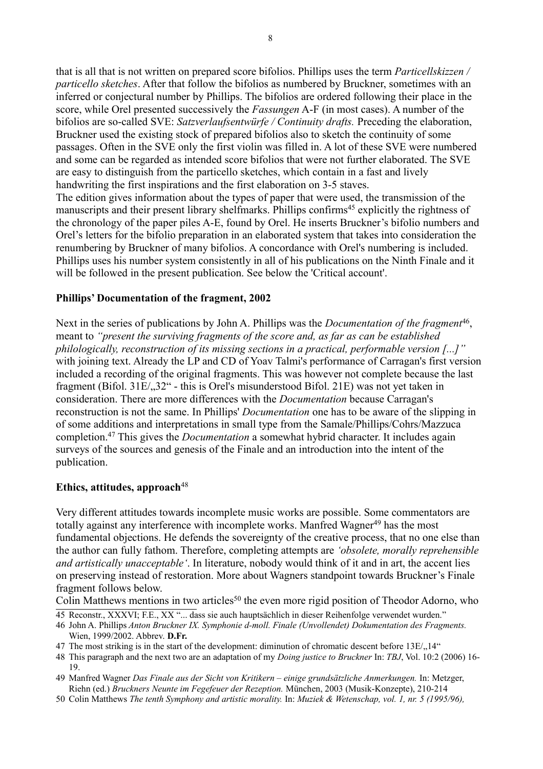that is all that is not written on prepared score bifolios. Phillips uses the term *Particellskizzen / particello sketches*. After that follow the bifolios as numbered by Bruckner, sometimes with an inferred or conjectural number by Phillips. The bifolios are ordered following their place in the score, while Orel presented successively the *Fassungen* A-F (in most cases). A number of the bifolios are so-called SVE: *Satzverlaufsentwürfe / Continuity drafts.* Preceding the elaboration, Bruckner used the existing stock of prepared bifolios also to sketch the continuity of some passages. Often in the SVE only the first violin was filled in. A lot of these SVE were numbered and some can be regarded as intended score bifolios that were not further elaborated. The SVE are easy to distinguish from the particello sketches, which contain in a fast and lively handwriting the first inspirations and the first elaboration on 3-5 staves.

The edition gives information about the types of paper that were used, the transmission of the manuscripts and their present library shelfmarks. Phillips confirms<sup>[45](#page-7-0)</sup> explicitly the rightness of the chronology of the paper piles A-E, found by Orel. He inserts Bruckner's bifolio numbers and Orel's letters for the bifolio preparation in an elaborated system that takes into consideration the renumbering by Bruckner of many bifolios. A concordance with Orel's numbering is included. Phillips uses his number system consistently in all of his publications on the Ninth Finale and it will be followed in the present publication. See below the 'Critical account'.

# **Phillips' Documentation of the fragment, 2002**

Next in the series of publications by John A. Phillips was the *Documentation of the fragment*<sup>[46](#page-7-1)</sup>, meant to *"present the surviving fragments of the score and, as far as can be established philologically, reconstruction of its missing sections in a practical, performable version [...]"* with joining text. Already the LP and CD of Yoav Talmi's performance of Carragan's first version included a recording of the original fragments. This was however not complete because the last fragment (Bifol.  $31E/32$ " - this is Orel's misunderstood Bifol. 21E) was not yet taken in consideration. There are more differences with the *Documentation* because Carragan's reconstruction is not the same. In Phillips' *Documentation* one has to be aware of the slipping in of some additions and interpretations in small type from the Samale/Phillips/Cohrs/Mazzuca completion.[47](#page-7-2) This gives the *Documentation* a somewhat hybrid character. It includes again surveys of the sources and genesis of the Finale and an introduction into the intent of the publication.

# **Ethics, attitudes, approach**[48](#page-7-3)

Very different attitudes towards incomplete music works are possible. Some commentators are totally against any interference with incomplete works. Manfred Wagner<sup>[49](#page-7-4)</sup> has the most fundamental objections. He defends the sovereignty of the creative process, that no one else than the author can fully fathom. Therefore, completing attempts are *'obsolete, morally reprehensible and artistically unacceptable'*. In literature, nobody would think of it and in art, the accent lies on preserving instead of restoration. More about Wagners standpoint towards Bruckner's Finale fragment follows below.

Colin Matthews mentions in two articles<sup>[50](#page-7-5)</sup> the even more rigid position of Theodor Adorno, who

<span id="page-7-2"></span>47 The most striking is in the start of the development: diminution of chromatic descent before  $13E/14$ "

- <span id="page-7-4"></span>49 Manfred Wagner *Das Finale aus der Sicht von Kritikern – einige grundsätzliche Anmerkungen.* In: Metzger, Riehn (ed.) *Bruckners Neunte im Fegefeuer der Rezeption.* München, 2003 (Musik-Konzepte), 210-214
- <span id="page-7-5"></span>50 Colin Matthews *The tenth Symphony and artistic morality.* In: *Muziek & Wetenschap, vol. 1, nr. 5 (1995/96),*

<span id="page-7-0"></span><sup>45</sup> Reconstr., XXXVI; F.E., XX "... dass sie auch hauptsächlich in dieser Reihenfolge verwendet wurden."

<span id="page-7-1"></span><sup>46</sup> John A. Phillips *Anton Bruckner IX. Symphonie d-moll. Finale (Unvollendet) Dokumentation des Fragments.* Wien, 1999/2002. Abbrev. **D.Fr.**

<span id="page-7-3"></span><sup>48</sup> This paragraph and the next two are an adaptation of my *Doing justice to Bruckner* In: *TBJ*, Vol. 10:2 (2006) 16- 19.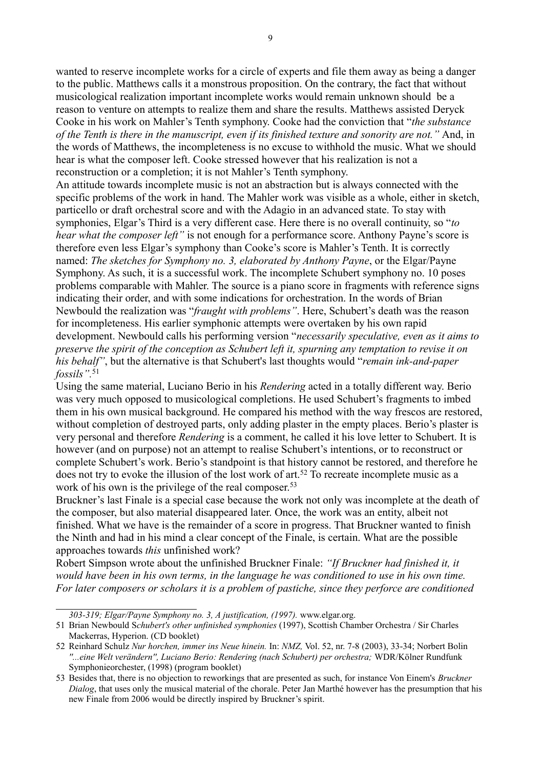wanted to reserve incomplete works for a circle of experts and file them away as being a danger to the public. Matthews calls it a monstrous proposition. On the contrary, the fact that without musicological realization important incomplete works would remain unknown should be a reason to venture on attempts to realize them and share the results. Matthews assisted Deryck Cooke in his work on Mahler's Tenth symphony. Cooke had the conviction that "*the substance of the Tenth is there in the manuscript, even if its finished texture and sonority are not."* And, in the words of Matthews, the incompleteness is no excuse to withhold the music. What we should hear is what the composer left. Cooke stressed however that his realization is not a reconstruction or a completion; it is not Mahler's Tenth symphony.

An attitude towards incomplete music is not an abstraction but is always connected with the specific problems of the work in hand. The Mahler work was visible as a whole, either in sketch, particello or draft orchestral score and with the Adagio in an advanced state. To stay with symphonies, Elgar's Third is a very different case. Here there is no overall continuity, so "*to hear what the composer left"* is not enough for a performance score. Anthony Payne's score is therefore even less Elgar's symphony than Cooke's score is Mahler's Tenth. It is correctly named: *The sketches for Symphony no. 3, elaborated by Anthony Payne*, or the Elgar/Payne Symphony. As such, it is a successful work. The incomplete Schubert symphony no. 10 poses problems comparable with Mahler. The source is a piano score in fragments with reference signs indicating their order, and with some indications for orchestration. In the words of Brian Newbould the realization was "*fraught with problems"*. Here, Schubert's death was the reason for incompleteness. His earlier symphonic attempts were overtaken by his own rapid development. Newbould calls his performing version "*necessarily speculative, even as it aims to preserve the spirit of the conception as Schubert left it, spurning any temptation to revise it on his behalf"*, but the alternative is that Schubert's last thoughts would "*remain ink-and-paper fossils".*[51](#page-8-0)

Using the same material, Luciano Berio in his *Rendering* acted in a totally different way. Berio was very much opposed to musicological completions. He used Schubert's fragments to imbed them in his own musical background. He compared his method with the way frescos are restored, without completion of destroyed parts, only adding plaster in the empty places. Berio's plaster is very personal and therefore *Rendering* is a comment, he called it his love letter to Schubert. It is however (and on purpose) not an attempt to realise Schubert's intentions, or to reconstruct or complete Schubert's work. Berio's standpoint is that history cannot be restored, and therefore he does not try to evoke the illusion of the lost work of art.<sup>[52](#page-8-1)</sup> To recreate incomplete music as a work of his own is the privilege of the real composer.<sup>[53](#page-8-2)</sup>

Bruckner's last Finale is a special case because the work not only was incomplete at the death of the composer, but also material disappeared later. Once, the work was an entity, albeit not finished. What we have is the remainder of a score in progress. That Bruckner wanted to finish the Ninth and had in his mind a clear concept of the Finale, is certain. What are the possible approaches towards *this* unfinished work?

Robert Simpson wrote about the unfinished Bruckner Finale: *"If Bruckner had finished it, it would have been in his own terms, in the language he was conditioned to use in his own time. For later composers or scholars it is a problem of pastiche, since they perforce are conditioned* 

<span id="page-8-0"></span>*<sup>303-319;</sup> Elgar/Payne Symphony no. 3, A justification, (1997).* www.elgar.org.

<sup>51</sup> Brian Newbould S*chubert's other unfinished symphonies* (1997), Scottish Chamber Orchestra / Sir Charles Mackerras, Hyperion. (CD booklet)

<span id="page-8-1"></span><sup>52</sup> Reinhard Schulz *Nur horchen, immer ins Neue hinein.* In: *NMZ,* Vol. 52, nr. 7-8 (2003), 33-34; Norbert Bolin *''...eine Welt verändern'', Luciano Berio: Rendering (nach Schubert) per orchestra;* WDR/Kölner Rundfunk Symphonieorchester, (1998) (program booklet)

<span id="page-8-2"></span><sup>53</sup> Besides that, there is no objection to reworkings that are presented as such, for instance Von Einem's *Bruckner Dialog*, that uses only the musical material of the chorale. Peter Jan Marthé however has the presumption that his new Finale from 2006 would be directly inspired by Bruckner's spirit.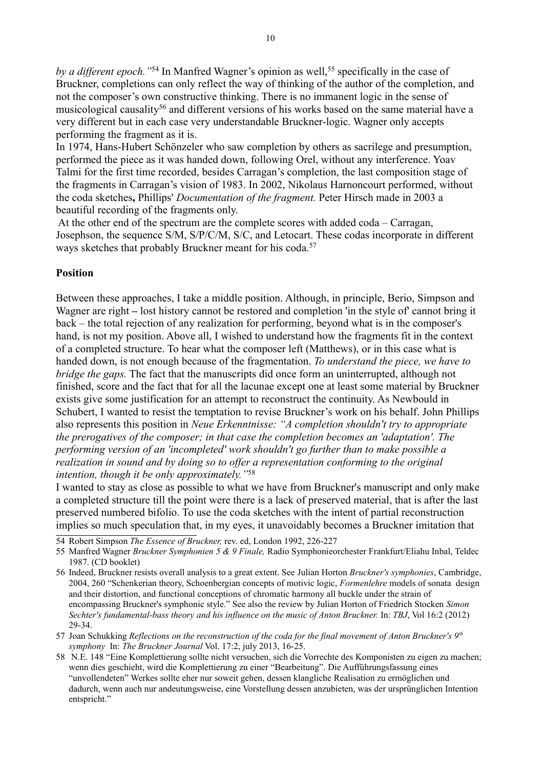*by a different epoch.* "<sup>[54](#page-9-0)</sup> In Manfred Wagner's opinion as well,<sup>[55](#page-9-1)</sup> specifically in the case of Bruckner, completions can only reflect the way of thinking of the author of the completion, and not the composer's own constructive thinking. There is no immanent logic in the sense of musicological causality<sup>[56](#page-9-2)</sup> and different versions of his works based on the same material have a very different but in each case very understandable Bruckner-logic. Wagner only accepts performing the fragment as it is.

In 1974, Hans-Hubert Schönzeler who saw completion by others as sacrilege and presumption, performed the piece as it was handed down, following Orel, without any interference. Yoav Talmi for the first time recorded, besides Carragan's completion, the last composition stage of the fragments in Carragan's vision of 1983. In 2002, Nikolaus Harnoncourt performed, without the coda sketches**,** Phillips' *Documentation of the fragment.* Peter Hirsch made in 2003 a beautiful recording of the fragments only.

 At the other end of the spectrum are the complete scores with added coda – Carragan, Josephson, the sequence S/M, S/P/C/M, S/C, and Letocart. These codas incorporate in different ways sketches that probably Bruckner meant for his coda.<sup>[57](#page-9-3)</sup>

# **Position**

Between these approaches, I take a middle position. Although, in principle, Berio, Simpson and Wagner are right – lost history cannot be restored and completion 'in the style of' cannot bring it back – the total rejection of any realization for performing, beyond what is in the composer's hand, is not my position. Above all, I wished to understand how the fragments fit in the context of a completed structure. To hear what the composer left (Matthews), or in this case what is handed down, is not enough because of the fragmentation. *To understand the piece, we have to bridge the gaps.* The fact that the manuscripts did once form an uninterrupted, although not finished, score and the fact that for all the lacunae except one at least some material by Bruckner exists give some justification for an attempt to reconstruct the continuity. As Newbould in Schubert, I wanted to resist the temptation to revise Bruckner's work on his behalf. John Phillips also represents this position in *Neue Erkenntnisse: "A completion shouldn't try to appropriate the prerogatives of the composer; in that case the completion becomes an 'adaptation'. The performing version of an 'incompleted' work shouldn't go further than to make possible a realization in sound and by doing so to offer a representation conforming to the original intention, though it be only approximately."*[58](#page-9-4)

I wanted to stay as close as possible to what we have from Bruckner's manuscript and only make a completed structure till the point were there is a lack of preserved material, that is after the last preserved numbered bifolio. To use the coda sketches with the intent of partial reconstruction implies so much speculation that, in my eyes, it unavoidably becomes a Bruckner imitation that

<span id="page-9-0"></span>54 Robert Simpson *The Essence of Bruckner,* rev. ed, London 1992, 226-227

- <span id="page-9-2"></span>56 Indeed, Bruckner resists overall analysis to a great extent. See Julian Horton *Bruckner's symphonies*, Cambridge, 2004, 260 "Schenkerian theory, Schoenbergian concepts of motivic logic, *Formenlehre* models of sonata design and their distortion, and functional conceptions of chromatic harmony all buckle under the strain of encompassing Bruckner's symphonic style." See also the review by Julian Horton of Friedrich Stocken *Simon Sechter's fundamental-bass theory and his influence on the music of Anton Bruckner.* In: *TBJ*, Vol 16:2 (2012) 29-34.
- <span id="page-9-3"></span>57 Joan Schukking *Reflections on the reconstruction of the coda for the final movement of Anton Bruckner's 9th symphony* In: *The Bruckner Journal* Vol. 17:2, july 2013, 16-25.
- <span id="page-9-4"></span>58 N.E. 148 "Eine Komplettierung sollte nicht versuchen, sich die Vorrechte des Komponisten zu eigen zu machen; wenn dies geschieht, wird die Komplettierung zu einer "Bearbeitung". Die Aufführungsfassung eines "unvollendeten" Werkes sollte eher nur soweit gehen, dessen klangliche Realisation zu ermöglichen und dadurch, wenn auch nur andeutungsweise, eine Vorstellung dessen anzubieten, was der ursprünglichen Intention entspricht."

<span id="page-9-1"></span><sup>55</sup> Manfred Wagner *Bruckner Symphonien 5 & 9 Finale,* Radio Symphonieorchester Frankfurt/Eliahu Inbal, Teldec 1987. (CD booklet)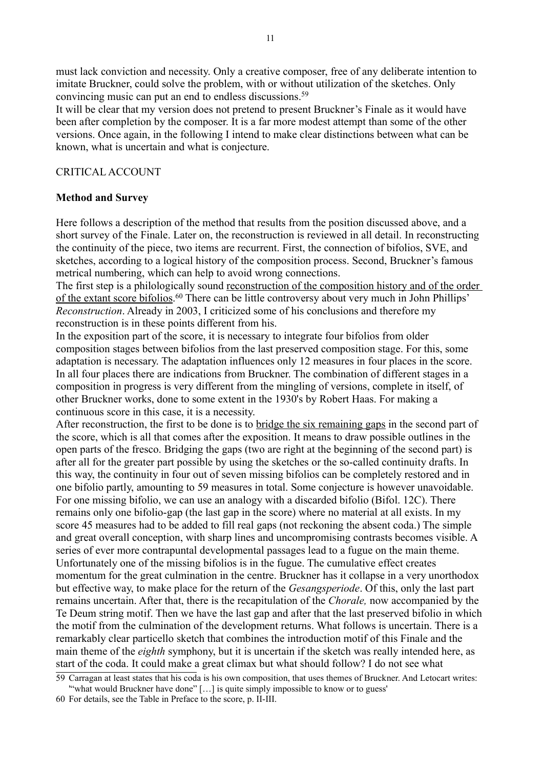must lack conviction and necessity. Only a creative composer, free of any deliberate intention to imitate Bruckner, could solve the problem, with or without utilization of the sketches. Only convincing music can put an end to endless discussions.<sup>[59](#page-10-0)</sup>

It will be clear that my version does not pretend to present Bruckner's Finale as it would have been after completion by the composer. It is a far more modest attempt than some of the other versions. Once again, in the following I intend to make clear distinctions between what can be known, what is uncertain and what is conjecture.

# CRITICAL ACCOUNT

# **Method and Survey**

Here follows a description of the method that results from the position discussed above, and a short survey of the Finale. Later on, the reconstruction is reviewed in all detail. In reconstructing the continuity of the piece, two items are recurrent. First, the connection of bifolios, SVE, and sketches, according to a logical history of the composition process. Second, Bruckner's famous metrical numbering, which can help to avoid wrong connections.

The first step is a philologically sound reconstruction of the composition history and of the order of the extant score bifolios.<sup>[60](#page-10-1)</sup> There can be little controversy about very much in John Phillips' *Reconstruction*. Already in 2003, I criticized some of his conclusions and therefore my reconstruction is in these points different from his.

In the exposition part of the score, it is necessary to integrate four bifolios from older composition stages between bifolios from the last preserved composition stage. For this, some adaptation is necessary. The adaptation influences only 12 measures in four places in the score. In all four places there are indications from Bruckner. The combination of different stages in a composition in progress is very different from the mingling of versions, complete in itself, of other Bruckner works, done to some extent in the 1930's by Robert Haas. For making a continuous score in this case, it is a necessity.

After reconstruction, the first to be done is to bridge the six remaining gaps in the second part of the score, which is all that comes after the exposition. It means to draw possible outlines in the open parts of the fresco. Bridging the gaps (two are right at the beginning of the second part) is after all for the greater part possible by using the sketches or the so-called continuity drafts. In this way, the continuity in four out of seven missing bifolios can be completely restored and in one bifolio partly, amounting to 59 measures in total. Some conjecture is however unavoidable. For one missing bifolio, we can use an analogy with a discarded bifolio (Bifol. 12C). There remains only one bifolio-gap (the last gap in the score) where no material at all exists. In my score 45 measures had to be added to fill real gaps (not reckoning the absent coda.) The simple and great overall conception, with sharp lines and uncompromising contrasts becomes visible. A series of ever more contrapuntal developmental passages lead to a fugue on the main theme. Unfortunately one of the missing bifolios is in the fugue. The cumulative effect creates momentum for the great culmination in the centre. Bruckner has it collapse in a very unorthodox but effective way, to make place for the return of the *Gesangsperiode*. Of this, only the last part remains uncertain. After that, there is the recapitulation of the *Chorale,* now accompanied by the Te Deum string motif. Then we have the last gap and after that the last preserved bifolio in which the motif from the culmination of the development returns. What follows is uncertain. There is a remarkably clear particello sketch that combines the introduction motif of this Finale and the main theme of the *eighth* symphony, but it is uncertain if the sketch was really intended here, as start of the coda. It could make a great climax but what should follow? I do not see what

<span id="page-10-0"></span><sup>59</sup> Carragan at least states that his coda is his own composition, that uses themes of Bruckner. And Letocart writes: "what would Bruckner have done" [...] is quite simply impossible to know or to guess'

<span id="page-10-1"></span><sup>60</sup> For details, see the Table in Preface to the score, p. II-III.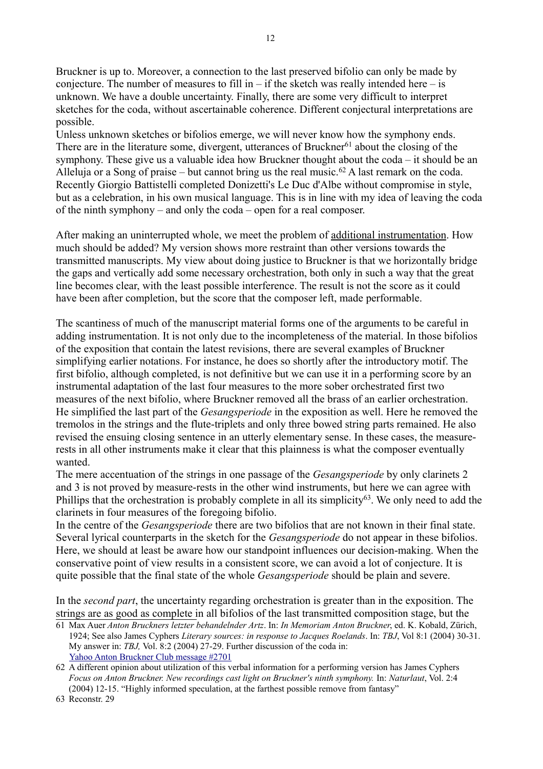Bruckner is up to. Moreover, a connection to the last preserved bifolio can only be made by conjecture. The number of measures to fill in – if the sketch was really intended here – is unknown. We have a double uncertainty. Finally, there are some very difficult to interpret sketches for the coda, without ascertainable coherence. Different conjectural interpretations are possible.

12

Unless unknown sketches or bifolios emerge, we will never know how the symphony ends. There are in the literature some, divergent, utterances of Bruckner<sup>[61](#page-11-0)</sup> about the closing of the symphony. These give us a valuable idea how Bruckner thought about the coda – it should be an Alleluja or a Song of praise – but cannot bring us the real music.<sup>[62](#page-11-1)</sup> A last remark on the coda. Recently Giorgio Battistelli completed Donizetti's Le Duc d'Albe without compromise in style, but as a celebration, in his own musical language. This is in line with my idea of leaving the coda of the ninth symphony – and only the coda – open for a real composer.

After making an uninterrupted whole, we meet the problem of additional instrumentation. How much should be added? My version shows more restraint than other versions towards the transmitted manuscripts. My view about doing justice to Bruckner is that we horizontally bridge the gaps and vertically add some necessary orchestration, both only in such a way that the great line becomes clear, with the least possible interference. The result is not the score as it could have been after completion, but the score that the composer left, made performable.

The scantiness of much of the manuscript material forms one of the arguments to be careful in adding instrumentation. It is not only due to the incompleteness of the material. In those bifolios of the exposition that contain the latest revisions, there are several examples of Bruckner simplifying earlier notations. For instance, he does so shortly after the introductory motif. The first bifolio, although completed, is not definitive but we can use it in a performing score by an instrumental adaptation of the last four measures to the more sober orchestrated first two measures of the next bifolio, where Bruckner removed all the brass of an earlier orchestration. He simplified the last part of the *Gesangsperiode* in the exposition as well. Here he removed the tremolos in the strings and the flute-triplets and only three bowed string parts remained. He also revised the ensuing closing sentence in an utterly elementary sense. In these cases, the measurerests in all other instruments make it clear that this plainness is what the composer eventually wanted.

The mere accentuation of the strings in one passage of the *Gesangsperiode* by only clarinets 2 and 3 is not proved by measure-rests in the other wind instruments, but here we can agree with Phillips that the orchestration is probably complete in all its simplicity<sup>[63](#page-11-2)</sup>. We only need to add the clarinets in four measures of the foregoing bifolio.

In the centre of the *Gesangsperiode* there are two bifolios that are not known in their final state. Several lyrical counterparts in the sketch for the *Gesangsperiode* do not appear in these bifolios. Here, we should at least be aware how our standpoint influences our decision-making. When the conservative point of view results in a consistent score, we can avoid a lot of conjecture. It is quite possible that the final state of the whole *Gesangsperiode* should be plain and severe.

In the *second part*, the uncertainty regarding orchestration is greater than in the exposition. The strings are as good as complete in all bifolios of the last transmitted composition stage, but the

<span id="page-11-0"></span>61 Max Auer *Anton Bruckners letzter behandelnder Artz*. In: *In Memoriam Anton Bruckner*, ed. K. Kobald, Zürich, 1924; See also James Cyphers *Literary sources: in response to Jacques Roelands*. In: *TBJ*, Vol 8:1 (2004) 30-31. My answer in: *TBJ,* Vol. 8:2 (2004) 27-29. Further discussion of the coda in: [Yahoo Anton Bruckner Club message #2701](https://groups.yahoo.com/neo/groups/antonbrucknerclub/conversations/messages/2701)

<span id="page-11-2"></span>63 Reconstr. 29

<span id="page-11-1"></span><sup>62</sup> A different opinion about utilization of this verbal information for a performing version has James Cyphers *Focus on Anton Bruckner. New recordings cast light on Bruckner's ninth symphony.* In: *Naturlaut*, Vol. 2:4 (2004) 12-15. "Highly informed speculation, at the farthest possible remove from fantasy"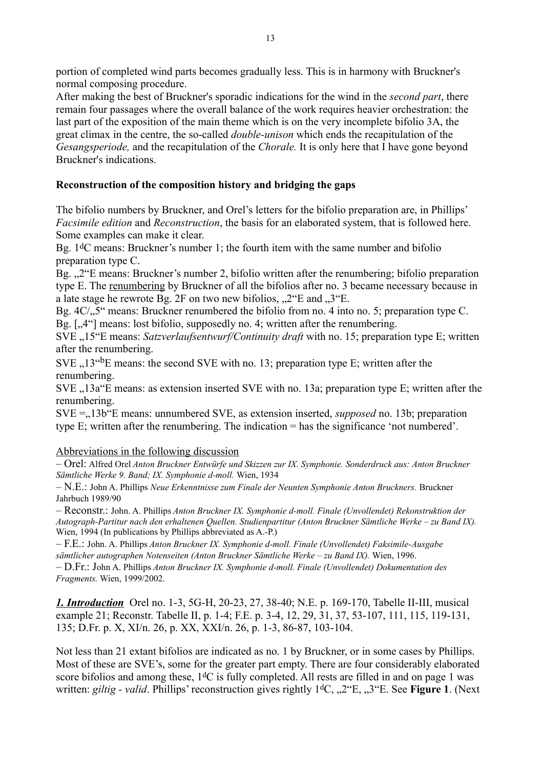portion of completed wind parts becomes gradually less. This is in harmony with Bruckner's normal composing procedure.

After making the best of Bruckner's sporadic indications for the wind in the *second part*, there remain four passages where the overall balance of the work requires heavier orchestration: the last part of the exposition of the main theme which is on the very incomplete bifolio 3A, the great climax in the centre, the so-called *double-unison* which ends the recapitulation of the *Gesangsperiode,* and the recapitulation of the *Chorale.* It is only here that I have gone beyond Bruckner's indications.

# **Reconstruction of the composition history and bridging the gaps**

The bifolio numbers by Bruckner, and Orel's letters for the bifolio preparation are, in Phillips' *Facsimile edition* and *Reconstruction*, the basis for an elaborated system, that is followed here. Some examples can make it clear.

Bg. 1dC means: Bruckner's number 1; the fourth item with the same number and bifolio preparation type C.

Bg. "<sup>2"</sup>E means: Bruckner's number 2, bifolio written after the renumbering; bifolio preparation type E. The renumbering by Bruckner of all the bifolios after no. 3 became necessary because in a late stage he rewrote Bg. 2F on two new bifolios,  $\mathcal{L}^{\prime\prime}$ E and  $\mathcal{L}^{\prime\prime}$ E.

Bg.  $4C/\sqrt{5}$ " means: Bruckner renumbered the bifolio from no. 4 into no. 5; preparation type C. Bg.  $\left[ \cdot, 4 \right]$  means: lost bifolio, supposedly no. 4; written after the renumbering.

SVE ..15<sup>"</sup>E means: *Satzverlaufsentwurf/Continuity draft* with no. 15; preparation type E; written after the renumbering.

 $SVE$ ,  $13<sup>4</sup>BE$  means: the second SVE with no. 13; preparation type E; written after the renumbering.

SVE "13a"E means: as extension inserted SVE with no. 13a; preparation type E; written after the renumbering.

SVE = 13b E means: unnumbered SVE, as extension inserted, *supposed* no. 13b; preparation type E; written after the renumbering. The indication = has the significance 'not numbered'.

# Abbreviations in the following discussion

– Orel: Alfred Orel *Anton Bruckner Entwürfe und Skizzen zur IX. Symphonie. Sonderdruck aus: Anton Bruckner Sämtliche Werke 9. Band; IX. Symphonie d-moll.* Wien, 1934

– N.E.: John A. Phillips *Neue Erkenntnisse zum Finale der Neunten Symphonie Anton Bruckners.* Bruckner Jahrbuch 1989/90

– Reconstr.: John. A. Phillips *Anton Bruckner IX. Symphonie d-moll. Finale (Unvollendet) Rekonstruktion der Autograph-Partitur nach den erhaltenen Quellen. Studienpartitur (Anton Bruckner Sämtliche Werke – zu Band IX).* Wien, 1994 (In publications by Phillips abbreviated as A.-P.)

– F.E.: John. A. Phillips *Anton Bruckner IX. Symphonie d-moll. Finale (Unvollendet) Faksimile-Ausgabe sämtlicher autographen Notenseiten (Anton Bruckner Sämtliche Werke – zu Band IX).* Wien, 1996.

– D.Fr.: John A. Phillips *Anton Bruckner IX. Symphonie d-moll. Finale (Unvollendet) Dokumentation des Fragments.* Wien, 1999/2002.

*1. Introduction* Orel no. 1-3, 5G-H, 20-23, 27, 38-40; N.E. p. 169-170, Tabelle II-III, musical example 21; Reconstr. Tabelle II, p. 1-4; F.E. p. 3-4, 12, 29, 31, 37, 53-107, 111, 115, 119-131, 135; D.Fr. p. X, XI/n. 26, p. XX, XXI/n. 26, p. 1-3, 86-87, 103-104.

Not less than 21 extant bifolios are indicated as no. 1 by Bruckner, or in some cases by Phillips. Most of these are SVE's, some for the greater part empty. There are four considerably elaborated score bifolios and among these,  $1<sup>d</sup>C$  is fully completed. All rests are filled in and on page 1 was written: giltig - valid. Phillips' reconstruction gives rightly 1<sup>d</sup>C, "2"E, "3"E. See **Figure 1**. (Next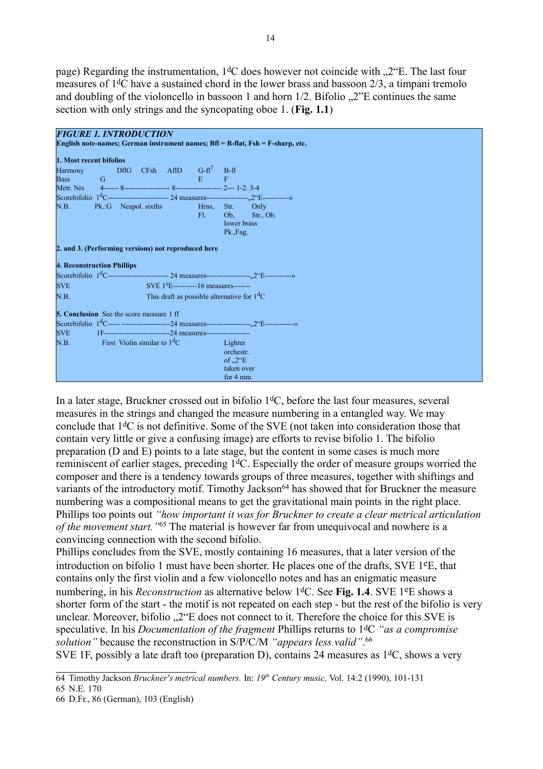page) Regarding the instrumentation,  $1\text{d}C$  does however not coincide with  $\mu$ <sup>o</sup>. The last four measures of 1dC have a sustained chord in the lower brass and bassoon 2/3, a timpani tremolo and doubling of the violoncello in bassoon 1 and horn  $1/2$ . Bifolio  $.2$ "E continues the same section with only strings and the syncopating oboe 1. (**Fig. 1.1**)

|                         | <b>FIGURE 1. INTRODUCTION</b>                       |                                              |                                                                                                                          |
|-------------------------|-----------------------------------------------------|----------------------------------------------|--------------------------------------------------------------------------------------------------------------------------|
|                         |                                                     |                                              | English note-names; German instrument names; $Bfl = B-flat$ , $Fsh = F-sharp$ , etc.                                     |
| 1. Most recent bifolios |                                                     |                                              |                                                                                                                          |
| Harmony                 | <b>CONTRACTOR</b>                                   | DflG $CFsh$ AflD $G-fl^7$ B-fl               |                                                                                                                          |
|                         |                                                     |                                              |                                                                                                                          |
|                         |                                                     |                                              |                                                                                                                          |
|                         |                                                     |                                              | Scorebifolio 1 <sup>d</sup> C------------------------- 24 measures----------------- <sub>-</sub> ,2"E------------>       |
|                         | N.B. Pk.:G Neapol. sixths Hrns, Str. Only           |                                              |                                                                                                                          |
|                         |                                                     | $FL = 1$                                     | Ob, Str., Ob.<br>lower brass                                                                                             |
|                         |                                                     |                                              | Pk., Fag.                                                                                                                |
|                         |                                                     |                                              |                                                                                                                          |
|                         | 2. and 3. (Performing versions) not reproduced here |                                              |                                                                                                                          |
|                         | <b>4. Reconstruction Phillips</b>                   |                                              |                                                                                                                          |
|                         |                                                     |                                              | Scorebifolio $1^d$ C-------------------------- 24 measures-------------------------------->>>>>>                         |
| <b>SVE</b>              |                                                     | SVE $1^e$ E----------16 measures-------      |                                                                                                                          |
| N.B.                    |                                                     | This draft as possible alternative for $1dC$ |                                                                                                                          |
|                         | <b>5. Conclusion</b> See the score measure 1 ff     |                                              |                                                                                                                          |
|                         |                                                     |                                              | Scorebifolio 1 <sup>d</sup> C----- ----------------------24 measures------------------ <sub>-,</sub> 2°E------------->>> |
|                         |                                                     |                                              |                                                                                                                          |
|                         | N.B. First Violin similar to $1dC$                  |                                              | <b>Example 1</b><br>Lighter                                                                                              |
|                         |                                                     |                                              | orchestr.                                                                                                                |
|                         |                                                     |                                              | of $\mathcal{L}^{\prime\prime}E$                                                                                         |
|                         |                                                     |                                              | taken over                                                                                                               |
|                         |                                                     |                                              | for 4 mm.                                                                                                                |

In a later stage, Bruckner crossed out in bifolio  $1<sup>d</sup>C$ , before the last four measures, several measures in the strings and changed the measure numbering in a entangled way. We may conclude that  $1<sup>d</sup>C$  is not definitive. Some of the SVE (not taken into consideration those that contain very little or give a confusing image) are efforts to revise bifolio 1. The bifolio preparation (D and E) points to a late stage, but the content in some cases is much more reminiscent of earlier stages, preceding 1<sup>d</sup>C. Especially the order of measure groups worried the composer and there is a tendency towards groups of three measures, together with shiftings and variants of the introductory motif. Timothy Jackson<sup>[64](#page-13-0)</sup> has showed that for Bruckner the measure numbering was a compositional means to get the gravitational main points in the right place. Phillips too points out *"how important it was for Bruckner to create a clear metrical articulation of the movement start."*[65](#page-13-1) The material is however far from unequivocal and nowhere is a convincing connection with the second bifolio.

Phillips concludes from the SVE, mostly containing 16 measures, that a later version of the introduction on bifolio 1 must have been shorter. He places one of the drafts, SVE 1eE, that contains only the first violin and a few violoncello notes and has an enigmatic measure numbering, in his *Reconstruction* as alternative below 1dC. See **Fig. 1.4**. SVE 1eE shows a shorter form of the start - the motif is not repeated on each step - but the rest of the bifolio is very unclear. Moreover, bifolio ..2 "E does not connect to it. Therefore the choice for this SVE is speculative. In his *Documentation of the fragment* Phillips returns to 1dC *"as a compromise solution"* because the reconstruction in S/P/C/M *"appears less valid"*. [66](#page-13-2) SVE 1F, possibly a late draft too (preparation D), contains 24 measures as  $1<sup>d</sup>C$ , shows a very

<span id="page-13-0"></span><sup>64</sup> Timothy Jackson *Bruckner's metrical numbers.* In: *19th Century music,* Vol. 14:2 (1990), 101-131

<span id="page-13-1"></span><sup>65</sup> N.E. 170

<span id="page-13-2"></span><sup>66</sup> D.Fr., 86 (German), 103 (English)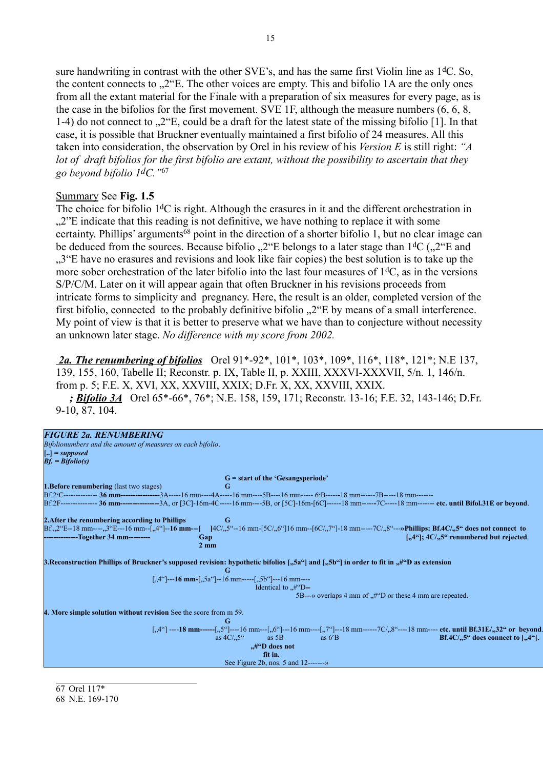sure handwriting in contrast with the other SVE's, and has the same first Violin line as  $1<sup>d</sup>C$ . So, the content connects to  $.2$ "E. The other voices are empty. This and bifolio 1A are the only ones from all the extant material for the Finale with a preparation of six measures for every page, as is the case in the bifolios for the first movement. SVE 1F, although the measure numbers (6, 6, 8, 1-4) do not connect to  $0.2$  E, could be a draft for the latest state of the missing bifolio [1]. In that case, it is possible that Bruckner eventually maintained a first bifolio of 24 measures. All this taken into consideration, the observation by Orel in his review of his *Version E* is still right: "A *lot of draft bifolios for the first bifolio are extant, without the possibility to ascertain that they go beyond bifolio 1dC."*[67](#page-14-0)

### Summary See **Fig. 1.5**

The choice for bifolio 1<sup>d</sup>C is right. Although the erasures in it and the different orchestration in "...2"E indicate that this reading is not definitive, we have nothing to replace it with some certainty. Phillips' arguments[68](#page-14-1) point in the direction of a shorter bifolio 1, but no clear image can be deduced from the sources. Because bifolio  $\mathcal{L}^{\prime\prime}$ E belongs to a later stage than  $1\text{d}C$  ( $\mathcal{L}^{\prime\prime}$ E and "3"E have no erasures and revisions and look like fair copies) the best solution is to take up the more sober orchestration of the later bifolio into the last four measures of  $1<sup>d</sup>C$ , as in the versions S/P/C/M. Later on it will appear again that often Bruckner in his revisions proceeds from intricate forms to simplicity and pregnancy. Here, the result is an older, completed version of the first bifolio, connected to the probably definitive bifolio  $\mathcal{L}^{\prime\prime}$ . E by means of a small interference. My point of view is that it is better to preserve what we have than to conjecture without necessity an unknown later stage. *No difference with my score from 2002.*

 *2a. The renumbering of bifolios* Orel 91\*-92\*, 101\*, 103\*, 109\*, 116\*, 118\*, 121\*; N.E 137, 139, 155, 160, Tabelle II; Reconstr. p. IX, Table II, p. XXIII, XXXVI-XXXVII, 5/n. 1, 146/n. from p. 5; F.E. X, XVI, XX, XXVIII, XXIX; D.Fr. X, XX, XXVIII, XXIX. *; Bifolio 3A* Orel 65\*-66\*, 76\*; N.E. 158, 159, 171; Reconstr. 13-16; F.E. 32, 143-146; D.Fr. 9-10, 87, 104.

| <b>FIGURE 2a. RENUMBERING</b><br>Bifolionumbers and the amount of measures on each bifolio.<br>$\left[\ldots\right] = supposed$<br>$Bf = Bifolio(s)$                                                                                                                                                                                                                                                                                                                      |
|---------------------------------------------------------------------------------------------------------------------------------------------------------------------------------------------------------------------------------------------------------------------------------------------------------------------------------------------------------------------------------------------------------------------------------------------------------------------------|
| $G =$ start of the 'Gesangsperiode'<br><b>1. Before renumbering</b> (last two stages)<br>G<br>Bf.2°C--------------- 36 mm-----------------3A-----16 mm----4A-----16 mm-----5B----16 mm------ 6°B------18 mm-------7B-----18 mm-------<br>Bf.2F---------------- 36 mm-----------------3A, or [3C]-16m-4C-----16 mm----5B, or [5C]-16m-[6C]------18 mm------7C-----18 mm------- etc. until Bifol.31E or beyond.                                                             |
| 2. After the renumbering according to Phillips<br>G<br>$Bf_{n,2}$ <sup>o</sup> E--18 mm-----,3 <sup>o</sup> E---16 mm---[,4 <sup>oc</sup> ]--16 mm---[   4C/,,5 <sup>oc</sup> --16 mm-[5C/,,6 <sup>oc</sup> ]16 mm--[6C/,7 <sup>oc</sup> ]-18 mm-----7C/,8 <sup>oc</sup> ---»Phillips: Bf.4C/,,5 <sup>oc</sup> does not connect to<br>$[.,4^{\circ\circ}]; 4C/.,5^{\circ\circ}$ renumbered but rejected.<br>-------------Together 34 mm---------<br>Gap<br>$2 \text{ mm}$ |
| 3. Reconstruction Phillips of Bruckner's supposed revision: hypothetic bifolios ["5a"] and ["5b"] in order to fit in "#"D as extension<br>G<br>[,,4"]---16 mm-[,,5a"]--16 mm-----[,,5b"]---16 mm----<br>Identical to $\mathcal{H}^{\prime\prime}$ D--<br>5B--->> overlaps 4 mm of $\mu$ <sup>"</sup> D or these 4 mm are repeated.                                                                                                                                        |
| 4. More simple solution without revision See the score from m 59.<br>G<br>[,,4"] ----18 mm------[,,5"]----16 mm----[,,6"]---16 mm----[,,7"]---18 mm------7C/,,8"----18 mm---- etc. until Bf.31E/,,32" or beyond.<br>as $4C/.5^{\alpha}$ as 5B<br>as $6^{\circ}B$<br>Bf.4C/ $,5$ " does connect to [ $,4$ "].<br>#O does not<br>fit in.<br>See Figure 2b, nos. $5$ and $12$ ------->>                                                                                      |

<span id="page-14-1"></span><span id="page-14-0"></span>67 Orel 117\* 68 N.E. 169-170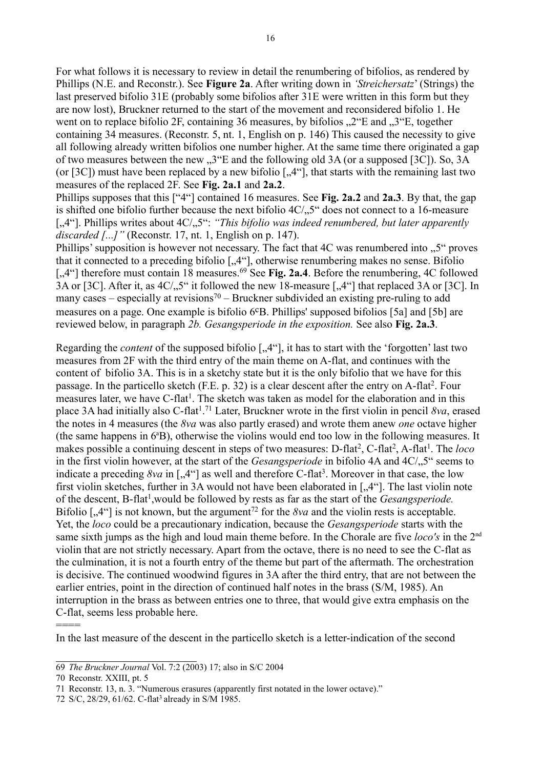For what follows it is necessary to review in detail the renumbering of bifolios, as rendered by Phillips (N.E. and Reconstr.). See **Figure 2a**. After writing down in *'Streichersatz*' (Strings) the last preserved bifolio 31E (probably some bifolios after 31E were written in this form but they are now lost), Bruckner returned to the start of the movement and reconsidered bifolio 1. He went on to replace bifolio 2F, containing 36 measures, by bifolios  $\mathcal{L}^{\prime\prime}$ E and  $\mathcal{L}^{\prime\prime}$ . together containing 34 measures. (Reconstr. 5, nt. 1, English on p. 146) This caused the necessity to give all following already written bifolios one number higher. At the same time there originated a gap of two measures between the new  $\mathcal{F}^3$ . The following old 3A (or a supposed [3C]). So, 3A (or [3C]) must have been replaced by a new bifolio  $[,4^\circ]$ , that starts with the remaining last two measures of the replaced 2F. See **Fig. 2a.1** and **2a.2**.

Phillips supposes that this ["4"] contained 16 measures. See **Fig. 2a.2** and **2a.3**. By that, the gap is shifted one bifolio further because the next bifolio  $4C/15$  does not connect to a 16-measure [..4"]. Phillips writes about 4C/..5": *"This bifolio was indeed renumbered, but later apparently discarded [...]"* (Reconstr. 17, nt. 1, English on p. 147).

Phillips' supposition is however not necessary. The fact that  $4C$  was renumbered into  $0.5$ " proves that it connected to a preceding bifolio ["4"], otherwise renumbering makes no sense. Bifolio [.,4"] therefore must contain 18 measures.<sup>[69](#page-15-0)</sup> See Fig. 2a.4. Before the renumbering, 4C followed 3A or [3C]. After it, as  $4C/15$ " it followed the new 18-measure  $[1.4$ "] that replaced 3A or [3C]. In many cases – especially at revisions<sup>[70](#page-15-1)</sup> – Bruckner subdivided an existing pre-ruling to add measures on a page. One example is bifolio 6<sup>c</sup>B. Phillips' supposed bifolios [5a] and [5b] are reviewed below, in paragraph *2b. Gesangsperiode in the exposition.* See also **Fig. 2a.3**.

Regarding the *content* of the supposed bifolio [..4"], it has to start with the 'forgotten' last two measures from 2F with the third entry of the main theme on A-flat, and continues with the content of bifolio 3A. This is in a sketchy state but it is the only bifolio that we have for this passage. In the particello sketch (F.E. p. 32) is a clear descent after the entry on A-flat<sup>2</sup>. Four measures later, we have C-flat<sup>1</sup>. The sketch was taken as model for the elaboration and in this place 3A had initially also C-flat<sup>1 [71](#page-15-2)</sup> Later, Bruckner wrote in the first violin in pencil 8va, erased the notes in 4 measures (the *8va* was also partly erased) and wrote them anew *one* octave higher (the same happens in  $6^{\circ}B$ ), otherwise the violins would end too low in the following measures. It makes possible a continuing descent in steps of two measures: D-flat<sup>2</sup>, C-flat<sup>2</sup>, A-flat<sup>1</sup>. The *loco* in the first violin however, at the start of the *Gesangsperiode* in bifolio 4A and 4C/..5" seems to indicate a preceding  $8va$  in  $[, 4^{\circ}]$  as well and therefore C-flat<sup>3</sup>. Moreover in that case, the low first violin sketches, further in 3A would not have been elaborated in  $[.,4'']$ . The last violin note of the descent, B-flat<sup>1</sup>, would be followed by rests as far as the start of the *Gesangsperiode*. Bifolio  $\left[ .,4\right]$  is not known, but the argument<sup>[72](#page-15-3)</sup> for the *8va* and the violin rests is acceptable. Yet, the *loco* could be a precautionary indication, because the *Gesangsperiode* starts with the same sixth jumps as the high and loud main theme before. In the Chorale are five *loco's* in the 2nd violin that are not strictly necessary. Apart from the octave, there is no need to see the C-flat as the culmination, it is not a fourth entry of the theme but part of the aftermath. The orchestration is decisive. The continued woodwind figures in 3A after the third entry, that are not between the earlier entries, point in the direction of continued half notes in the brass (S/M, 1985). An interruption in the brass as between entries one to three, that would give extra emphasis on the C-flat, seems less probable here.

In the last measure of the descent in the particello sketch is a letter-indication of the second

====

<span id="page-15-0"></span><sup>69</sup> *The Bruckner Journal* Vol. 7:2 (2003) 17; also in S/C 2004

<span id="page-15-1"></span><sup>70</sup> Reconstr. XXIII, pt. 5

<span id="page-15-2"></span><sup>71</sup> Reconstr. 13, n. 3. "Numerous erasures (apparently first notated in the lower octave)."

<span id="page-15-3"></span><sup>72</sup> S/C, 28/29, 61/62. C-flat<sup>3</sup> already in S/M 1985.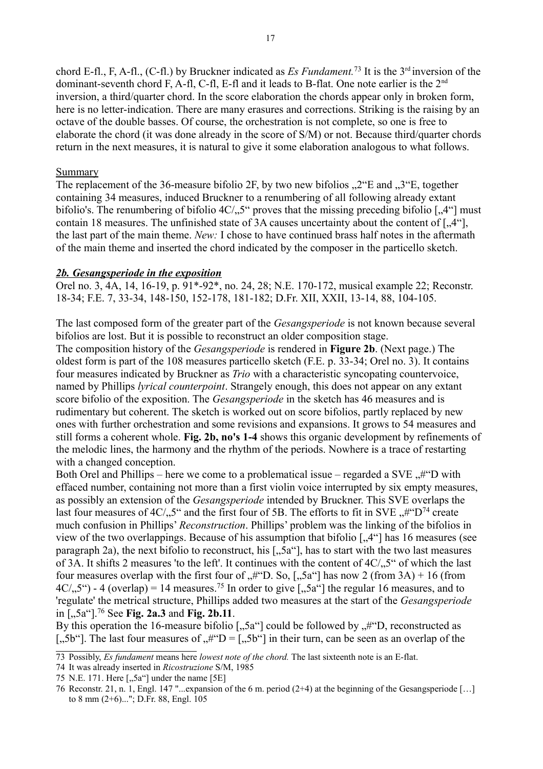chord E-fl., F, A-fl., (C-fl.) by Bruckner indicated as *Es Fundament*.<sup>[73](#page-16-0)</sup> It is the 3<sup>rd</sup> inversion of the dominant-seventh chord F, A-fl, C-fl, E-fl and it leads to B-flat. One note earlier is the 2<sup>nd</sup> inversion, a third/quarter chord. In the score elaboration the chords appear only in broken form, here is no letter-indication. There are many erasures and corrections. Striking is the raising by an octave of the double basses. Of course, the orchestration is not complete, so one is free to elaborate the chord (it was done already in the score of S/M) or not. Because third/quarter chords return in the next measures, it is natural to give it some elaboration analogous to what follows.

# **Summary**

The replacement of the 36-measure bifolio 2F, by two new bifolios  $\mathcal{L}^{\prime\prime}$ .  $\mathcal{L}^{\prime\prime}$  and  $\mathcal{L}^{\prime\prime}$ . together containing 34 measures, induced Bruckner to a renumbering of all following already extant bifolio's. The renumbering of bifolio  $4C/0.5$ " proves that the missing preceding bifolio [ $0.4$ "] must contain 18 measures. The unfinished state of 3A causes uncertainty about the content of  $[,4^\circ]$ , the last part of the main theme. *New:* I chose to have continued brass half notes in the aftermath of the main theme and inserted the chord indicated by the composer in the particello sketch.

### *2b. Gesangsperiode in the exposition*

Orel no. 3, 4A, 14, 16-19, p. 91\*-92\*, no. 24, 28; N.E. 170-172, musical example 22; Reconstr. 18-34; F.E. 7, 33-34, 148-150, 152-178, 181-182; D.Fr. XII, XXII, 13-14, 88, 104-105.

The last composed form of the greater part of the *Gesangsperiode* is not known because several bifolios are lost. But it is possible to reconstruct an older composition stage.

The composition history of the *Gesangsperiode* is rendered in **Figure 2b**. (Next page.) The oldest form is part of the 108 measures particello sketch (F.E. p. 33-34; Orel no. 3). It contains four measures indicated by Bruckner as *Trio* with a characteristic syncopating countervoice, named by Phillips *lyrical counterpoint*. Strangely enough, this does not appear on any extant score bifolio of the exposition. The *Gesangsperiode* in the sketch has 46 measures and is rudimentary but coherent. The sketch is worked out on score bifolios, partly replaced by new ones with further orchestration and some revisions and expansions. It grows to 54 measures and still forms a coherent whole. **Fig. 2b, no's 1-4** shows this organic development by refinements of the melodic lines, the harmony and the rhythm of the periods. Nowhere is a trace of restarting with a changed conception.

Both Orel and Phillips – here we come to a problematical issue – regarded a SVE  $#$ "D with effaced number, containing not more than a first violin voice interrupted by six empty measures, as possibly an extension of the *Gesangsperiode* intended by Bruckner. This SVE overlaps the last four measures of  $4C/0.5$ " and the first four of 5B. The efforts to fit in SVE  $\mu$ "D<sup>[74](#page-16-1)</sup> create much confusion in Phillips' *Reconstruction*. Phillips' problem was the linking of the bifolios in view of the two overlappings. Because of his assumption that bifolio  $\left[.,4\right]$  has 16 measures (see paragraph 2a), the next bifolio to reconstruct, his  $\left[ ., 5a^{(1)} \right]$ , has to start with the two last measures of 3A. It shifts 2 measures 'to the left'. It continues with the content of 4C/, 5" of which the last four measures overlap with the first four of  $\#^nD$ . So, [ $\#^nD$ ] has now 2 (from 3A) + 16 (from  $4C<sub>1</sub>, 5$ ") - 4 (overlap) = 14 measures.<sup>[75](#page-16-2)</sup> In order to give [ $\sqrt{5}a$ "] the regular 16 measures, and to 'regulate' the metrical structure, Phillips added two measures at the start of the *Gesangsperiode* in ["5a"].[76](#page-16-3) See **Fig. 2a.3** and **Fig. 2b.11**.

By this operation the 16-measure bifolio  $\left[$ , 5a"] could be followed by  $\pi$ <sup>4"</sup>D, reconstructed as [.,5b"]. The last four measures of  $H^{\prime\prime}D = [0.5b^{\prime\prime}]$  in their turn, can be seen as an overlap of the

<span id="page-16-0"></span><sup>73</sup> Possibly, *Es fundament* means here *lowest note of the chord.* The last sixteenth note is an E-flat.

<span id="page-16-1"></span><sup>74</sup> It was already inserted in *Ricostruzione* S/M, 1985

<span id="page-16-2"></span><sup>75</sup> N.E. 171. Here  $[, 5a^{\circ}]$  under the name  $[5E]$ 

<span id="page-16-3"></span><sup>76</sup> Reconstr. 21, n. 1, Engl. 147 "...expansion of the 6 m. period (2+4) at the beginning of the Gesangsperiode […] to 8 mm (2+6)..."; D.Fr. 88, Engl. 105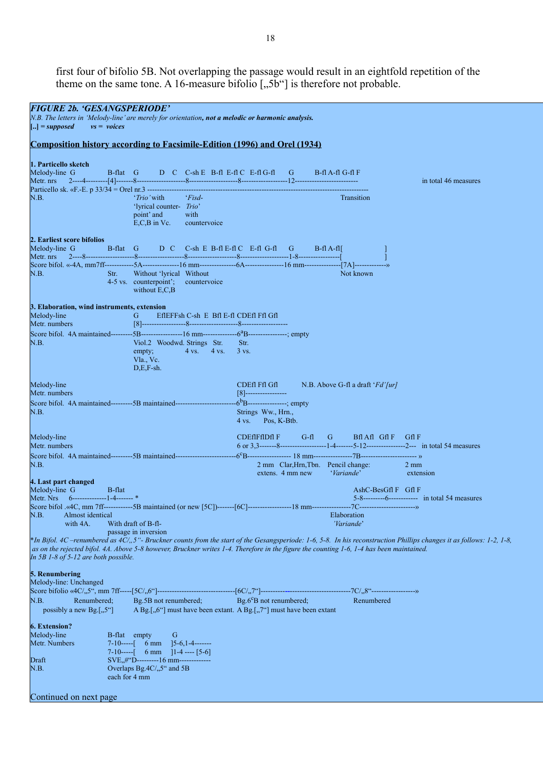first four of bifolio 5B. Not overlapping the passage would result in an eightfold repetition of the theme on the same tone. A 16-measure bifolio  $[, 5b^{\prime\prime}]$  is therefore not probable.

| <b>FIGURE 2b. 'GESANGSPERIODE'</b>                                                                                                                              |                                                                                                                                                                               |                                                                                                                  |                  |                                                                             |                                                                                                                                                                                                                                        |
|-----------------------------------------------------------------------------------------------------------------------------------------------------------------|-------------------------------------------------------------------------------------------------------------------------------------------------------------------------------|------------------------------------------------------------------------------------------------------------------|------------------|-----------------------------------------------------------------------------|----------------------------------------------------------------------------------------------------------------------------------------------------------------------------------------------------------------------------------------|
| N.B. The letters in 'Melody-line' are merely for orientation, not a melodic or harmonic analysis.<br>$\left[\ldots\right] = supposed$<br>$vs = \text{voces}$    |                                                                                                                                                                               |                                                                                                                  |                  |                                                                             |                                                                                                                                                                                                                                        |
| <b>Composition history according to Facsimile-Edition (1996) and Orel (1934)</b>                                                                                |                                                                                                                                                                               |                                                                                                                  |                  |                                                                             |                                                                                                                                                                                                                                        |
| 1. Particello sketch<br>Melody-line G                                                                                                                           | B-flat G D C C-sh E B-fl E-fl C E-fl G-fl G B-fl A-fl G-fl F                                                                                                                  |                                                                                                                  |                  |                                                                             | in total 46 measures                                                                                                                                                                                                                   |
| N.B.                                                                                                                                                            | ' <i>Trio</i> ' with<br>Fisd<br>'lyrical counter- Trio'<br>point' and with<br>$E, C, B$ in Vc.<br>countervoice                                                                |                                                                                                                  |                  | Transition                                                                  |                                                                                                                                                                                                                                        |
| 2. Earliest score bifolios<br>Melody-line G<br>Metr. nrs<br>N.B.<br>Str.                                                                                        | B-flat G D C C-sh E B-fl E-fl C E-fl G-fl G B-fl A-fl<br>Without 'lyrical Without<br>4-5 vs. counterpoint'; countervoice<br>without $E, C, B$                                 |                                                                                                                  |                  | Not known                                                                   |                                                                                                                                                                                                                                        |
| 3. Elaboration, wind instruments, extension<br>Melody-line<br>Metr. numbers<br>N.B.                                                                             | EflEFFsh C-sh E Bfl E-fl CDEfl Ffl Gfl<br>G<br>Viol.2 Woodwd. Strings Str.<br>empty; $4 \text{ vs. } 4 \text{ vs. } 3 \text{ vs. }$<br>Vla, Vc.<br>$D.E.F-sh.$                | Str.                                                                                                             |                  |                                                                             |                                                                                                                                                                                                                                        |
| Melody-line<br>Metr. numbers<br>Score bifol. 4A maintained---------5B maintained-------------------------------6 <sup>b</sup> B-----------------; empty<br>N.B. |                                                                                                                                                                               | CDEfl Ffl Gfl<br>[8]------------------<br>Strings Ww., Hrn.,<br>$4 \text{ vs.} \qquad \text{Pos}, \text{K-Btb}.$ |                  | $N.B.$ Above G-fl a draft ' $Fd'/ur$ ]                                      |                                                                                                                                                                                                                                        |
| Melody-line<br>Metr. numbers<br>N.B.                                                                                                                            |                                                                                                                                                                               |                                                                                                                  |                  | CDEfIFfIDfIF G-fl G BflAfl GflF GflF<br>2 mm Clar, Hrn, Tbn. Pencil change: | $2 \text{ mm}$                                                                                                                                                                                                                         |
| 4. Last part changed<br>Melody-line G B-flat<br>Metr. Nrs 6--------------1-4-------*<br>N.B.<br>Almost identical<br>with 4A.                                    | With draft of B-fl-<br>passage in inversion                                                                                                                                   |                                                                                                                  | extens. 4 mm new | <i>'Variande'</i><br>$AshC-BesGfIF$ Gfl F<br>Elaboration<br>'Variande'      | extension<br>5-8----------6------------- in total 54 measures<br>*In Bifol. 4C –renumbered as 4C/,,5"- Bruckner counts from the start of the Gesangsperiode: 1-6, 5-8. In his reconstruction Phillips changes it as follows: 1-2, 1-8, |
| In 5B 1-8 of 5-12 are both possible.                                                                                                                            | as on the rejected bifol. 4A. Above 5-8 however, Bruckner writes 1-4. Therefore in the figure the counting 1-6, 1-4 has been maintained.                                      |                                                                                                                  |                  |                                                                             |                                                                                                                                                                                                                                        |
| 5. Renumbering<br>Melody-line: Unchanged<br>Renumbered;<br>N.B.<br>possibly a new Bg.[,5"]                                                                      | Bg.5B not renumbered;<br>A Bg.[,,6"] must have been extant. A Bg.[,,7"] must have been extant                                                                                 | $\text{Bg.6}^{\text{c}}\text{B}$ not renumbered;                                                                 |                  | Renumbered                                                                  |                                                                                                                                                                                                                                        |
| <b>6. Extension?</b><br>Melody-line<br>B-flat empty<br>Metr. Numbers<br>Draft<br>N.B.<br>each for 4 mm<br>Continued on next page                                | G<br>7-10-----[ $6 \text{ mm}$ ]5-6,1-4-------<br>7-10-----[ $6 \text{ mm}$ ]1-4 ---- [5-6]<br>SVE, #"D---------16 mm--------------<br>Overlaps Bg.4C/ <sub>25</sub> " and 5B |                                                                                                                  |                  |                                                                             |                                                                                                                                                                                                                                        |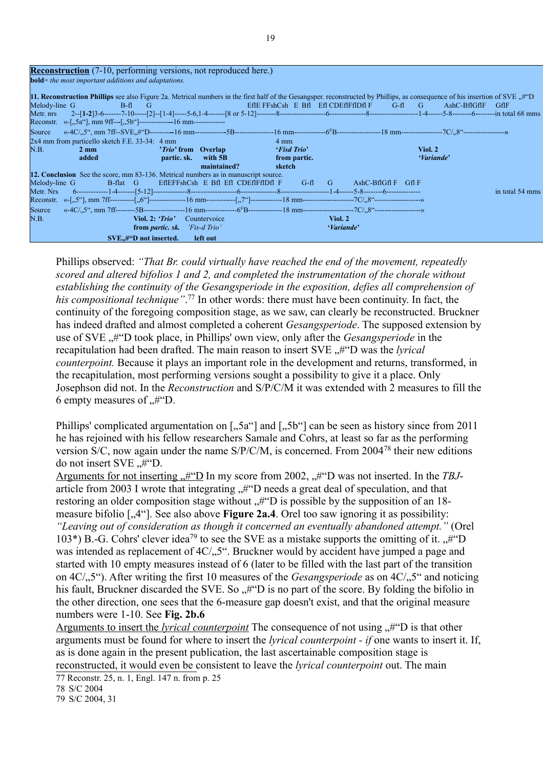| <b>Reconstruction</b> (7-10, performing versions, not reproduced here.)                                                                                                                           |                                                                                                                          |                                            |                |                                             |                      |              |                 |
|---------------------------------------------------------------------------------------------------------------------------------------------------------------------------------------------------|--------------------------------------------------------------------------------------------------------------------------|--------------------------------------------|----------------|---------------------------------------------|----------------------|--------------|-----------------|
| <b>bold</b> = the most important additions and adaptations.                                                                                                                                       |                                                                                                                          |                                            |                |                                             |                      |              |                 |
| 11. Reconstruction Phillips see also Figure 2a. Metrical numbers in the first half of the Gesangsper. reconstructed by Phillips, as consequence of his insertion of SVE $\mu$ "D<br>Melody-line G | B-fl G<br>and the state of the state of the state of the state of the state of the state of the state of the state of th |                                            |                | EffE FFshCsh E Bfl Efl CDEfIFfIDfl F G-fl G |                      | AshC-BflGflF | - Gf1F          |
| Reconstr. «-[,,5a"], mm 9ff---[,,5b"]---------------16 mm---------------                                                                                                                          |                                                                                                                          |                                            |                |                                             |                      |              |                 |
| Source                                                                                                                                                                                            |                                                                                                                          |                                            |                |                                             |                      |              |                 |
| 2x4 mm from particello sketch F.E. 33-34: 4 mm                                                                                                                                                    |                                                                                                                          |                                            | $4 \text{ mm}$ |                                             |                      |              |                 |
| N.B.<br>$2 \text{ mm}$                                                                                                                                                                            | ' <i>Trio</i> ' from Overlap                                                                                             |                                            | 'Fisd Trio'    |                                             | Viol. 2              |              |                 |
| added                                                                                                                                                                                             | partic. sk. with 5B                                                                                                      |                                            | from partic.   |                                             |                      | 'Variande'   |                 |
|                                                                                                                                                                                                   |                                                                                                                          | maintained?                                | sketch         |                                             |                      |              |                 |
| <b>12. Conclusion</b> See the score, mm 83-136. Metrical numbers as in manuscript source.                                                                                                         |                                                                                                                          |                                            |                |                                             |                      |              |                 |
| Melody-line G                                                                                                                                                                                     | B-flat G                                                                                                                 | EflEFFshCsh E Bfl Efl CDEflFflDfl F G-fl G |                |                                             | $AshC-BflGflF$ Gfl F |              |                 |
|                                                                                                                                                                                                   |                                                                                                                          |                                            |                |                                             |                      |              | in total 54 mms |
|                                                                                                                                                                                                   |                                                                                                                          |                                            |                |                                             |                      |              |                 |
| Source                                                                                                                                                                                            |                                                                                                                          |                                            |                |                                             |                      |              |                 |
| N.B.                                                                                                                                                                                              | Viol. 2: $'Trio'$<br>Countervoice                                                                                        |                                            |                | Viol. 2                                     |                      |              |                 |
|                                                                                                                                                                                                   | <b>from partic. sk.</b> <i>'Fis-d Trio'</i>                                                                              |                                            |                | 'Variande'                                  |                      |              |                 |
|                                                                                                                                                                                                   | SVE,#"D not inserted.<br>left out                                                                                        |                                            |                |                                             |                      |              |                 |

Phillips observed: *"That Br. could virtually have reached the end of the movement, repeatedly scored and altered bifolios 1 and 2, and completed the instrumentation of the chorale without establishing the continuity of the Gesangsperiode in the exposition, defies all comprehension of*  his compositional technique".<sup>[77](#page-18-0)</sup> In other words: there must have been continuity. In fact, the continuity of the foregoing composition stage, as we saw, can clearly be reconstructed. Bruckner has indeed drafted and almost completed a coherent *Gesangsperiode*. The supposed extension by use of SVE  $\#^{\alpha}$  took place, in Phillips' own view, only after the *Gesangsperiode* in the recapitulation had been drafted. The main reason to insert SVE "#"D was the *lyrical counterpoint.* Because it plays an important role in the development and returns, transformed, in the recapitulation, most performing versions sought a possibility to give it a place. Only Josephson did not. In the *Reconstruction* and S/P/C/M it was extended with 2 measures to fill the 6 empty measures of  $H^{\prime\prime}$ D.

Phillips' complicated argumentation on  $\left[.,5a\right]$  and  $\left[.,5b\right]$  can be seen as history since from 2011 he has rejoined with his fellow researchers Samale and Cohrs, at least so far as the performing version S/C, now again under the name S/P/C/M, is concerned. From 2004[78](#page-18-1) their new editions do not insert  $SVE \, .#^{\prime\prime}D$ .

Arguments for not inserting  $\#^{\alpha}D$  In my score from 2002,  $\#^{\alpha}D$  was not inserted. In the *TBJ*article from 2003 I wrote that integrating  $\#^n$  needs a great deal of speculation, and that restoring an older composition stage without  $\mathcal{H}^{\prime\prime}$  is possible by the supposition of an 18measure bifolio [,4"]. See also above **Figure 2a.4**. Orel too saw ignoring it as possibility: *"Leaving out of consideration as though it concerned an eventually abandoned attempt."* (Orel 103\*) B.-G. Cohrs' clever idea<sup>[79](#page-18-2)</sup> to see the SVE as a mistake supports the omitting of it.  $\#^2D$ was intended as replacement of  $4C/0.5$ ". Bruckner would by accident have jumped a page and started with 10 empty measures instead of 6 (later to be filled with the last part of the transition on 4C/<sub>1</sub>,5<sup>c</sup>). After writing the first 10 measures of the *Gesangsperiode* as on 4C/1,5<sup>c</sup> and noticing his fault, Bruckner discarded the SVE. So  $\mu$ "D is no part of the score. By folding the bifolio in the other direction, one sees that the 6-measure gap doesn't exist, and that the original measure numbers were 1-10. See **Fig. 2b.6**

Arguments to insert the *lyrical counterpoint* The consequence of not using  $\#^{\alpha}D$  is that other arguments must be found for where to insert the *lyrical counterpoint - if* one wants to insert it. If, as is done again in the present publication, the last ascertainable composition stage is reconstructed, it would even be consistent to leave the *lyrical counterpoint* out. The main

<span id="page-18-0"></span><sup>77</sup> Reconstr. 25, n. 1, Engl. 147 n. from p. 25

<span id="page-18-1"></span><sup>78</sup> S/C 2004

<span id="page-18-2"></span><sup>79</sup> S/C 2004, 31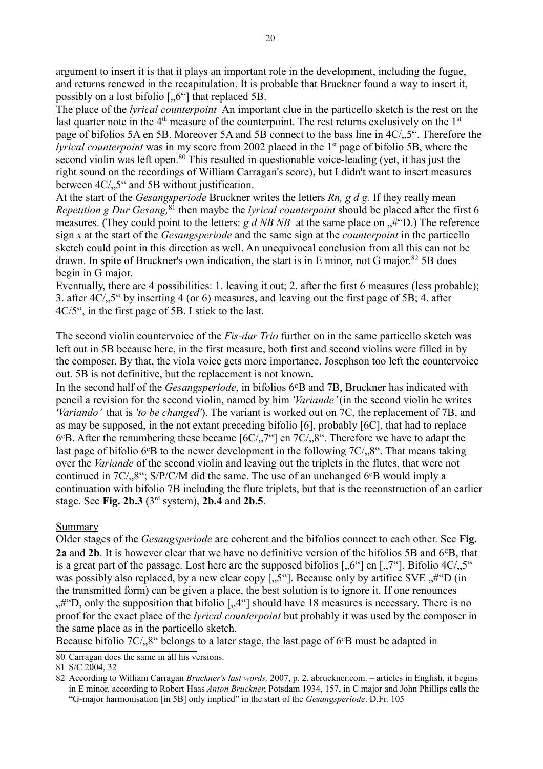argument to insert it is that it plays an important role in the development, including the fugue, and returns renewed in the recapitulation. It is probable that Bruckner found a way to insert it, possibly on a lost bifolio  $\left[ \cdot, 6\right]$  that replaced 5B.

 The place of the *lyrical counterpoint* An important clue in the particello sketch is the rest on the last quarter note in the  $4<sup>th</sup>$  measure of the counterpoint. The rest returns exclusively on the  $1<sup>st</sup>$ page of bifolios 5A en 5B. Moreover 5A and 5B connect to the bass line in 4C/, 5". Therefore the *lyrical counterpoint* was in my score from 2002 placed in the 1<sup>st</sup> page of bifolio 5B, where the second violin was left open.<sup>[80](#page-19-0)</sup> This resulted in questionable voice-leading (yet, it has just the right sound on the recordings of William Carragan's score), but I didn't want to insert measures between  $4C/15$ " and 5B without justification.

At the start of the *Gesangsperiode* Bruckner writes the letters *Rn, g d g.* If they really mean *Repetition g Dur Gesang,*[81](#page-19-1) then maybe the *lyrical counterpoint* should be placed after the first 6 measures. (They could point to the letters:  $g d NB NB$  at the same place on  $#$ "D.) The reference sign *x* at the start of the *Gesangsperiode* and the same sign at the *counterpoint* in the particello sketch could point in this direction as well. An unequivocal conclusion from all this can not be drawn. In spite of Bruckner's own indication, the start is in E minor, not G major.<sup>[82](#page-19-2)</sup> 5B does begin in G major.

Eventually, there are 4 possibilities: 1. leaving it out; 2. after the first 6 measures (less probable); 3. after  $4C/15$  by inserting 4 (or 6) measures, and leaving out the first page of 5B; 4. after 4C/5", in the first page of 5B. I stick to the last.

The second violin countervoice of the *Fis-dur Trio* further on in the same particello sketch was left out in 5B because here, in the first measure, both first and second violins were filled in by the composer. By that, the viola voice gets more importance. Josephson too left the countervoice out. 5B is not definitive, but the replacement is not known**.**

In the second half of the *Gesangsperiode*, in bifolios 6<sup>c</sup>B and 7B, Bruckner has indicated with pencil a revision for the second violin, named by him *'Variande'* (in the second violin he writes *'Variando'* that is *'to be changed'*). The variant is worked out on 7C, the replacement of 7B, and as may be supposed, in the not extant preceding bifolio [6], probably [6C], that had to replace  $6$ <sup>c</sup>B. After the renumbering these became  $[6C/7]$  en  $7C/7$ <sup>o</sup>. Therefore we have to adapt the last page of bifolio 6°B to the newer development in the following  $7C/0.8$ ". That means taking over the *Variande* of the second violin and leaving out the triplets in the flutes, that were not continued in  $7C/9.8$ "; S/P/C/M did the same. The use of an unchanged  $6^{\circ}B$  would imply a continuation with bifolio 7B including the flute triplets, but that is the reconstruction of an earlier stage. See **Fig. 2b.3** (3rd system), **2b.4** and **2b.5**.

# **Summary**

Older stages of the *Gesangsperiode* are coherent and the bifolios connect to each other. See **Fig. 2a** and **2b**. It is however clear that we have no definitive version of the bifolios 5B and 6cB, that is a great part of the passage. Lost here are the supposed bifolios  $[0.6^\circ]$  en  $[0.7^\circ]$ . Bifolio  $4C/0.5^\circ$ was possibly also replaced, by a new clear copy  $[, 5\degree]$ . Because only by artifice SVE  $, #$  <sup>o</sup>D (in the transmitted form) can be given a place, the best solution is to ignore it. If one renounces  $,$ #"D, only the supposition that bifolio [ $,$ 4"] should have 18 measures is necessary. There is no proof for the exact place of the *lyrical counterpoint* but probably it was used by the composer in the same place as in the particello sketch.

Because bifolio  $7C/3$ <sup>ec</sup> belongs to a later stage, the last page of  $6^{\circ}B$  must be adapted in

<span id="page-19-0"></span><sup>80</sup> Carragan does the same in all his versions.

<span id="page-19-1"></span><sup>81</sup> S/C 2004, 32

<span id="page-19-2"></span><sup>82</sup> According to William Carragan *Bruckner's last words,* 2007, p. 2. abruckner.com. – articles in English, it begins in E minor, according to Robert Haas *Anton Bruckner*, Potsdam 1934, 157, in C major and John Phillips calls the "G-major harmonisation [in 5B] only implied" in the start of the *Gesangsperiode*. D.Fr. 105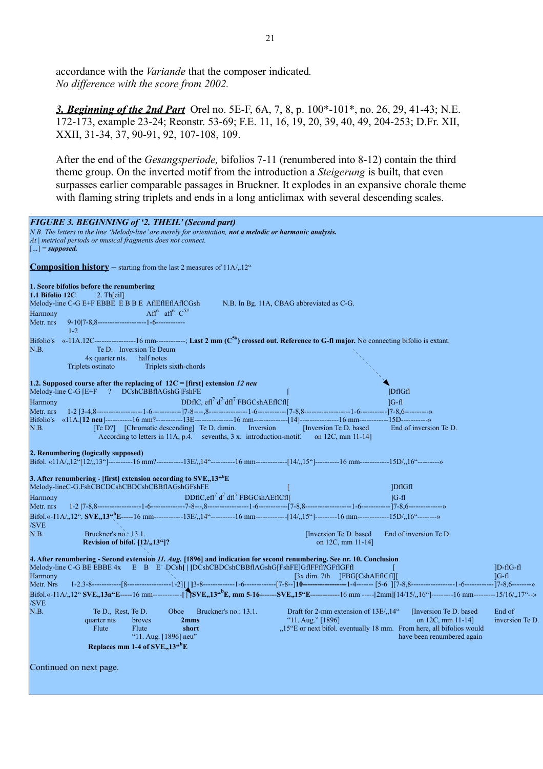accordance with the *Variande* that the composer indicated*. No difference with the score from 2002.*

*3. Beginning of the 2nd Part* Orel no. 5E-F, 6A, 7, 8, p. 100\*-101\*, no. 26, 29, 41-43; N.E. 172-173, example 23-24; Reonstr. 53-69; F.E. 11, 16, 19, 20, 39, 40, 49, 204-253; D.Fr. XII, XXII, 31-34, 37, 90-91, 92, 107-108, 109.

After the end of the *Gesangsperiode,* bifolios 7-11 (renumbered into 8-12) contain the third theme group. On the inverted motif from the introduction a *Steigerung* is built, that even surpasses earlier comparable passages in Bruckner. It explodes in an expansive chorale theme with flaming string triplets and ends in a long anticlimax with several descending scales.

| <b>FIGURE 3. BEGINNING of '2. THEIL' (Second part)</b><br>N.B. The letters in the line 'Melody-line' are merely for orientation, not a melodic or harmonic analysis.<br>At   metrical periods or musical fragments does not connect.<br>$[\dots]$ = supposed.                                                                                                                                                            |                                                                      |
|--------------------------------------------------------------------------------------------------------------------------------------------------------------------------------------------------------------------------------------------------------------------------------------------------------------------------------------------------------------------------------------------------------------------------|----------------------------------------------------------------------|
| <b>Composition history</b> – starting from the last 2 measures of $11A/12^{\circ}$                                                                                                                                                                                                                                                                                                                                       |                                                                      |
| 1. Score bifolios before the renumbering<br>1.1 Bifolio 12C<br>2. Th[eil]<br>Melody-line C-G E+F EBBE E B B E AflEflEflAflCGsh<br>N.B. In Bg. 11A, CBAG abbreviated as C-G.<br>Afl <sup>6</sup> afl <sup>6</sup> $C^{5#}$<br>Harmony<br>Metr. nrs<br>$1 - 2$                                                                                                                                                             |                                                                      |
| Bifolio's «-11A.12C----------------------------------; Last 2 mm (C <sup>5#</sup> ) crossed out. Reference to G-fl major. No connecting bifolio is extant.<br>Te D. Inversion Te Deum<br>N.B.<br>4x quarter nts.<br>half notes<br>Triplets ostinato<br>Triplets sixth-chords                                                                                                                                             |                                                                      |
| 1.2. Supposed course after the replacing of $12C =$ [first] extension 12 neu<br>Melody-line C-G [E+F ? DCshCBBflAGshG]FshFE<br>DDflC, efl <sup>7-</sup> d <sup>7-</sup> dfl <sup>7-</sup> FBGCshAEflCfl[<br>Harmony<br>Metr. nrs<br>N.B.<br>[Te D?] [Chromatic descending] Te D. dimin. Inversion<br>[Inversion Te D. based]<br>According to letters in 11A, p.4. sevenths, $3x$ . introduction-motif. on 12C, mm 11-14] | <b>DfIGfI</b><br>$ G-f $<br>End of inversion Te D.                   |
| 2. Renumbering (logically supposed)<br>Bifol. «11A/ <sub>n</sub> 12"[12/ <sub>n</sub> 13"]----------16 mm?------------13E/ <sub>n</sub> 14"----------16 mm--------------[14/ <sub>n</sub> 15"]-----------16 mm-------------15D/ <sub>n</sub> 16"---------»                                                                                                                                                               |                                                                      |
| 3. After renumbering - [first] extension according to $SVE$ , $13^{46}E$<br>Melody-lineC-G.FshCBCDCshCBDCshCBBflAGshGFshFE                                                                                                                                                                                                                                                                                               | <b>IDfIGfI</b>                                                       |
| DDflC,efl <sup>7-</sup> d <sup>7-</sup> dfl <sup>7-</sup> FBGCshAEflCfl[<br>Harmony                                                                                                                                                                                                                                                                                                                                      | $1G-f1$                                                              |
| Metr. nrs                                                                                                                                                                                                                                                                                                                                                                                                                |                                                                      |
| /SVE                                                                                                                                                                                                                                                                                                                                                                                                                     |                                                                      |
| N.B.<br>Bruckner's no.: 13.1.<br>[Inversion Te D. based]<br>Revision of bifol. $\{12/13\}$<br>on 12C, mm 11-14]                                                                                                                                                                                                                                                                                                          | End of inversion Te D.                                               |
| 4. After renumbering - Second extension 11. Aug. [1896] and indication for second renumbering. See nr. 10. Conclusion<br>Melody-line C-G BE EBBE 4x E B E \DCsh[ ]DCshCBDCshCBBflAGshG[FshFE]GflFFfl?GFflGFfl<br>$[3x \dim. 7th]$ [FBG[CshAEf]Cf]][<br>Harmony                                                                                                                                                           | $ D-fIG-f $<br>$1G-f1$                                               |
| Metr. Nrs                                                                                                                                                                                                                                                                                                                                                                                                                |                                                                      |
| /SVE                                                                                                                                                                                                                                                                                                                                                                                                                     |                                                                      |
| N.B.<br>Te D., Rest, Te D.<br>Bruckner's no.: 13.1.<br>Draft for 2-mm extension of 13E/ <sub>n</sub> 14"<br>Oboe                                                                                                                                                                                                                                                                                                         | [Inversion Te D. based]<br>End of                                    |
| "11. Aug." $[1896]$<br>quarter nts<br>breves<br>2mms                                                                                                                                                                                                                                                                                                                                                                     | on 12C, mm $11-14$ ]<br>inversion Te D.                              |
| Flute<br>Flute<br>short                                                                                                                                                                                                                                                                                                                                                                                                  | "15"E or next bifol. eventually 18 mm. From here, all bifolios would |
| "11. Aug. [1896] neu"                                                                                                                                                                                                                                                                                                                                                                                                    | have been renumbered again                                           |
| Replaces mm 1-4 of $SVE$ <sub>2</sub> ,13 <sup>"</sup> E                                                                                                                                                                                                                                                                                                                                                                 |                                                                      |
| Continued on next page.                                                                                                                                                                                                                                                                                                                                                                                                  |                                                                      |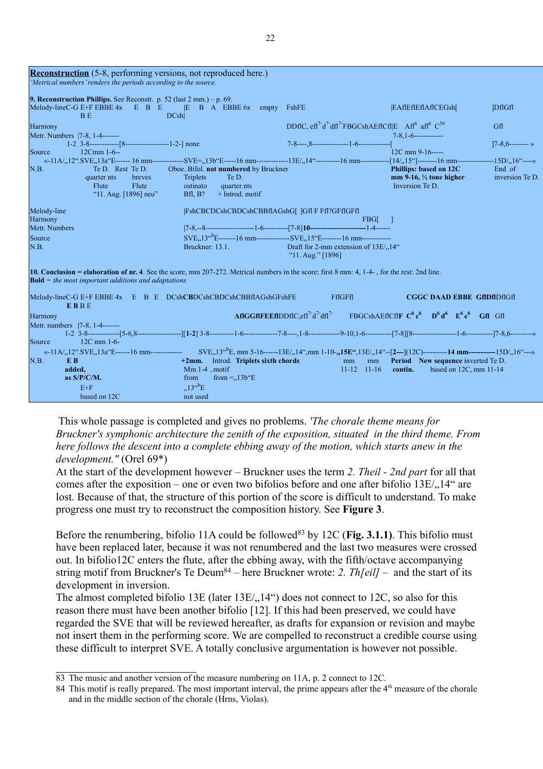| <b>Reconstruction</b> (5-8, performing versions, not reproduced here.)<br>'Metrical numbers' renders the periods according to the source.                                                                                                                                                                                                                  |                                                                                                                     |                                                                                                                                                                                    |                                                                                    |                           |
|------------------------------------------------------------------------------------------------------------------------------------------------------------------------------------------------------------------------------------------------------------------------------------------------------------------------------------------------------------|---------------------------------------------------------------------------------------------------------------------|------------------------------------------------------------------------------------------------------------------------------------------------------------------------------------|------------------------------------------------------------------------------------|---------------------------|
| <b>9. Reconstruction Phillips.</b> See Reconstr. p. 52 (last $2 \text{ mm.}$ ) – p. 69.<br>Melody-lineC-G E+F EBBE $4x$ E B E E B A EBBE $6x$<br><b>DCshl</b><br>BE.                                                                                                                                                                                       | empty                                                                                                               | FshFE                                                                                                                                                                              | EAflEflEflAflCEGsh[                                                                | <b>IDfIGfI</b>            |
| Harmony<br>Metr. Numbers  7-8, 1-4-------                                                                                                                                                                                                                                                                                                                  |                                                                                                                     | DDflC, efl <sup>7-</sup> d <sup>7-</sup> dfl <sup>7-</sup> FBGCshAEflCfl E Afl <sup>6</sup> afl <sup>6</sup> C <sup>5#</sup>                                                       |                                                                                    | Gfl                       |
| $1-2$ 3-8------------[8---------------------1-2-] none                                                                                                                                                                                                                                                                                                     |                                                                                                                     |                                                                                                                                                                                    |                                                                                    | $7-8,6$ -------- »        |
| $12Cmm 1-6-$<br>Source                                                                                                                                                                                                                                                                                                                                     |                                                                                                                     |                                                                                                                                                                                    | $12C$ mm $9-16$ -----                                                              |                           |
| «-11A/ <sub>n</sub> 12".SVE <sub>n</sub> 13a"E------ 16 mm--------------SVE= <sub>n</sub> 13b"E-----16 mm---------------13E/ <sub>n</sub> 14"-----------16 mm--------------[14/ <sub>n</sub> 15"]--------16 mm----------------15D/ <sub>n</sub> 16"----»<br>N.B.<br>Te D. Rest Te D.<br>quarter nts<br>breves<br>Flute<br>Flute<br>"11. Aug. $[1896]$ neu" | OboeBifol. not numbered by Bruckner<br>Triplets<br>Te D.<br>ostinato<br>quarter nts<br>Bf1, B?<br>$+$ Introd. motif |                                                                                                                                                                                    | Phillips: based on 12C<br>$mm 9-16$ , $\frac{1}{2}$ tone higher<br>Inversion Te D. | End of<br>inversion Te D. |
| Melody-line                                                                                                                                                                                                                                                                                                                                                | [FshCBCDCshCBDCshCBBflAGshG[] ]Gfl F Ffl?GFflGFfl                                                                   |                                                                                                                                                                                    |                                                                                    |                           |
| Harmony<br>Metr. Numbers                                                                                                                                                                                                                                                                                                                                   |                                                                                                                     | FBG[ ]                                                                                                                                                                             |                                                                                    |                           |
| Source                                                                                                                                                                                                                                                                                                                                                     |                                                                                                                     | SVE <sub>2</sub> ,13 <sup>cb</sup> E-------16 mm---------------SVE <sub>2</sub> ,15 <sup>c</sup> E--------16 mm-------------                                                       |                                                                                    |                           |
| N.B.                                                                                                                                                                                                                                                                                                                                                       | Bruckner: 13.1.                                                                                                     | Draft for 2-mm extension of 13E/ <sub>n</sub> 14"<br>"11. Aug." $[1896]$                                                                                                           |                                                                                    |                           |
| 10. Conclusion = elaboration of nr. 4. See the score, mm 207-272. Metrical numbers in the score: first 8 mm: 4, 1-4-, for the rest: 2nd line.<br><b>Bold</b> $=$ the most important additions and adaptations                                                                                                                                              |                                                                                                                     |                                                                                                                                                                                    |                                                                                    |                           |
| Melody-lineC-G E+F EBBE 4x E B E DCshCBDCshCBDCshCBBflAGshGFshFE<br><b>EBBE</b>                                                                                                                                                                                                                                                                            |                                                                                                                     | <b>FfIGFfI</b>                                                                                                                                                                     | <b>CGGC DAAD EBBE GflDflDflGfl</b>                                                 |                           |
| Harmony                                                                                                                                                                                                                                                                                                                                                    |                                                                                                                     | $A f l G G f l F E f l D D f l C, e f l^7 d^7 d f l^7$ FBGCshAEflCflF $C^6 c^6$ D <sup>6</sup> d <sup>6</sup> E <sup>6</sup> e <sup>6</sup> Gfl Gfl                                |                                                                                    |                           |
| Metr. numbers  7-8, 1-4-------                                                                                                                                                                                                                                                                                                                             |                                                                                                                     |                                                                                                                                                                                    |                                                                                    |                           |
| $12C$ mm $1-6$ -<br>Source                                                                                                                                                                                                                                                                                                                                 |                                                                                                                     |                                                                                                                                                                                    |                                                                                    |                           |
| «-11A/,,12".SVE,,13a"E------16 mm---------------<br>N.B.<br>E B                                                                                                                                                                                                                                                                                            | +2mm. Introd. Triplets sixth chords                                                                                 | $SVE_n13^{ab}E$ , mm 5-16------13E/ <sub>n</sub> 14",mm 1-10- <sub>n</sub> 15E",13E/ <sub>n</sub> 14"--[2---](12C)----------14 mm------------15D/ <sub>n</sub> 16"---»<br>mm<br>mm | <b>Period</b> New sequence inverted Te D.                                          |                           |
| added,                                                                                                                                                                                                                                                                                                                                                     | $Mm 1-4$ motif                                                                                                      | $11-12$ $11-16$                                                                                                                                                                    | contin.<br>based on 12C, mm 11-14                                                  |                           |
| as $S/P/C/M$ .                                                                                                                                                                                                                                                                                                                                             | from = $,13b^{\circ}E$<br>from                                                                                      |                                                                                                                                                                                    |                                                                                    |                           |
| $E + F$                                                                                                                                                                                                                                                                                                                                                    | $,13^{\omega b}E$                                                                                                   |                                                                                                                                                                                    |                                                                                    |                           |
| based on 12C                                                                                                                                                                                                                                                                                                                                               | not used                                                                                                            |                                                                                                                                                                                    |                                                                                    |                           |

 This whole passage is completed and gives no problems. *'The chorale theme means for Bruckner's symphonic architecture the zenith of the exposition, situated in the third theme. From here follows the descent into a complete ebbing away of the motion, which starts anew in the development."* (Orel 69\*)

At the start of the development however – Bruckner uses the term *2. Theil - 2nd part* for all that comes after the exposition – one or even two bifolios before and one after bifolio  $13E/14$ " are lost. Because of that, the structure of this portion of the score is difficult to understand. To make progress one must try to reconstruct the composition history. See **Figure 3**.

Before the renumbering, bifolio 11A could be followed<sup>[83](#page-21-0)</sup> by 12C (**Fig. 3.1.1**). This bifolio must have been replaced later, because it was not renumbered and the last two measures were crossed out. In bifolio12C enters the flute, after the ebbing away, with the fifth/octave accompanying string motif from Bruckner's Te Deum[84](#page-21-1) – here Bruckner wrote: *2. Th[eil] –* and the start of its development in inversion.

The almost completed bifolio 13E (later  $13E/14$ ) does not connect to 12C, so also for this reason there must have been another bifolio [12]. If this had been preserved, we could have regarded the SVE that will be reviewed hereafter, as drafts for expansion or revision and maybe not insert them in the performing score. We are compelled to reconstruct a credible course using these difficult to interpret SVE. A totally conclusive argumentation is however not possible.

<span id="page-21-0"></span><sup>83</sup> The music and another version of the measure numbering on 11A, p. 2 connect to 12C.

<span id="page-21-1"></span><sup>84</sup> This motif is really prepared. The most important interval, the prime appears after the 4<sup>th</sup> measure of the chorale and in the middle section of the chorale (Hrns, Violas).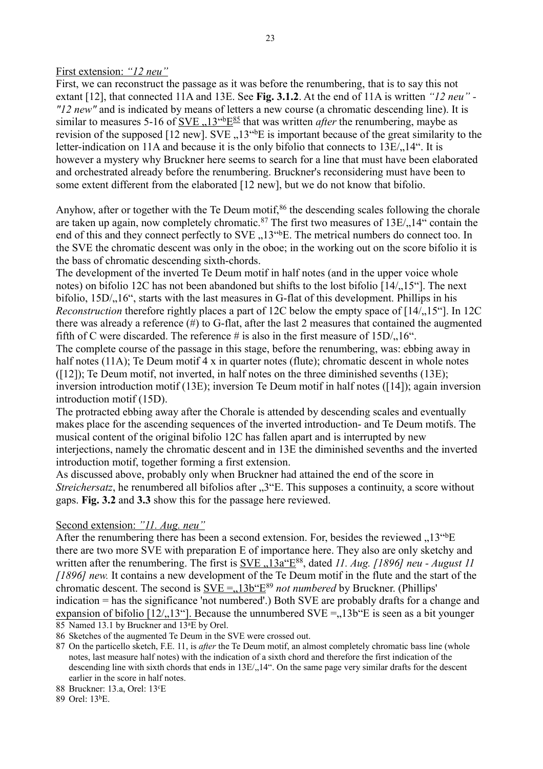## First extension: *"12 neu"*

First, we can reconstruct the passage as it was before the renumbering, that is to say this not extant [12], that connected 11A and 13E. See **Fig. 3.1.2**. At the end of 11A is written *"12 neu" - "12 new"* and is indicated by means of letters a new course (a chromatic descending line). It is similar to measures 5-16 of <u>SVE, 13<sup>-16</sup>E<sup>[85](#page-22-0)</sup></u> that was written *after* the renumbering, maybe as revision of the supposed [12 new]. SVE  $, 13$ <sup>\*\*</sup>E is important because of the great similarity to the letter-indication on 11A and because it is the only bifolio that connects to  $13E/14$ ". It is however a mystery why Bruckner here seems to search for a line that must have been elaborated and orchestrated already before the renumbering. Bruckner's reconsidering must have been to some extent different from the elaborated [12 new], but we do not know that bifolio.

Anyhow, after or together with the Te Deum motif,<sup>[86](#page-22-1)</sup> the descending scales following the chorale are taken up again, now completely chromatic.<sup>[87](#page-22-2)</sup> The first two measures of  $13E/14$  contain the end of this and they connect perfectly to SVE , 13<sup>cb</sup>E. The metrical numbers do connect too. In the SVE the chromatic descent was only in the oboe; in the working out on the score bifolio it is the bass of chromatic descending sixth-chords.

The development of the inverted Te Deum motif in half notes (and in the upper voice whole notes) on bifolio 12C has not been abandoned but shifts to the lost bifolio [14/.15"]. The next bifolio,  $15D/16$ ", starts with the last measures in G-flat of this development. Phillips in his *Reconstruction* therefore rightly places a part of 12C below the empty space of [14/, 15<sup>"</sup>]. In 12C there was already a reference (#) to G-flat, after the last 2 measures that contained the augmented fifth of C were discarded. The reference # is also in the first measure of  $15D/16$ .

The complete course of the passage in this stage, before the renumbering, was: ebbing away in half notes (11A); Te Deum motif  $4 \times$  in quarter notes (flute); chromatic descent in whole notes ([12]); Te Deum motif, not inverted, in half notes on the three diminished sevenths (13E); inversion introduction motif (13E); inversion Te Deum motif in half notes ([14]); again inversion introduction motif (15D).

The protracted ebbing away after the Chorale is attended by descending scales and eventually makes place for the ascending sequences of the inverted introduction- and Te Deum motifs. The musical content of the original bifolio 12C has fallen apart and is interrupted by new interjections, namely the chromatic descent and in 13E the diminished sevenths and the inverted introduction motif, together forming a first extension.

As discussed above, probably only when Bruckner had attained the end of the score in *Streichersatz*, he renumbered all bifolios after "3" E. This supposes a continuity, a score without gaps. **Fig. 3.2** and **3.3** show this for the passage here reviewed.

# Second extension: *"11. Aug. neu"*

After the renumbering there has been a second extension. For, besides the reviewed  $,13^{\text{th}}E$ there are two more SVE with preparation E of importance here. They also are only sketchy and written after the renumbering. The first is <u>SVE "13a"E</u><sup>[88](#page-22-3)</sup>, dated *11. Aug. [1896] neu - August 11 [1896] new.* It contains a new development of the Te Deum motif in the flute and the start of the chromatic descent. The second is  $SVE = 13b^{\circ}E^{89}$  $SVE = 13b^{\circ}E^{89}$  $SVE = 13b^{\circ}E^{89}$  *not numbered* by Bruckner. (Phillips' indication = has the significance 'not numbered'.) Both SVE are probably drafts for a change and expansion of bifolio  $[12, 13^\circ]$ . Because the unnumbered SVE = 13b E is seen as a bit younger 85 Named 13.1 by Bruckner and 13<sup>a</sup>E by Orel.

<span id="page-22-1"></span><span id="page-22-0"></span>86 Sketches of the augmented Te Deum in the SVE were crossed out.

<span id="page-22-2"></span>87 On the particello sketch, F.E. 11, is *after* the Te Deum motif, an almost completely chromatic bass line (whole notes, last measure half notes) with the indication of a sixth chord and therefore the first indication of the descending line with sixth chords that ends in 13E/<sub>1</sub>,14". On the same page very similar drafts for the descent earlier in the score in half notes.

<span id="page-22-3"></span>88 Bruckner: 13.a, Orel: 13<sup>c</sup>E

<span id="page-22-4"></span>89 Orel: 13<sup>b</sup>E.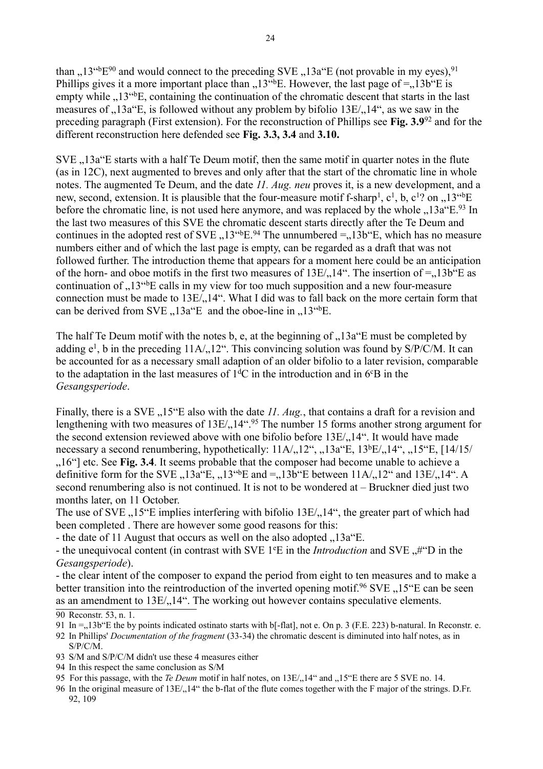than ,  $13^{46}E^{90}$  $13^{46}E^{90}$  $13^{46}E^{90}$  and would connect to the preceding SVE ,  $13a^{4}E$  (not provable in my eyes), <sup>[91](#page-23-1)</sup> Phillips gives it a more important place than  $13^{\text{th}}E$ . However, the last page of =  $13\text{b}$  E is empty while , 13<sup>cb</sup>E, containing the continuation of the chromatic descent that starts in the last measures of  $.13a$ "E, is followed without any problem by bifolio  $13E/14$ ", as we saw in the preceding paragraph (First extension). For the reconstruction of Phillips see **Fig. 3.9**[92](#page-23-2) and for the different reconstruction here defended see **Fig. 3.3, 3.4** and **3.10.** 

 $SVE$   $.13a$ <sup>\*</sup>E starts with a half Te Deum motif, then the same motif in quarter notes in the flute (as in 12C), next augmented to breves and only after that the start of the chromatic line in whole notes. The augmented Te Deum, and the date *11. Aug. neu* proves it, is a new development, and a new, second, extension. It is plausible that the four-measure motif f-sharp<sup>1</sup>,  $c^1$ , b,  $c^1$ ? on , 13<sup>cb</sup>E before the chromatic line, is not used here anymore, and was replaced by the whole  $13a^{2}E^{93}$  $13a^{2}E^{93}$  $13a^{2}E^{93}$  In the last two measures of this SVE the chromatic descent starts directly after the Te Deum and continues in the adopted rest of SVE  $_{\cdot}$ , 13<sup> $\cdot$ 6</sup>E.<sup>[94](#page-23-4)</sup> The unnumbered =  $_{\cdot}$ , 13b<sup> $\cdot$ </sup>E, which has no measure numbers either and of which the last page is empty, can be regarded as a draft that was not followed further. The introduction theme that appears for a moment here could be an anticipation of the horn- and oboe motifs in the first two measures of  $13E/14$ ". The insertion of  $=$  13b"E as continuation of "13<sup>" b</sup>E calls in my view for too much supposition and a new four-measure connection must be made to  $13E/14$ ". What I did was to fall back on the more certain form that can be derived from SVE,  $13a^{\circ}E$  and the oboe-line in  $13^{\circ}E$ .

The half Te Deum motif with the notes b, e, at the beginning of  $\Lambda$ 13a E must be completed by adding  $e^1$ , b in the preceding  $11A/12$ . This convincing solution was found by S/P/C/M. It can be accounted for as a necessary small adaption of an older bifolio to a later revision, comparable to the adaptation in the last measures of  $1<sup>d</sup>C$  in the introduction and in 6 $\rm{^cB}$  in the *Gesangsperiode*.

Finally, there is a SVE ...15<sup>"</sup>E also with the date *11. Aug.*, that contains a draft for a revision and lengthening with two measures of  $13E/14$ <sup>44.[95](#page-23-5)</sup> The number 15 forms another strong argument for the second extension reviewed above with one bifolio before  $13E/14$ ". It would have made necessary a second renumbering, hypothetically:  $11A/12^\circ$ ,  $13a^\circ$ E,  $13^{\circ}$ E/ $14^\circ$ ,  $15^\circ$ E, [14/15/

.,16"] etc. See Fig. 3.4. It seems probable that the composer had become unable to achieve a definitive form for the SVE,  $13a^{\text{th}}E$ ,  $13^{4b}E$  and =, 13b<sup>or</sup>E between  $11A/12^{\text{th}}$  and  $13E/14^{\text{th}}$ . A second renumbering also is not continued. It is not to be wondered at – Bruckner died just two months later, on 11 October.

The use of SVE  $,15$  E implies interfering with bifolio  $13E/14$ , the greater part of which had been completed . There are however some good reasons for this:

- the date of 11 August that occurs as well on the also adopted  $\alpha$ , 13a E.

- the unequivocal content (in contrast with SVE 1<sup>e</sup>E in the *Introduction* and SVE ..#"D in the *Gesangsperiode*).

- the clear intent of the composer to expand the period from eight to ten measures and to make a better transition into the reintroduction of the inverted opening motif.<sup>[96](#page-23-6)</sup> SVE ..15 E can be seen as an amendment to  $13E/14$ ". The working out however contains speculative elements.

- <span id="page-23-3"></span>93 S/M and S/P/C/M didn't use these 4 measures either
- <span id="page-23-4"></span>94 In this respect the same conclusion as S/M

<span id="page-23-0"></span><sup>90</sup> Reconstr. 53, n. 1.

<span id="page-23-1"></span><sup>91</sup> In  $=$ ,13b"E the by points indicated ostinato starts with  $\mathbf{b}$ -flatl, not e. On p. 3 (F.E. 223) b-natural. In Reconstr. e.

<span id="page-23-2"></span><sup>92</sup> In Phillips' *Documentation of the fragment* (33-34) the chromatic descent is diminuted into half notes, as in S/P/C/M.

<span id="page-23-5"></span><sup>95</sup> For this passage, with the *Te Deum* motif in half notes, on 13E/<sub>n</sub>14" and  $nT$ <sup>5</sup>"E there are 5 SVE no. 14.

<span id="page-23-6"></span><sup>96</sup> In the original measure of 13E/, 14" the b-flat of the flute comes together with the F major of the strings. D.Fr. 92, 109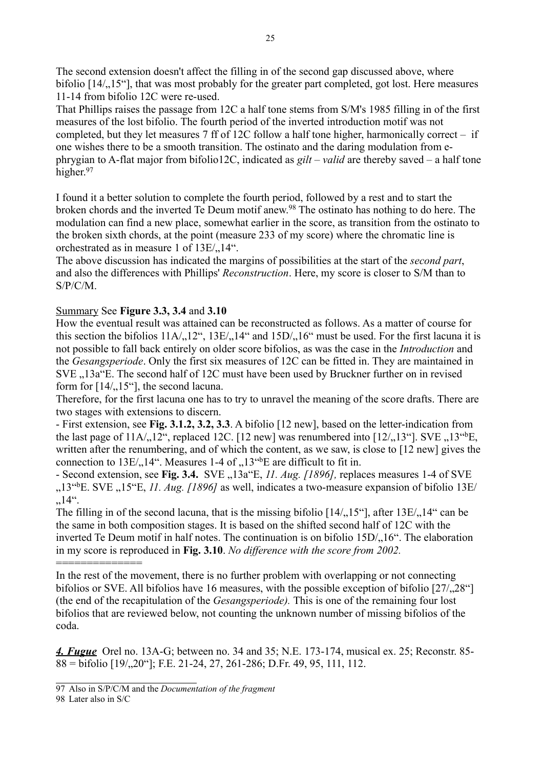The second extension doesn't affect the filling in of the second gap discussed above, where bifolio  $[14/15^{\circ}]$ , that was most probably for the greater part completed, got lost. Here measures 11-14 from bifolio 12C were re-used.

That Phillips raises the passage from 12C a half tone stems from S/M's 1985 filling in of the first measures of the lost bifolio. The fourth period of the inverted introduction motif was not completed, but they let measures 7 ff of 12C follow a half tone higher, harmonically correct – if one wishes there to be a smooth transition. The ostinato and the daring modulation from ephrygian to A-flat major from bifolio12C, indicated as *gilt – valid* are thereby saved – a half tone higher.<sup>[97](#page-24-0)</sup>

I found it a better solution to complete the fourth period, followed by a rest and to start the broken chords and the inverted Te Deum motif anew.[98](#page-24-1) The ostinato has nothing to do here. The modulation can find a new place, somewhat earlier in the score, as transition from the ostinato to the broken sixth chords, at the point (measure 233 of my score) where the chromatic line is orchestrated as in measure 1 of  $13E/14$ ".

The above discussion has indicated the margins of possibilities at the start of the *second part*, and also the differences with Phillips' *Reconstruction*. Here, my score is closer to S/M than to S/P/C/M.

# Summary See **Figure 3.3, 3.4** and **3.10**

How the eventual result was attained can be reconstructed as follows. As a matter of course for this section the bifolios  $11A/12$ ",  $13E/14$ " and  $15D/16$ " must be used. For the first lacuna it is not possible to fall back entirely on older score bifolios, as was the case in the *Introduction* and the *Gesangsperiode*. Only the first six measures of 12C can be fitted in. They are maintained in SVE "13a"E. The second half of 12C must have been used by Bruckner further on in revised form for  $[14/15$ "], the second lacuna.

Therefore, for the first lacuna one has to try to unravel the meaning of the score drafts. There are two stages with extensions to discern.

- First extension, see **Fig. 3.1.2, 3.2, 3.3**. A bifolio [12 new], based on the letter-indication from the last page of  $11A<sub>1</sub>, 12$ ", replaced 12C. [12 new] was renumbered into [12/ $, 13$ "]. SVE  $, 13$ "<sup>b</sup>E, written after the renumbering, and of which the content, as we saw, is close to [12 new] gives the connection to  $13E/14$ . Measures 1-4 of  $13<sup>4</sup>bE$  are difficult to fit in.

- Second extension, see Fig. 3.4. SVE, 13a E, 11. Aug. [1896], replaces measures 1-4 of SVE ,13<sup>ct</sup>bE. SVE, 15<sup>ct</sup>E, *11. Aug. [1896]* as well, indicates a two-measure expansion of bifolio 13E/  $, 14$ ".

The filling in of the second lacuna, that is the missing bifolio  $[14/15<sup>o</sup>]$ , after  $13E/14<sup>o</sup>$  can be the same in both composition stages. It is based on the shifted second half of 12C with the inverted Te Deum motif in half notes. The continuation is on bifolio 15D/, 16". The elaboration in my score is reproduced in **Fig. 3.10**. *No difference with the score from 2002.* ==============

In the rest of the movement, there is no further problem with overlapping or not connecting bifolios or SVE. All bifolios have 16 measures, with the possible exception of bifolio  $[27/1,28^{\circ}]$ (the end of the recapitulation of the *Gesangsperiode).* This is one of the remaining four lost bifolios that are reviewed below, not counting the unknown number of missing bifolios of the coda.

*4. Fugue* Orel no. 13A-G; between no. 34 and 35; N.E. 173-174, musical ex. 25; Reconstr. 85-  $88 = \text{bifolio } [19, 20\degree]$ ; F.E. 21-24, 27, 261-286; D.Fr. 49, 95, 111, 112.

<span id="page-24-1"></span>98 Later also in S/C

<span id="page-24-0"></span><sup>97</sup> Also in S/P/C/M and the *Documentation of the fragment*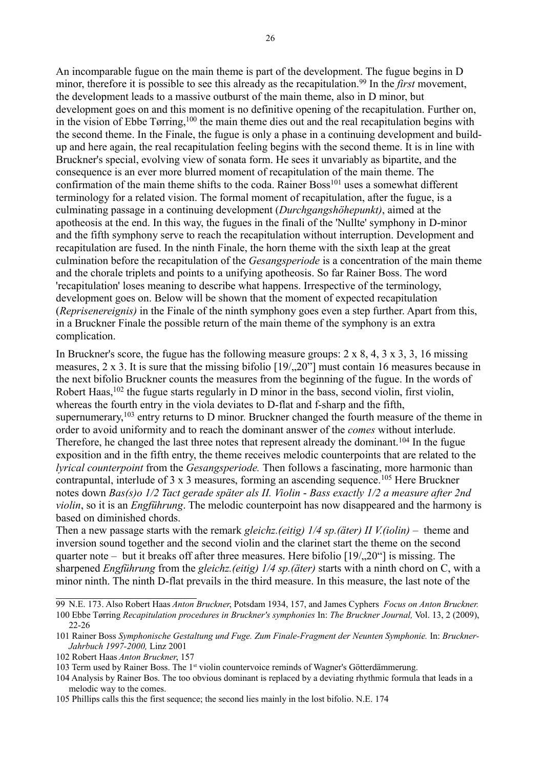An incomparable fugue on the main theme is part of the development. The fugue begins in D minor, therefore it is possible to see this already as the recapitulation.<sup>[99](#page-25-0)</sup> In the *first* movement, the development leads to a massive outburst of the main theme, also in D minor, but development goes on and this moment is no definitive opening of the recapitulation. Further on, in the vision of Ebbe Tørring,<sup>[100](#page-25-1)</sup> the main theme dies out and the real recapitulation begins with the second theme. In the Finale, the fugue is only a phase in a continuing development and buildup and here again, the real recapitulation feeling begins with the second theme. It is in line with Bruckner's special, evolving view of sonata form. He sees it unvariably as bipartite, and the consequence is an ever more blurred moment of recapitulation of the main theme. The confirmation of the main theme shifts to the coda. Rainer Boss<sup>[101](#page-25-2)</sup> uses a somewhat different terminology for a related vision. The formal moment of recapitulation, after the fugue, is a culminating passage in a continuing development (*Durchgangshöhepunkt)*, aimed at the apotheosis at the end. In this way, the fugues in the finali of the 'Nullte' symphony in D-minor and the fifth symphony serve to reach the recapitulation without interruption. Development and recapitulation are fused. In the ninth Finale, the horn theme with the sixth leap at the great culmination before the recapitulation of the *Gesangsperiode* is a concentration of the main theme and the chorale triplets and points to a unifying apotheosis. So far Rainer Boss. The word 'recapitulation' loses meaning to describe what happens. Irrespective of the terminology, development goes on. Below will be shown that the moment of expected recapitulation (*Reprisenereignis)* in the Finale of the ninth symphony goes even a step further. Apart from this, in a Bruckner Finale the possible return of the main theme of the symphony is an extra complication.

In Bruckner's score, the fugue has the following measure groups: 2 x 8, 4, 3 x 3, 3, 16 missing measures,  $2 \times 3$ . It is sure that the missing bifolio  $[19/0.20"]$  must contain 16 measures because in the next bifolio Bruckner counts the measures from the beginning of the fugue. In the words of Robert Haas,<sup>[102](#page-25-3)</sup> the fugue starts regularly in D minor in the bass, second violin, first violin, whereas the fourth entry in the viola deviates to D-flat and f-sharp and the fifth, supernumerary,<sup>[103](#page-25-4)</sup> entry returns to D minor. Bruckner changed the fourth measure of the theme in order to avoid uniformity and to reach the dominant answer of the *comes* without interlude. Therefore, he changed the last three notes that represent already the dominant.<sup>[104](#page-25-5)</sup> In the fugue exposition and in the fifth entry, the theme receives melodic counterpoints that are related to the *lyrical counterpoint* from the *Gesangsperiode.* Then follows a fascinating, more harmonic than contrapuntal, interlude of 3 x 3 measures, forming an ascending sequence.[105](#page-25-6) Here Bruckner notes down *Bas(s)o 1/2 Tact gerade später als II. Violin* - *Bass exactly 1/2 a measure after 2nd violin*, so it is an *Engführung*. The melodic counterpoint has now disappeared and the harmony is based on diminished chords.

Then a new passage starts with the remark *gleichz.(eitig) 1/4 sp.(äter) II V.(iolin)* – theme and inversion sound together and the second violin and the clarinet start the theme on the second quarter note – but it breaks off after three measures. Here bifolio  $[19/0.20^\circ]$  is missing. The sharpened *Engführung* from the *gleichz.(eitig) 1/4 sp.(äter)* starts with a ninth chord on C, with a minor ninth. The ninth D-flat prevails in the third measure. In this measure, the last note of the

<span id="page-25-1"></span><span id="page-25-0"></span><sup>99</sup> N.E. 173. Also Robert Haas *Anton Bruckner*, Potsdam 1934, 157, and James Cyphers *Focus on Anton Bruckner.* 100 Ebbe Tørring *Recapitulation procedures in Bruckner's symphonies* In: *The Bruckner Journal,* Vol. 13, 2 (2009), 22-26

<span id="page-25-2"></span><sup>101</sup> Rainer Boss *Symphonische Gestaltung und Fuge. Zum Finale-Fragment der Neunten Symphonie.* In: *Bruckner-Jahrbuch 1997-2000,* Linz 2001

<span id="page-25-3"></span><sup>102</sup> Robert Haas *Anton Bruckner*, 157

<span id="page-25-4"></span><sup>103</sup> Term used by Rainer Boss. The 1<sup>st</sup> violin countervoice reminds of Wagner's Götterdämmerung.

<span id="page-25-5"></span><sup>104</sup> Analysis by Rainer Bos. The too obvious dominant is replaced by a deviating rhythmic formula that leads in a melodic way to the comes.

<span id="page-25-6"></span><sup>105</sup> Phillips calls this the first sequence; the second lies mainly in the lost bifolio. N.E. 174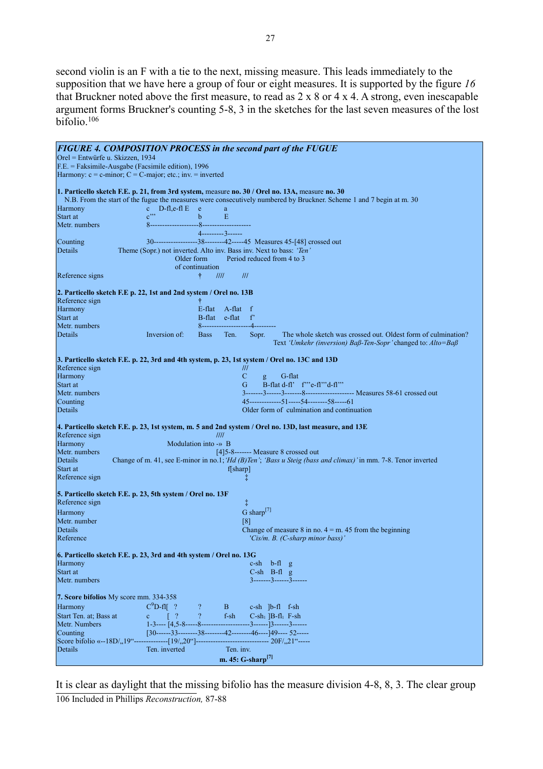second violin is an F with a tie to the next, missing measure. This leads immediately to the supposition that we have here a group of four or eight measures. It is supported by the figure *16* that Bruckner noted above the first measure, to read as 2 x 8 or 4 x 4. A strong, even inescapable argument forms Bruckner's counting 5-8, 3 in the sketches for the last seven measures of the lost bifolio.[106](#page-26-0)

| Orel = Entwürfe u. Skizzen, 1934<br>F.E. = Faksimile-Ausgabe (Facsimile edition), 1996<br>Harmony: $c = c$ -minor; $C = C$ -major; etc.; inv. = inverted<br>1. Particello sketch F.E. p. 21, from 3rd system, measure no. 30 / Orel no. 13A, measure no. 30<br>N.B. From the start of the fugue the measures were consecutively numbered by Bruckner. Scheme 1 and 7 begin at m. 30<br>Harmony<br>c $D$ -fl, e-fl $E$<br>e<br>$e^{i\omega}$<br>Start at<br>$\mathbf b$<br>Ε<br>Metr. numbers<br>$4$ ---------3------<br>30------------------38--------42-----45 Measures 45-[48] crossed out<br>Counting<br>Details<br>Theme (Sopr.) not inverted. Alto inv. Bass inv. Next to bass: 'Ten'<br>Period reduced from 4 to 3<br>Older form<br>of continuation<br>Reference signs<br>III<br>III<br>÷<br>2. Particello sketch F.E p. 22, 1st and 2nd system / Orel no. 13B<br>Reference sign<br>Ť<br>Harmony<br>E-flat A-flat f<br>B-flat e-flat<br>Start at<br>$f^{\prime}$<br>Metr. numbers<br>8-------------------<br>--4---<br><b>Details</b><br>The whole sketch was crossed out. Oldest form of culmination?<br>Inversion of:<br><b>Bass</b><br>Ten.<br>Sopr.<br>Text 'Umkehr (inversion) Baß-Ten-Sopr' changed to: Alto=Baß<br>3. Particello sketch F.E. p. 22, 3rd and 4th system, p. 23, 1st system / Orel no. 13C and 13D<br>Reference sign<br>///<br>Harmony<br>C<br>G-flat<br>$\mathbf{g}$<br>B-flat d-fl' f"'e-fl"'d-fl"'<br>G<br>Start at<br>Metr. numbers<br>45--------------51------54---------58-----61<br>Counting<br>Older form of culmination and continuation<br>Details<br>4. Particello sketch F.E. p. 23, 1st system, m. 5 and 2nd system / Orel no. 13D, last measure, and 13E<br>Reference sign<br>III<br>Harmony<br>Modulation into $\rightarrow$ B<br>Metr. numbers<br>[4]5-8------- Measure 8 crossed out<br>Details<br>Change of m. 41, see E-minor in no.1; 'Hd (B)Ten'; 'Bass u Steig (bass and climax)' in mm. 7-8. Tenor inverted<br>Start at<br>f[sharp]<br>Reference sign<br>ţ.<br>5. Particello sketch F.E. p. 23, 5th system / Orel no. 13F<br>Reference sign<br>Ť.<br>G sharp $^{[7]}$<br>Harmony<br>Metr. number<br>[8]<br>Details<br>Change of measure 8 in no. $4 = m$ . 45 from the beginning<br>Reference<br>'Cis/m. B. (C-sharp minor bass)'<br>6. Particello sketch F.E. p. 23, 3rd and 4th system / Orel no. 13G<br>Harmony<br>$c-sh$ b-fl $g$<br>Start at<br>$C-sh$ B-fl $g$<br>Metr. numbers<br>$3$ -------3------3------<br>7. Score bifolios My score mm. 334-358<br>$C^9D$ -fl $\lceil$ ?<br>Harmony<br>B.<br>$c-sh$ $ b-f $ $f-sh$<br>$\overline{?}$<br>Start Ten. at; Bass at<br>$\lceil$ ?<br>$f-sh$<br>$C$ -sh <sub>1</sub> ]B-fl <sub>1</sub> F-sh<br>$\mathbf{c}$<br>$1-3$ ---- $[4,5-8$ -----8-----------<br>Metr. Numbers<br>---------3-------]3------3-------<br>[30------33---------38--------42--------46----]49---- 52-----<br>Counting<br>------------------ 20F/,,21"-----<br>Score bifolio «--18D/, 19"--------------[19/, 20"]------------<br>Ten. inv.<br>Details<br>Ten. inverted<br>m. 45: G-sharp <sup>[7]</sup> | <b>FIGURE 4. COMPOSITION PROCESS in the second part of the FUGUE</b> |
|------------------------------------------------------------------------------------------------------------------------------------------------------------------------------------------------------------------------------------------------------------------------------------------------------------------------------------------------------------------------------------------------------------------------------------------------------------------------------------------------------------------------------------------------------------------------------------------------------------------------------------------------------------------------------------------------------------------------------------------------------------------------------------------------------------------------------------------------------------------------------------------------------------------------------------------------------------------------------------------------------------------------------------------------------------------------------------------------------------------------------------------------------------------------------------------------------------------------------------------------------------------------------------------------------------------------------------------------------------------------------------------------------------------------------------------------------------------------------------------------------------------------------------------------------------------------------------------------------------------------------------------------------------------------------------------------------------------------------------------------------------------------------------------------------------------------------------------------------------------------------------------------------------------------------------------------------------------------------------------------------------------------------------------------------------------------------------------------------------------------------------------------------------------------------------------------------------------------------------------------------------------------------------------------------------------------------------------------------------------------------------------------------------------------------------------------------------------------------------------------------------------------------------------------------------------------------------------------------------------------------------------------------------------------------------------------------------------------------------------------------------------------------------------------------------------------------------------------------------------------------------------------------------------------------------------------------------------------------------------------------------------------------------------------------------------------------------|----------------------------------------------------------------------|
|                                                                                                                                                                                                                                                                                                                                                                                                                                                                                                                                                                                                                                                                                                                                                                                                                                                                                                                                                                                                                                                                                                                                                                                                                                                                                                                                                                                                                                                                                                                                                                                                                                                                                                                                                                                                                                                                                                                                                                                                                                                                                                                                                                                                                                                                                                                                                                                                                                                                                                                                                                                                                                                                                                                                                                                                                                                                                                                                                                                                                                                                                    |                                                                      |
|                                                                                                                                                                                                                                                                                                                                                                                                                                                                                                                                                                                                                                                                                                                                                                                                                                                                                                                                                                                                                                                                                                                                                                                                                                                                                                                                                                                                                                                                                                                                                                                                                                                                                                                                                                                                                                                                                                                                                                                                                                                                                                                                                                                                                                                                                                                                                                                                                                                                                                                                                                                                                                                                                                                                                                                                                                                                                                                                                                                                                                                                                    |                                                                      |
|                                                                                                                                                                                                                                                                                                                                                                                                                                                                                                                                                                                                                                                                                                                                                                                                                                                                                                                                                                                                                                                                                                                                                                                                                                                                                                                                                                                                                                                                                                                                                                                                                                                                                                                                                                                                                                                                                                                                                                                                                                                                                                                                                                                                                                                                                                                                                                                                                                                                                                                                                                                                                                                                                                                                                                                                                                                                                                                                                                                                                                                                                    |                                                                      |
|                                                                                                                                                                                                                                                                                                                                                                                                                                                                                                                                                                                                                                                                                                                                                                                                                                                                                                                                                                                                                                                                                                                                                                                                                                                                                                                                                                                                                                                                                                                                                                                                                                                                                                                                                                                                                                                                                                                                                                                                                                                                                                                                                                                                                                                                                                                                                                                                                                                                                                                                                                                                                                                                                                                                                                                                                                                                                                                                                                                                                                                                                    |                                                                      |
|                                                                                                                                                                                                                                                                                                                                                                                                                                                                                                                                                                                                                                                                                                                                                                                                                                                                                                                                                                                                                                                                                                                                                                                                                                                                                                                                                                                                                                                                                                                                                                                                                                                                                                                                                                                                                                                                                                                                                                                                                                                                                                                                                                                                                                                                                                                                                                                                                                                                                                                                                                                                                                                                                                                                                                                                                                                                                                                                                                                                                                                                                    |                                                                      |
|                                                                                                                                                                                                                                                                                                                                                                                                                                                                                                                                                                                                                                                                                                                                                                                                                                                                                                                                                                                                                                                                                                                                                                                                                                                                                                                                                                                                                                                                                                                                                                                                                                                                                                                                                                                                                                                                                                                                                                                                                                                                                                                                                                                                                                                                                                                                                                                                                                                                                                                                                                                                                                                                                                                                                                                                                                                                                                                                                                                                                                                                                    |                                                                      |
|                                                                                                                                                                                                                                                                                                                                                                                                                                                                                                                                                                                                                                                                                                                                                                                                                                                                                                                                                                                                                                                                                                                                                                                                                                                                                                                                                                                                                                                                                                                                                                                                                                                                                                                                                                                                                                                                                                                                                                                                                                                                                                                                                                                                                                                                                                                                                                                                                                                                                                                                                                                                                                                                                                                                                                                                                                                                                                                                                                                                                                                                                    |                                                                      |
|                                                                                                                                                                                                                                                                                                                                                                                                                                                                                                                                                                                                                                                                                                                                                                                                                                                                                                                                                                                                                                                                                                                                                                                                                                                                                                                                                                                                                                                                                                                                                                                                                                                                                                                                                                                                                                                                                                                                                                                                                                                                                                                                                                                                                                                                                                                                                                                                                                                                                                                                                                                                                                                                                                                                                                                                                                                                                                                                                                                                                                                                                    |                                                                      |
|                                                                                                                                                                                                                                                                                                                                                                                                                                                                                                                                                                                                                                                                                                                                                                                                                                                                                                                                                                                                                                                                                                                                                                                                                                                                                                                                                                                                                                                                                                                                                                                                                                                                                                                                                                                                                                                                                                                                                                                                                                                                                                                                                                                                                                                                                                                                                                                                                                                                                                                                                                                                                                                                                                                                                                                                                                                                                                                                                                                                                                                                                    |                                                                      |
|                                                                                                                                                                                                                                                                                                                                                                                                                                                                                                                                                                                                                                                                                                                                                                                                                                                                                                                                                                                                                                                                                                                                                                                                                                                                                                                                                                                                                                                                                                                                                                                                                                                                                                                                                                                                                                                                                                                                                                                                                                                                                                                                                                                                                                                                                                                                                                                                                                                                                                                                                                                                                                                                                                                                                                                                                                                                                                                                                                                                                                                                                    |                                                                      |
|                                                                                                                                                                                                                                                                                                                                                                                                                                                                                                                                                                                                                                                                                                                                                                                                                                                                                                                                                                                                                                                                                                                                                                                                                                                                                                                                                                                                                                                                                                                                                                                                                                                                                                                                                                                                                                                                                                                                                                                                                                                                                                                                                                                                                                                                                                                                                                                                                                                                                                                                                                                                                                                                                                                                                                                                                                                                                                                                                                                                                                                                                    |                                                                      |
|                                                                                                                                                                                                                                                                                                                                                                                                                                                                                                                                                                                                                                                                                                                                                                                                                                                                                                                                                                                                                                                                                                                                                                                                                                                                                                                                                                                                                                                                                                                                                                                                                                                                                                                                                                                                                                                                                                                                                                                                                                                                                                                                                                                                                                                                                                                                                                                                                                                                                                                                                                                                                                                                                                                                                                                                                                                                                                                                                                                                                                                                                    |                                                                      |
|                                                                                                                                                                                                                                                                                                                                                                                                                                                                                                                                                                                                                                                                                                                                                                                                                                                                                                                                                                                                                                                                                                                                                                                                                                                                                                                                                                                                                                                                                                                                                                                                                                                                                                                                                                                                                                                                                                                                                                                                                                                                                                                                                                                                                                                                                                                                                                                                                                                                                                                                                                                                                                                                                                                                                                                                                                                                                                                                                                                                                                                                                    |                                                                      |
|                                                                                                                                                                                                                                                                                                                                                                                                                                                                                                                                                                                                                                                                                                                                                                                                                                                                                                                                                                                                                                                                                                                                                                                                                                                                                                                                                                                                                                                                                                                                                                                                                                                                                                                                                                                                                                                                                                                                                                                                                                                                                                                                                                                                                                                                                                                                                                                                                                                                                                                                                                                                                                                                                                                                                                                                                                                                                                                                                                                                                                                                                    |                                                                      |
|                                                                                                                                                                                                                                                                                                                                                                                                                                                                                                                                                                                                                                                                                                                                                                                                                                                                                                                                                                                                                                                                                                                                                                                                                                                                                                                                                                                                                                                                                                                                                                                                                                                                                                                                                                                                                                                                                                                                                                                                                                                                                                                                                                                                                                                                                                                                                                                                                                                                                                                                                                                                                                                                                                                                                                                                                                                                                                                                                                                                                                                                                    |                                                                      |
|                                                                                                                                                                                                                                                                                                                                                                                                                                                                                                                                                                                                                                                                                                                                                                                                                                                                                                                                                                                                                                                                                                                                                                                                                                                                                                                                                                                                                                                                                                                                                                                                                                                                                                                                                                                                                                                                                                                                                                                                                                                                                                                                                                                                                                                                                                                                                                                                                                                                                                                                                                                                                                                                                                                                                                                                                                                                                                                                                                                                                                                                                    |                                                                      |
|                                                                                                                                                                                                                                                                                                                                                                                                                                                                                                                                                                                                                                                                                                                                                                                                                                                                                                                                                                                                                                                                                                                                                                                                                                                                                                                                                                                                                                                                                                                                                                                                                                                                                                                                                                                                                                                                                                                                                                                                                                                                                                                                                                                                                                                                                                                                                                                                                                                                                                                                                                                                                                                                                                                                                                                                                                                                                                                                                                                                                                                                                    |                                                                      |
|                                                                                                                                                                                                                                                                                                                                                                                                                                                                                                                                                                                                                                                                                                                                                                                                                                                                                                                                                                                                                                                                                                                                                                                                                                                                                                                                                                                                                                                                                                                                                                                                                                                                                                                                                                                                                                                                                                                                                                                                                                                                                                                                                                                                                                                                                                                                                                                                                                                                                                                                                                                                                                                                                                                                                                                                                                                                                                                                                                                                                                                                                    |                                                                      |
|                                                                                                                                                                                                                                                                                                                                                                                                                                                                                                                                                                                                                                                                                                                                                                                                                                                                                                                                                                                                                                                                                                                                                                                                                                                                                                                                                                                                                                                                                                                                                                                                                                                                                                                                                                                                                                                                                                                                                                                                                                                                                                                                                                                                                                                                                                                                                                                                                                                                                                                                                                                                                                                                                                                                                                                                                                                                                                                                                                                                                                                                                    |                                                                      |
|                                                                                                                                                                                                                                                                                                                                                                                                                                                                                                                                                                                                                                                                                                                                                                                                                                                                                                                                                                                                                                                                                                                                                                                                                                                                                                                                                                                                                                                                                                                                                                                                                                                                                                                                                                                                                                                                                                                                                                                                                                                                                                                                                                                                                                                                                                                                                                                                                                                                                                                                                                                                                                                                                                                                                                                                                                                                                                                                                                                                                                                                                    |                                                                      |
|                                                                                                                                                                                                                                                                                                                                                                                                                                                                                                                                                                                                                                                                                                                                                                                                                                                                                                                                                                                                                                                                                                                                                                                                                                                                                                                                                                                                                                                                                                                                                                                                                                                                                                                                                                                                                                                                                                                                                                                                                                                                                                                                                                                                                                                                                                                                                                                                                                                                                                                                                                                                                                                                                                                                                                                                                                                                                                                                                                                                                                                                                    |                                                                      |
|                                                                                                                                                                                                                                                                                                                                                                                                                                                                                                                                                                                                                                                                                                                                                                                                                                                                                                                                                                                                                                                                                                                                                                                                                                                                                                                                                                                                                                                                                                                                                                                                                                                                                                                                                                                                                                                                                                                                                                                                                                                                                                                                                                                                                                                                                                                                                                                                                                                                                                                                                                                                                                                                                                                                                                                                                                                                                                                                                                                                                                                                                    |                                                                      |
|                                                                                                                                                                                                                                                                                                                                                                                                                                                                                                                                                                                                                                                                                                                                                                                                                                                                                                                                                                                                                                                                                                                                                                                                                                                                                                                                                                                                                                                                                                                                                                                                                                                                                                                                                                                                                                                                                                                                                                                                                                                                                                                                                                                                                                                                                                                                                                                                                                                                                                                                                                                                                                                                                                                                                                                                                                                                                                                                                                                                                                                                                    |                                                                      |
|                                                                                                                                                                                                                                                                                                                                                                                                                                                                                                                                                                                                                                                                                                                                                                                                                                                                                                                                                                                                                                                                                                                                                                                                                                                                                                                                                                                                                                                                                                                                                                                                                                                                                                                                                                                                                                                                                                                                                                                                                                                                                                                                                                                                                                                                                                                                                                                                                                                                                                                                                                                                                                                                                                                                                                                                                                                                                                                                                                                                                                                                                    |                                                                      |
|                                                                                                                                                                                                                                                                                                                                                                                                                                                                                                                                                                                                                                                                                                                                                                                                                                                                                                                                                                                                                                                                                                                                                                                                                                                                                                                                                                                                                                                                                                                                                                                                                                                                                                                                                                                                                                                                                                                                                                                                                                                                                                                                                                                                                                                                                                                                                                                                                                                                                                                                                                                                                                                                                                                                                                                                                                                                                                                                                                                                                                                                                    |                                                                      |
|                                                                                                                                                                                                                                                                                                                                                                                                                                                                                                                                                                                                                                                                                                                                                                                                                                                                                                                                                                                                                                                                                                                                                                                                                                                                                                                                                                                                                                                                                                                                                                                                                                                                                                                                                                                                                                                                                                                                                                                                                                                                                                                                                                                                                                                                                                                                                                                                                                                                                                                                                                                                                                                                                                                                                                                                                                                                                                                                                                                                                                                                                    |                                                                      |
|                                                                                                                                                                                                                                                                                                                                                                                                                                                                                                                                                                                                                                                                                                                                                                                                                                                                                                                                                                                                                                                                                                                                                                                                                                                                                                                                                                                                                                                                                                                                                                                                                                                                                                                                                                                                                                                                                                                                                                                                                                                                                                                                                                                                                                                                                                                                                                                                                                                                                                                                                                                                                                                                                                                                                                                                                                                                                                                                                                                                                                                                                    |                                                                      |
|                                                                                                                                                                                                                                                                                                                                                                                                                                                                                                                                                                                                                                                                                                                                                                                                                                                                                                                                                                                                                                                                                                                                                                                                                                                                                                                                                                                                                                                                                                                                                                                                                                                                                                                                                                                                                                                                                                                                                                                                                                                                                                                                                                                                                                                                                                                                                                                                                                                                                                                                                                                                                                                                                                                                                                                                                                                                                                                                                                                                                                                                                    |                                                                      |
|                                                                                                                                                                                                                                                                                                                                                                                                                                                                                                                                                                                                                                                                                                                                                                                                                                                                                                                                                                                                                                                                                                                                                                                                                                                                                                                                                                                                                                                                                                                                                                                                                                                                                                                                                                                                                                                                                                                                                                                                                                                                                                                                                                                                                                                                                                                                                                                                                                                                                                                                                                                                                                                                                                                                                                                                                                                                                                                                                                                                                                                                                    |                                                                      |
|                                                                                                                                                                                                                                                                                                                                                                                                                                                                                                                                                                                                                                                                                                                                                                                                                                                                                                                                                                                                                                                                                                                                                                                                                                                                                                                                                                                                                                                                                                                                                                                                                                                                                                                                                                                                                                                                                                                                                                                                                                                                                                                                                                                                                                                                                                                                                                                                                                                                                                                                                                                                                                                                                                                                                                                                                                                                                                                                                                                                                                                                                    |                                                                      |
|                                                                                                                                                                                                                                                                                                                                                                                                                                                                                                                                                                                                                                                                                                                                                                                                                                                                                                                                                                                                                                                                                                                                                                                                                                                                                                                                                                                                                                                                                                                                                                                                                                                                                                                                                                                                                                                                                                                                                                                                                                                                                                                                                                                                                                                                                                                                                                                                                                                                                                                                                                                                                                                                                                                                                                                                                                                                                                                                                                                                                                                                                    |                                                                      |
|                                                                                                                                                                                                                                                                                                                                                                                                                                                                                                                                                                                                                                                                                                                                                                                                                                                                                                                                                                                                                                                                                                                                                                                                                                                                                                                                                                                                                                                                                                                                                                                                                                                                                                                                                                                                                                                                                                                                                                                                                                                                                                                                                                                                                                                                                                                                                                                                                                                                                                                                                                                                                                                                                                                                                                                                                                                                                                                                                                                                                                                                                    |                                                                      |
|                                                                                                                                                                                                                                                                                                                                                                                                                                                                                                                                                                                                                                                                                                                                                                                                                                                                                                                                                                                                                                                                                                                                                                                                                                                                                                                                                                                                                                                                                                                                                                                                                                                                                                                                                                                                                                                                                                                                                                                                                                                                                                                                                                                                                                                                                                                                                                                                                                                                                                                                                                                                                                                                                                                                                                                                                                                                                                                                                                                                                                                                                    |                                                                      |
|                                                                                                                                                                                                                                                                                                                                                                                                                                                                                                                                                                                                                                                                                                                                                                                                                                                                                                                                                                                                                                                                                                                                                                                                                                                                                                                                                                                                                                                                                                                                                                                                                                                                                                                                                                                                                                                                                                                                                                                                                                                                                                                                                                                                                                                                                                                                                                                                                                                                                                                                                                                                                                                                                                                                                                                                                                                                                                                                                                                                                                                                                    |                                                                      |
|                                                                                                                                                                                                                                                                                                                                                                                                                                                                                                                                                                                                                                                                                                                                                                                                                                                                                                                                                                                                                                                                                                                                                                                                                                                                                                                                                                                                                                                                                                                                                                                                                                                                                                                                                                                                                                                                                                                                                                                                                                                                                                                                                                                                                                                                                                                                                                                                                                                                                                                                                                                                                                                                                                                                                                                                                                                                                                                                                                                                                                                                                    |                                                                      |
|                                                                                                                                                                                                                                                                                                                                                                                                                                                                                                                                                                                                                                                                                                                                                                                                                                                                                                                                                                                                                                                                                                                                                                                                                                                                                                                                                                                                                                                                                                                                                                                                                                                                                                                                                                                                                                                                                                                                                                                                                                                                                                                                                                                                                                                                                                                                                                                                                                                                                                                                                                                                                                                                                                                                                                                                                                                                                                                                                                                                                                                                                    |                                                                      |
|                                                                                                                                                                                                                                                                                                                                                                                                                                                                                                                                                                                                                                                                                                                                                                                                                                                                                                                                                                                                                                                                                                                                                                                                                                                                                                                                                                                                                                                                                                                                                                                                                                                                                                                                                                                                                                                                                                                                                                                                                                                                                                                                                                                                                                                                                                                                                                                                                                                                                                                                                                                                                                                                                                                                                                                                                                                                                                                                                                                                                                                                                    |                                                                      |
|                                                                                                                                                                                                                                                                                                                                                                                                                                                                                                                                                                                                                                                                                                                                                                                                                                                                                                                                                                                                                                                                                                                                                                                                                                                                                                                                                                                                                                                                                                                                                                                                                                                                                                                                                                                                                                                                                                                                                                                                                                                                                                                                                                                                                                                                                                                                                                                                                                                                                                                                                                                                                                                                                                                                                                                                                                                                                                                                                                                                                                                                                    |                                                                      |
|                                                                                                                                                                                                                                                                                                                                                                                                                                                                                                                                                                                                                                                                                                                                                                                                                                                                                                                                                                                                                                                                                                                                                                                                                                                                                                                                                                                                                                                                                                                                                                                                                                                                                                                                                                                                                                                                                                                                                                                                                                                                                                                                                                                                                                                                                                                                                                                                                                                                                                                                                                                                                                                                                                                                                                                                                                                                                                                                                                                                                                                                                    |                                                                      |
|                                                                                                                                                                                                                                                                                                                                                                                                                                                                                                                                                                                                                                                                                                                                                                                                                                                                                                                                                                                                                                                                                                                                                                                                                                                                                                                                                                                                                                                                                                                                                                                                                                                                                                                                                                                                                                                                                                                                                                                                                                                                                                                                                                                                                                                                                                                                                                                                                                                                                                                                                                                                                                                                                                                                                                                                                                                                                                                                                                                                                                                                                    |                                                                      |
|                                                                                                                                                                                                                                                                                                                                                                                                                                                                                                                                                                                                                                                                                                                                                                                                                                                                                                                                                                                                                                                                                                                                                                                                                                                                                                                                                                                                                                                                                                                                                                                                                                                                                                                                                                                                                                                                                                                                                                                                                                                                                                                                                                                                                                                                                                                                                                                                                                                                                                                                                                                                                                                                                                                                                                                                                                                                                                                                                                                                                                                                                    |                                                                      |
|                                                                                                                                                                                                                                                                                                                                                                                                                                                                                                                                                                                                                                                                                                                                                                                                                                                                                                                                                                                                                                                                                                                                                                                                                                                                                                                                                                                                                                                                                                                                                                                                                                                                                                                                                                                                                                                                                                                                                                                                                                                                                                                                                                                                                                                                                                                                                                                                                                                                                                                                                                                                                                                                                                                                                                                                                                                                                                                                                                                                                                                                                    |                                                                      |
|                                                                                                                                                                                                                                                                                                                                                                                                                                                                                                                                                                                                                                                                                                                                                                                                                                                                                                                                                                                                                                                                                                                                                                                                                                                                                                                                                                                                                                                                                                                                                                                                                                                                                                                                                                                                                                                                                                                                                                                                                                                                                                                                                                                                                                                                                                                                                                                                                                                                                                                                                                                                                                                                                                                                                                                                                                                                                                                                                                                                                                                                                    |                                                                      |
|                                                                                                                                                                                                                                                                                                                                                                                                                                                                                                                                                                                                                                                                                                                                                                                                                                                                                                                                                                                                                                                                                                                                                                                                                                                                                                                                                                                                                                                                                                                                                                                                                                                                                                                                                                                                                                                                                                                                                                                                                                                                                                                                                                                                                                                                                                                                                                                                                                                                                                                                                                                                                                                                                                                                                                                                                                                                                                                                                                                                                                                                                    |                                                                      |
|                                                                                                                                                                                                                                                                                                                                                                                                                                                                                                                                                                                                                                                                                                                                                                                                                                                                                                                                                                                                                                                                                                                                                                                                                                                                                                                                                                                                                                                                                                                                                                                                                                                                                                                                                                                                                                                                                                                                                                                                                                                                                                                                                                                                                                                                                                                                                                                                                                                                                                                                                                                                                                                                                                                                                                                                                                                                                                                                                                                                                                                                                    |                                                                      |
|                                                                                                                                                                                                                                                                                                                                                                                                                                                                                                                                                                                                                                                                                                                                                                                                                                                                                                                                                                                                                                                                                                                                                                                                                                                                                                                                                                                                                                                                                                                                                                                                                                                                                                                                                                                                                                                                                                                                                                                                                                                                                                                                                                                                                                                                                                                                                                                                                                                                                                                                                                                                                                                                                                                                                                                                                                                                                                                                                                                                                                                                                    |                                                                      |
|                                                                                                                                                                                                                                                                                                                                                                                                                                                                                                                                                                                                                                                                                                                                                                                                                                                                                                                                                                                                                                                                                                                                                                                                                                                                                                                                                                                                                                                                                                                                                                                                                                                                                                                                                                                                                                                                                                                                                                                                                                                                                                                                                                                                                                                                                                                                                                                                                                                                                                                                                                                                                                                                                                                                                                                                                                                                                                                                                                                                                                                                                    |                                                                      |
|                                                                                                                                                                                                                                                                                                                                                                                                                                                                                                                                                                                                                                                                                                                                                                                                                                                                                                                                                                                                                                                                                                                                                                                                                                                                                                                                                                                                                                                                                                                                                                                                                                                                                                                                                                                                                                                                                                                                                                                                                                                                                                                                                                                                                                                                                                                                                                                                                                                                                                                                                                                                                                                                                                                                                                                                                                                                                                                                                                                                                                                                                    |                                                                      |

<span id="page-26-0"></span>It is clear as daylight that the missing bifolio has the measure division 4-8, 8, 3. The clear group 106 Included in Phillips *Reconstruction,* 87-88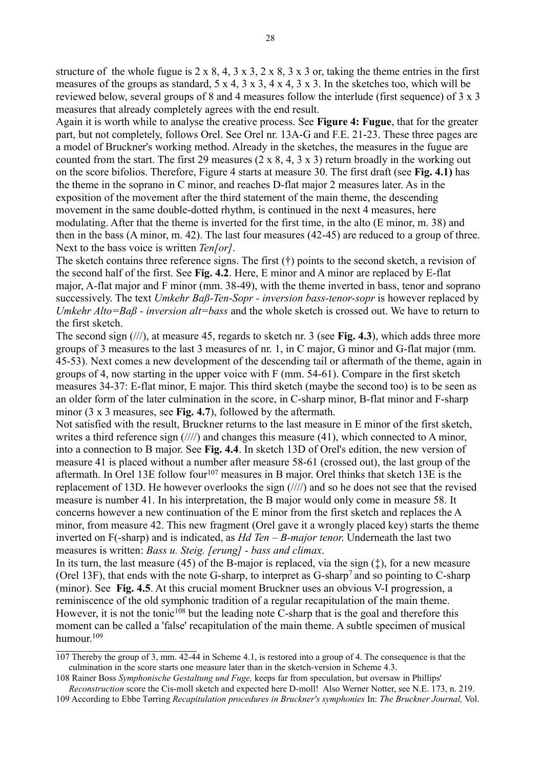structure of the whole fugue is  $2 \times 8$ ,  $4$ ,  $3 \times 3$ ,  $2 \times 8$ ,  $3 \times 3$  or, taking the theme entries in the first measures of the groups as standard, 5 x 4, 3 x 3, 4 x 4, 3 x 3. In the sketches too, which will be reviewed below, several groups of 8 and 4 measures follow the interlude (first sequence) of 3 x 3 measures that already completely agrees with the end result.

Again it is worth while to analyse the creative process. See **Figure 4: Fugue**, that for the greater part, but not completely, follows Orel. See Orel nr. 13A-G and F.E. 21-23. These three pages are a model of Bruckner's working method. Already in the sketches, the measures in the fugue are counted from the start. The first 29 measures  $(2 \times 8, 4, 3 \times 3)$  return broadly in the working out on the score bifolios. Therefore, Figure 4 starts at measure 30. The first draft (see **Fig. 4.1)** has the theme in the soprano in C minor, and reaches D-flat major 2 measures later. As in the exposition of the movement after the third statement of the main theme, the descending movement in the same double-dotted rhythm, is continued in the next 4 measures, here modulating. After that the theme is inverted for the first time, in the alto (E minor, m. 38) and then in the bass (A minor, m. 42). The last four measures (42-45) are reduced to a group of three. Next to the bass voice is written *Ten[or]*.

The sketch contains three reference signs. The first (†) points to the second sketch, a revision of the second half of the first. See **Fig. 4.2**. Here, E minor and A minor are replaced by E-flat major, A-flat major and F minor (mm. 38-49), with the theme inverted in bass, tenor and soprano successively. The text *Umkehr Baß-Ten-Sopr - inversion bass-tenor-sopr* is however replaced by *Umkehr Alto=Baß - inversion alt=bass* and the whole sketch is crossed out. We have to return to the first sketch.

The second sign (///), at measure 45, regards to sketch nr. 3 (see **Fig. 4.3**), which adds three more groups of 3 measures to the last 3 measures of nr. 1, in C major, G minor and G-flat major (mm. 45-53). Next comes a new development of the descending tail or aftermath of the theme, again in groups of 4, now starting in the upper voice with F (mm. 54-61). Compare in the first sketch measures 34-37: E-flat minor, E major. This third sketch (maybe the second too) is to be seen as an older form of the later culmination in the score, in C-sharp minor, B-flat minor and F-sharp minor (3 x 3 measures, see **Fig. 4.7**), followed by the aftermath.

Not satisfied with the result, Bruckner returns to the last measure in E minor of the first sketch, writes a third reference sign  $(\frac{1}{\sqrt{2}})$  and changes this measure (41), which connected to A minor, into a connection to B major. See **Fig. 4.4**. In sketch 13D of Orel's edition, the new version of measure 41 is placed without a number after measure 58-61 (crossed out), the last group of the aftermath. In Orel 13E follow four<sup>[107](#page-27-0)</sup> measures in B major. Orel thinks that sketch 13E is the replacement of 13D. He however overlooks the sign (////) and so he does not see that the revised measure is number 41. In his interpretation, the B major would only come in measure 58. It concerns however a new continuation of the E minor from the first sketch and replaces the A minor, from measure 42. This new fragment (Orel gave it a wrongly placed key) starts the theme inverted on F(-sharp) and is indicated, as *Hd Ten – B-major tenor*. Underneath the last two measures is written: *Bass u. Steig. [erung] - bass and climax*.

In its turn, the last measure (45) of the B-major is replaced, via the sign  $(\ddagger)$ , for a new measure (Orel 13F), that ends with the note G-sharp, to interpret as G-sharp<sup>7</sup>and so pointing to C-sharp (minor). See **Fig. 4.5**. At this crucial moment Bruckner uses an obvious V-I progression, a reminiscence of the old symphonic tradition of a regular recapitulation of the main theme. However, it is not the tonic<sup>[108](#page-27-1)</sup> but the leading note C-sharp that is the goal and therefore this moment can be called a 'false' recapitulation of the main theme. A subtle specimen of musical humour<sup>[109](#page-27-2)</sup>

<span id="page-27-0"></span><sup>107</sup> Thereby the group of 3, mm. 42-44 in Scheme 4.1, is restored into a group of 4. The consequence is that the culmination in the score starts one measure later than in the sketch-version in Scheme 4.3.

<span id="page-27-1"></span><sup>108</sup> Rainer Boss *Symphonische Gestaltung und Fuge,* keeps far from speculation, but oversaw in Phillips' *Reconstruction* score the Cis-moll sketch and expected here D-moll! Also Werner Notter, see N.E. 173, n. 219.

<span id="page-27-2"></span><sup>109</sup> According to Ebbe Tørring *Recapitulation procedures in Bruckner's symphonies* In: *The Bruckner Journal,* Vol.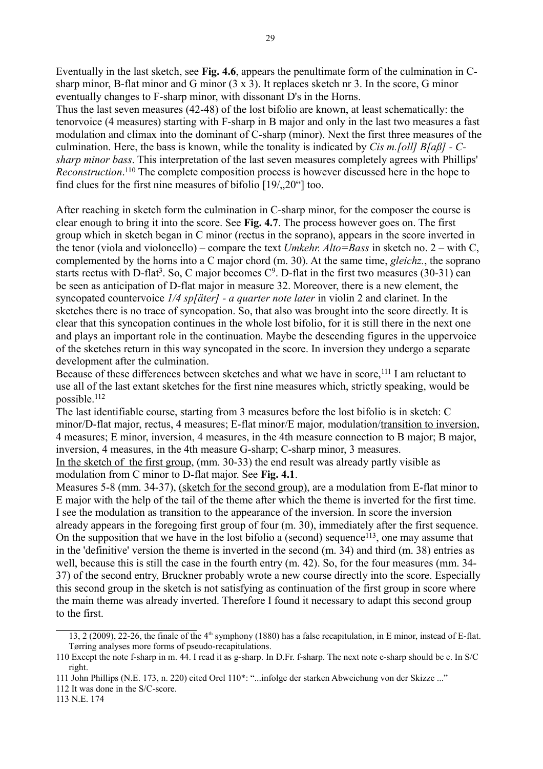Eventually in the last sketch, see **Fig. 4.6**, appears the penultimate form of the culmination in Csharp minor, B-flat minor and G minor  $(3 \times 3)$ . It replaces sketch nr 3. In the score, G minor eventually changes to F-sharp minor, with dissonant D's in the Horns.

Thus the last seven measures (42-48) of the lost bifolio are known, at least schematically: the tenorvoice (4 measures) starting with F-sharp in B major and only in the last two measures a fast modulation and climax into the dominant of C-sharp (minor). Next the first three measures of the culmination. Here, the bass is known, while the tonality is indicated by *Cis m.[oll] B[aß] - Csharp minor bass*. This interpretation of the last seven measures completely agrees with Phillips' *Reconstruction*. [110](#page-28-0) The complete composition process is however discussed here in the hope to find clues for the first nine measures of bifolio  $[19/120^\circ]$  too.

After reaching in sketch form the culmination in C-sharp minor, for the composer the course is clear enough to bring it into the score. See **Fig. 4.7**. The process however goes on. The first group which in sketch began in C minor (rectus in the soprano), appears in the score inverted in the tenor (viola and violoncello) – compare the text *Umkehr. Alto=Bass* in sketch no. 2 – with C, complemented by the horns into a C major chord (m. 30). At the same time, *gleichz.*, the soprano starts rectus with D-flat<sup>3</sup>. So, C major becomes  $C^9$ . D-flat in the first two measures (30-31) can be seen as anticipation of D-flat major in measure 32. Moreover, there is a new element, the syncopated countervoice *1/4 sp[äter] - a quarter note later* in violin 2 and clarinet. In the sketches there is no trace of syncopation. So, that also was brought into the score directly. It is clear that this syncopation continues in the whole lost bifolio, for it is still there in the next one and plays an important role in the continuation. Maybe the descending figures in the uppervoice of the sketches return in this way syncopated in the score. In inversion they undergo a separate development after the culmination.

Because of these differences between sketches and what we have in score,<sup>[111](#page-28-1)</sup> I am reluctant to use all of the last extant sketches for the first nine measures which, strictly speaking, would be possible.[112](#page-28-2)

The last identifiable course, starting from 3 measures before the lost bifolio is in sketch: C minor/D-flat major, rectus, 4 measures; E-flat minor/E major, modulation/transition to inversion, 4 measures; E minor, inversion, 4 measures, in the 4th measure connection to B major; B major, inversion, 4 measures, in the 4th measure G-sharp; C-sharp minor, 3 measures.

In the sketch of the first group, (mm. 30-33) the end result was already partly visible as modulation from C minor to D-flat major. See **Fig. 4.1**.

Measures 5-8 (mm. 34-37), (sketch for the second group), are a modulation from E-flat minor to E major with the help of the tail of the theme after which the theme is inverted for the first time. I see the modulation as transition to the appearance of the inversion. In score the inversion already appears in the foregoing first group of four (m. 30), immediately after the first sequence. On the supposition that we have in the lost bifolio a (second) sequence<sup>[113](#page-28-3)</sup>, one may assume that in the 'definitive' version the theme is inverted in the second (m. 34) and third (m. 38) entries as well, because this is still the case in the fourth entry (m. 42). So, for the four measures (mm. 34- 37) of the second entry, Bruckner probably wrote a new course directly into the score. Especially this second group in the sketch is not satisfying as continuation of the first group in score where the main theme was already inverted. Therefore I found it necessary to adapt this second group to the first.

<span id="page-28-3"></span>113 N.E. 174

<sup>13, 2 (2009), 22-26,</sup> the finale of the 4th symphony (1880) has a false recapitulation, in E minor, instead of E-flat. Tørring analyses more forms of pseudo-recapitulations.

<span id="page-28-0"></span><sup>110</sup> Except the note f-sharp in m. 44. I read it as g-sharp. In D.Fr. f-sharp. The next note e-sharp should be e. In S/C right.

<span id="page-28-1"></span><sup>111</sup> John Phillips (N.E. 173, n. 220) cited Orel 110\*: "...infolge der starken Abweichung von der Skizze ..."

<span id="page-28-2"></span><sup>112</sup> It was done in the S/C-score.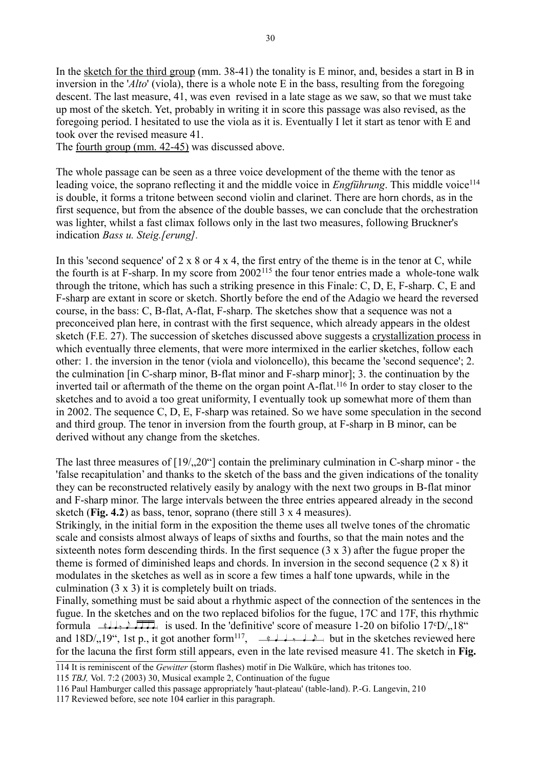In the sketch for the third group (mm. 38-41) the tonality is E minor, and, besides a start in B in inversion in the '*Alto*' (viola), there is a whole note E in the bass, resulting from the foregoing descent. The last measure, 41, was even revised in a late stage as we saw, so that we must take up most of the sketch. Yet, probably in writing it in score this passage was also revised, as the foregoing period. I hesitated to use the viola as it is. Eventually I let it start as tenor with E and took over the revised measure 41.

The fourth group (mm. 42-45) was discussed above.

The whole passage can be seen as a three voice development of the theme with the tenor as leading voice, the soprano reflecting it and the middle voice in *Engführung*. This middle voice<sup>[114](#page-29-0)</sup> is double, it forms a tritone between second violin and clarinet. There are horn chords, as in the first sequence, but from the absence of the double basses, we can conclude that the orchestration was lighter, whilst a fast climax follows only in the last two measures, following Bruckner's indication *Bass u. Steig.[erung].*

In this 'second sequence' of  $2 \times 8$  or  $4 \times 4$ , the first entry of the theme is in the tenor at C, while the fourth is at F-sharp. In my score from 2002[115](#page-29-1) the four tenor entries made a whole-tone walk through the tritone, which has such a striking presence in this Finale: C, D, E, F-sharp. C, E and F-sharp are extant in score or sketch. Shortly before the end of the Adagio we heard the reversed course, in the bass: C, B-flat, A-flat, F-sharp. The sketches show that a sequence was not a preconceived plan here, in contrast with the first sequence, which already appears in the oldest sketch (F.E. 27). The succession of sketches discussed above suggests a crystallization process in which eventually three elements, that were more intermixed in the earlier sketches, follow each other: 1. the inversion in the tenor (viola and violoncello), this became the 'second sequence'; 2. the culmination [in C-sharp minor, B-flat minor and F-sharp minor]; 3. the continuation by the inverted tail or aftermath of the theme on the organ point A-flat.<sup>[116](#page-29-2)</sup> In order to stay closer to the sketches and to avoid a too great uniformity, I eventually took up somewhat more of them than in 2002. The sequence C, D, E, F-sharp was retained. So we have some speculation in the second and third group. The tenor in inversion from the fourth group, at F-sharp in B minor, can be derived without any change from the sketches.

The last three measures of  $[19/120^\circ]$  contain the preliminary culmination in C-sharp minor - the 'false recapitulation' and thanks to the sketch of the bass and the given indications of the tonality they can be reconstructed relatively easily by analogy with the next two groups in B-flat minor and F-sharp minor. The large intervals between the three entries appeared already in the second sketch (**Fig. 4.2**) as bass, tenor, soprano (there still 3 x 4 measures).

Strikingly, in the initial form in the exposition the theme uses all twelve tones of the chromatic scale and consists almost always of leaps of sixths and fourths, so that the main notes and the sixteenth notes form descending thirds. In the first sequence  $(3 \times 3)$  after the fugue proper the theme is formed of diminished leaps and chords. In inversion in the second sequence (2 x 8) it modulates in the sketches as well as in score a few times a half tone upwards, while in the culmination (3 x 3) it is completely built on triads.

Finally, something must be said about a rhythmic aspect of the connection of the sentences in the fugue. In the sketches and on the two replaced bifolios for the fugue, 17C and 17F, this rhythmic formula  $\rightarrow$   $\rightarrow$   $\rightarrow$   $\rightarrow$   $\rightarrow$  is used. In the 'definitive' score of measure 1-20 on bifolio 17°D/ $\cdot$ 18" and  $18D/19$ , 1st p., it got another form<sup>[117](#page-29-3)</sup>,  $\frac{1}{2}$ ,  $\frac{1}{2}$ ,  $\frac{1}{2}$  but in the sketches reviewed here for the lacuna the first form still appears, even in the late revised measure 41. The sketch in **Fig.** 

<span id="page-29-0"></span><sup>114</sup> It is reminiscent of the *Gewitter* (storm flashes) motif in Die Walküre, which has tritones too.

<span id="page-29-1"></span><sup>115</sup> *TBJ,* Vol. 7:2 (2003) 30, Musical example 2, Continuation of the fugue

<span id="page-29-2"></span><sup>116</sup> Paul Hamburger called this passage appropriately 'haut-plateau' (table-land). P.-G. Langevin, 210

<span id="page-29-3"></span><sup>117</sup> Reviewed before, see note 104 earlier in this paragraph.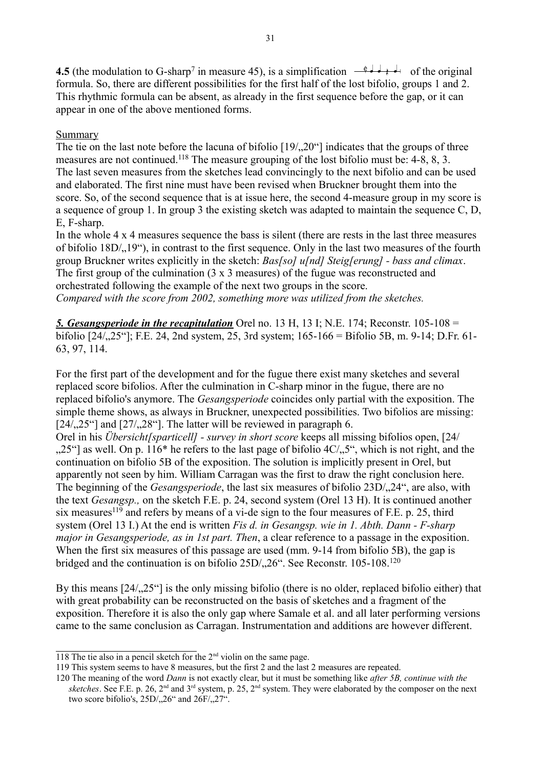**4.5** (the modulation to G-sharp<sup>7</sup> in measure 45), is a simplification  $\frac{d}{dx}$  +  $\frac{d}{dx}$  of the original formula. So, there are different possibilities for the first half of the lost bifolio, groups 1 and 2. This rhythmic formula can be absent, as already in the first sequence before the gap, or it can appear in one of the above mentioned forms.

# **Summary**

The tie on the last note before the lacuna of bifolio  $[19/120^\circ]$  indicates that the groups of three measures are not continued.<sup>[118](#page-30-0)</sup> The measure grouping of the lost bifolio must be: 4-8, 8, 3. The last seven measures from the sketches lead convincingly to the next bifolio and can be used and elaborated. The first nine must have been revised when Bruckner brought them into the score. So, of the second sequence that is at issue here, the second 4-measure group in my score is a sequence of group 1. In group 3 the existing sketch was adapted to maintain the sequence C, D, E, F-sharp.

In the whole 4 x 4 measures sequence the bass is silent (there are rests in the last three measures of bifolio 18D/, 19"), in contrast to the first sequence. Only in the last two measures of the fourth group Bruckner writes explicitly in the sketch: *Bas[so] u[nd] Steig[erung] - bass and climax*. The first group of the culmination (3 x 3 measures) of the fugue was reconstructed and orchestrated following the example of the next two groups in the score. *Compared with the score from 2002, something more was utilized from the sketches.*

*5. Gesangsperiode in the recapitulation* Orel no. 13 H, 13 I; N.E. 174; Reconstr. 105-108 = bifolio [24/<sub>1</sub>,25<sup>\*</sup>]; F.E. 24, 2nd system, 25, 3rd system; 165-166 = Bifolio 5B, m. 9-14; D.Fr. 61-63, 97, 114.

For the first part of the development and for the fugue there exist many sketches and several replaced score bifolios. After the culmination in C-sharp minor in the fugue, there are no replaced bifolio's anymore. The *Gesangsperiode* coincides only partial with the exposition. The simple theme shows, as always in Bruckner, unexpected possibilities. Two bifolios are missing:  $[24/25<sup>o</sup>]$  and  $[27/28<sup>o</sup>]$ . The latter will be reviewed in paragraph 6.

Orel in his *Übersicht[sparticell] - survey in short score* keeps all missing bifolios open, [24/  $0.25$ "] as well. On p. 116<sup>\*</sup> he refers to the last page of bifolio 4C/ $0.5$ ", which is not right, and the continuation on bifolio 5B of the exposition. The solution is implicitly present in Orel, but apparently not seen by him. William Carragan was the first to draw the right conclusion here. The beginning of the *Gesangsperiode*, the last six measures of bifolio 23D/, 24", are also, with the text *Gesangsp.,* on the sketch F.E. p. 24, second system (Orel 13 H). It is continued another six measures<sup>[119](#page-30-1)</sup> and refers by means of a vi-de sign to the four measures of F.E. p. 25, third system (Orel 13 I.) At the end is written *Fis d. in Gesangsp. wie in 1. Abth. Dann - F-sharp major in Gesangsperiode, as in 1st part. Then*, a clear reference to a passage in the exposition. When the first six measures of this passage are used (mm. 9-14 from bifolio 5B), the gap is bridged and the continuation is on bifolio  $25D/26$ . See Reconstr. 105-108.<sup>[120](#page-30-2)</sup>

By this means  $[24/1,25^\circ]$  is the only missing bifolio (there is no older, replaced bifolio either) that with great probability can be reconstructed on the basis of sketches and a fragment of the exposition. Therefore it is also the only gap where Samale et al. and all later performing versions came to the same conclusion as Carragan. Instrumentation and additions are however different.

<span id="page-30-0"></span><sup>118</sup> The tie also in a pencil sketch for the  $2<sup>nd</sup>$  violin on the same page.

<span id="page-30-1"></span><sup>119</sup> This system seems to have 8 measures, but the first 2 and the last 2 measures are repeated.

<span id="page-30-2"></span><sup>120</sup> The meaning of the word *Dann* is not exactly clear, but it must be something like *after 5B, continue with the sketches*. See F.E. p. 26, 2nd and 3rd system, p. 25, 2nd system. They were elaborated by the composer on the next two score bifolio's,  $25D/26$ " and  $26F/27$ ".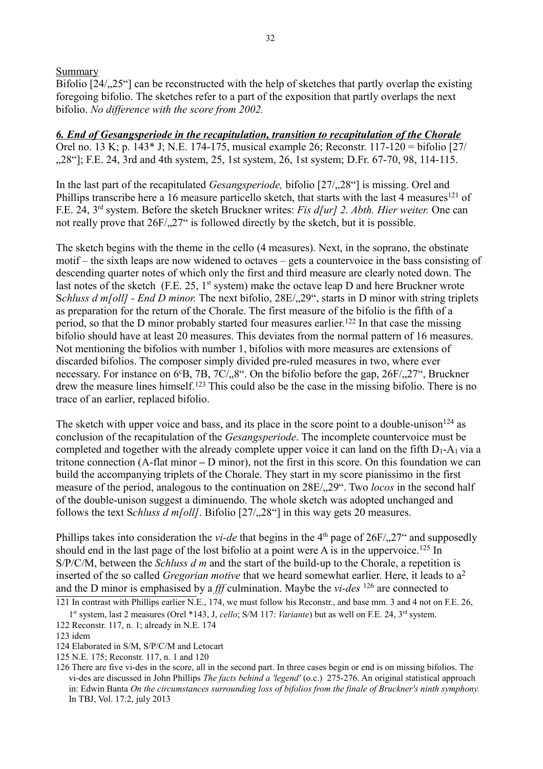### Summary

Bifolio  $[24/25^{\circ}]$  can be reconstructed with the help of sketches that partly overlap the existing foregoing bifolio. The sketches refer to a part of the exposition that partly overlaps the next bifolio. *No difference with the score from 2002.* 

*6. End of Gesangsperiode in the recapitulation, transition to recapitulation of the Chorale*  Orel no. 13 K; p. 143\* J; N.E. 174-175, musical example 26; Reconstr. 117-120 = bifolio [27/ ., 28"]; F.E. 24, 3rd and 4th system, 25, 1st system, 26, 1st system; D.Fr. 67-70, 98, 114-115.

In the last part of the recapitulated *Gesangsperiode*, bifolio [27/, 28"] is missing. Orel and Phillips transcribe here a 16 measure particello sketch, that starts with the last 4 measures<sup>[121](#page-31-0)</sup> of F.E. 24, 3rd system. Before the sketch Bruckner writes: *Fis d[ur] 2. Abth. Hier weiter.* One can not really prove that  $26F/27$ " is followed directly by the sketch, but it is possible.

The sketch begins with the theme in the cello (4 measures). Next, in the soprano, the obstinate motif – the sixth leaps are now widened to octaves – gets a countervoice in the bass consisting of descending quarter notes of which only the first and third measure are clearly noted down. The last notes of the sketch (F.E. 25,  $1<sup>st</sup>$  system) make the octave leap D and here Bruckner wrote Schluss d m[oll] - End D minor. The next bifolio, 28E/<sub>n</sub>,29", starts in D minor with string triplets as preparation for the return of the Chorale. The first measure of the bifolio is the fifth of a period, so that the D minor probably started four measures earlier.<sup>[122](#page-31-1)</sup> In that case the missing bifolio should have at least 20 measures. This deviates from the normal pattern of 16 measures. Not mentioning the bifolios with number 1, bifolios with more measures are extensions of discarded bifolios. The composer simply divided pre-ruled measures in two, where ever necessary. For instance on  $6eB$ , 7B, 7C/, 8". On the bifolio before the gap, 26F/, 27", Bruckner drew the measure lines himself.<sup>[123](#page-31-2)</sup> This could also be the case in the missing bifolio. There is no trace of an earlier, replaced bifolio.

The sketch with upper voice and bass, and its place in the score point to a double-unison<sup>[124](#page-31-3)</sup> as conclusion of the recapitulation of the *Gesangsperiode*. The incomplete countervoice must be completed and together with the already complete upper voice it can land on the fifth  $D_1-A_1$  via a tritone connection (A-flat minor **–** D minor), not the first in this score. On this foundation we can build the accompanying triplets of the Chorale. They start in my score pianissimo in the first measure of the period, analogous to the continuation on 28E/ $\alpha$ , 29". Two *locos* in the second half of the double-unison suggest a diminuendo. The whole sketch was adopted unchanged and follows the text S*chluss d m[oll]*. Bifolio  $[27/28<sup>o</sup>]$  in this way gets 20 measures.

Phillips takes into consideration the *vi-de* that begins in the 4<sup>th</sup> page of 26F/<sub>1</sub>,27<sup>"</sup> and supposedly should end in the last page of the lost bifolio at a point were A is in the uppervoice.<sup>[125](#page-31-4)</sup> In S/P/C/M, between the *Schluss d m* and the start of the build-up to the Chorale, a repetition is inserted of the so called *Gregorian motive* that we heard somewhat earlier. Here, it leads to a<sup>2</sup> and the D minor is emphasised by a *fff* culmination. Maybe the *vi-des* [126](#page-31-5) are connected to

<span id="page-31-0"></span>121 In contrast with Phillips earlier N.E., 174, we must follow his Reconstr., and base mm. 3 and 4 not on F.E. 26,

<sup>1&</sup>lt;sup>st</sup> system, last 2 measures (Orel \*143, J, *cello*; S/M 117: *Variante*) but as well on F.E. 24, 3<sup>rd</sup> system.

<span id="page-31-1"></span><sup>122</sup> Reconstr. 117, n. 1; already in N.E. 174

<span id="page-31-2"></span><sup>123</sup> idem

<span id="page-31-3"></span><sup>124</sup> Elaborated in S/M, S/P/C/M and Letocart

<span id="page-31-4"></span><sup>125</sup> N.E. 175; Reconstr. 117, n. 1 and 120

<span id="page-31-5"></span><sup>126</sup> There are five vi-des in the score, all in the second part. In three cases begin or end is on missing bifolios. The vi-des are discussed in John Phillips *The facts behind a 'legend'* (o.c.) 275-276. An original statistical approach in: Edwin Banta *On the circumstances surrounding loss of bifolios from the finale of Bruckner's ninth symphony.* In TBJ, Vol. 17:2, july 2013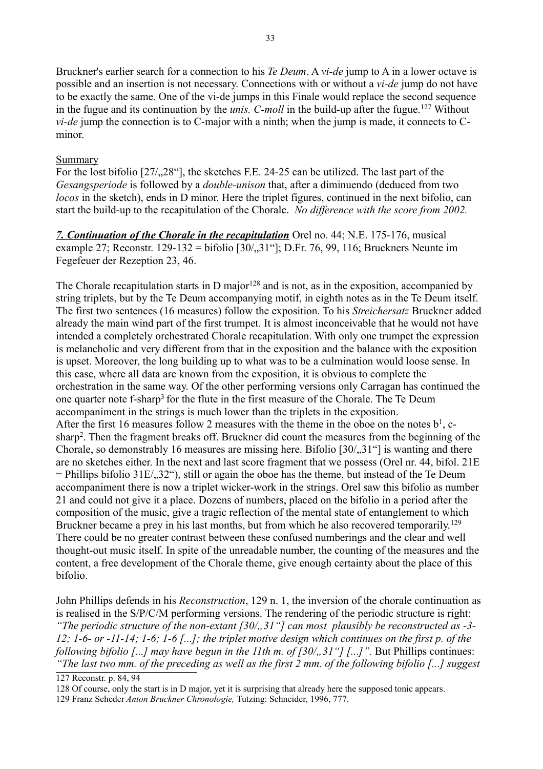Bruckner's earlier search for a connection to his *Te Deum*. A *vi-de* jump to A in a lower octave is possible and an insertion is not necessary. Connections with or without a *vi-de* jump do not have to be exactly the same. One of the vi-de jumps in this Finale would replace the second sequence in the fugue and its continuation by the *unis. C-moll* in the build-up after the fugue.[127](#page-32-0) Without *vi-de* jump the connection is to C-major with a ninth; when the jump is made, it connects to Cminor.

# Summary

For the lost bifolio  $[27/28^\circ]$ , the sketches F.E. 24-25 can be utilized. The last part of the *Gesangsperiode* is followed by a *double-unison* that, after a diminuendo (deduced from two *locos* in the sketch), ends in D minor. Here the triplet figures, continued in the next bifolio, can start the build-up to the recapitulation of the Chorale. *No difference with the score from 2002.*

*7. Continuation of the Chorale in the recapitulation* Orel no. 44; N.E. 175-176, musical example 27; Reconstr. 129-132 = bifolio  $[30/31^\circ]$ ; D.Fr. 76, 99, 116; Bruckners Neunte im Fegefeuer der Rezeption 23, 46.

The Chorale recapitulation starts in D major<sup>[128](#page-32-1)</sup> and is not, as in the exposition, accompanied by string triplets, but by the Te Deum accompanying motif, in eighth notes as in the Te Deum itself. The first two sentences (16 measures) follow the exposition. To his *Streichersatz* Bruckner added already the main wind part of the first trumpet. It is almost inconceivable that he would not have intended a completely orchestrated Chorale recapitulation. With only one trumpet the expression is melancholic and very different from that in the exposition and the balance with the exposition is upset. Moreover, the long building up to what was to be a culmination would loose sense. In this case, where all data are known from the exposition, it is obvious to complete the orchestration in the same way. Of the other performing versions only Carragan has continued the one quarter note f-sharp<sup>3</sup> for the flute in the first measure of the Chorale. The Te Deum accompaniment in the strings is much lower than the triplets in the exposition. After the first 16 measures follow 2 measures with the theme in the oboe on the notes  $b<sup>1</sup>$ , csharp<sup>2</sup>. Then the fragment breaks off. Bruckner did count the measures from the beginning of the Chorale, so demonstrably 16 measures are missing here. Bifolio  $[30/31]$  is wanting and there are no sketches either. In the next and last score fragment that we possess (Orel nr. 44, bifol. 21E  $=$  Phillips bifolio 31E/ $\langle 32^{\circ} \rangle$ , still or again the oboe has the theme, but instead of the Te Deum accompaniment there is now a triplet wicker-work in the strings. Orel saw this bifolio as number 21 and could not give it a place. Dozens of numbers, placed on the bifolio in a period after the composition of the music, give a tragic reflection of the mental state of entanglement to which Bruckner became a prey in his last months, but from which he also recovered temporarily.<sup>[129](#page-32-2)</sup> There could be no greater contrast between these confused numberings and the clear and well thought-out music itself. In spite of the unreadable number, the counting of the measures and the content, a free development of the Chorale theme, give enough certainty about the place of this bifolio.

John Phillips defends in his *Reconstruction*, 129 n. 1, the inversion of the chorale continuation as is realised in the S/P/C/M performing versions. The rendering of the periodic structure is right: "The periodic structure of the non-extant [30/, 31"] can most plausibly be reconstructed as -3-*12; 1-6- or -11-14; 1-6; 1-6 [...]; the triplet motive design which continues on the first p. of the following bifolio [...] may have begun in the 11th m. of*  $\left[30/0, 31\right]$  *[...]".* But Phillips continues: *"The last two mm. of the preceding as well as the first 2 mm. of the following bifolio [...] suggest*

<span id="page-32-0"></span>127 Reconstr. p. 84, 94

<span id="page-32-1"></span>128 Of course, only the start is in D major, yet it is surprising that already here the supposed tonic appears.

<span id="page-32-2"></span>129 Franz Scheder *Anton Bruckner Chronologie,* Tutzing: Schneider, 1996, 777.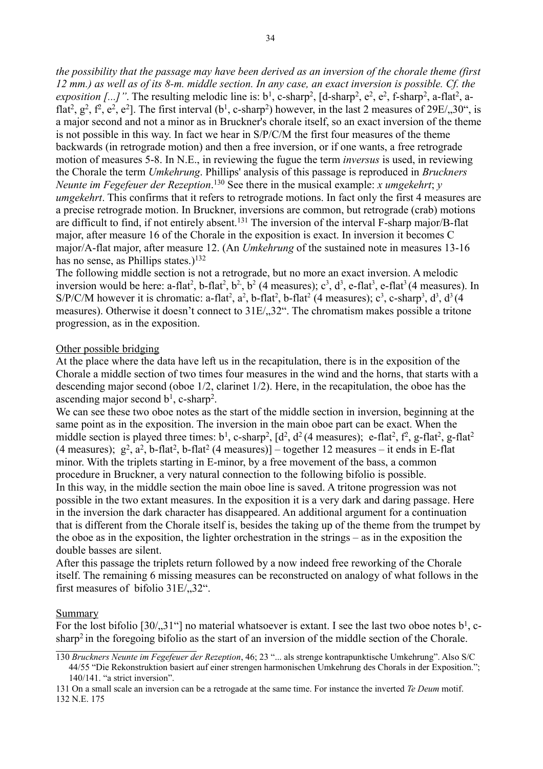*the possibility that the passage may have been derived as an inversion of the chorale theme (first 12 mm.) as well as of its 8-m. middle section. In any case, an exact inversion is possible. Cf. the exposition [...]*". The resulting melodic line is:  $b^1$ , c-sharp<sup>2</sup>, [d-sharp<sup>2</sup>, e<sup>2</sup>, e<sup>2</sup>, f-sharp<sup>2</sup>, a-flat<sup>2</sup>, aflat<sup>2</sup>,  $g^2$ ,  $f^2$ ,  $e^2$ ,  $e^2$ ]. The first interval (b<sup>1</sup>, c-sharp<sup>2</sup>) however, in the last 2 measures of 29E/,,30°, is a major second and not a minor as in Bruckner's chorale itself, so an exact inversion of the theme is not possible in this way. In fact we hear in S/P/C/M the first four measures of the theme backwards (in retrograde motion) and then a free inversion, or if one wants, a free retrograde motion of measures 5-8. In N.E., in reviewing the fugue the term *inversus* is used, in reviewing the Chorale the term *Umkehrung*. Phillips' analysis of this passage is reproduced in *Bruckners Neunte im Fegefeuer der Rezeption*. [130](#page-33-0) See there in the musical example: *x umgekehrt*; *y umgekehrt*. This confirms that it refers to retrograde motions. In fact only the first 4 measures are a precise retrograde motion. In Bruckner, inversions are common, but retrograde (crab) motions are difficult to find, if not entirely absent.[131](#page-33-1) The inversion of the interval F-sharp major/B-flat major, after measure 16 of the Chorale in the exposition is exact. In inversion it becomes C major/A-flat major, after measure 12. (An *Umkehrung* of the sustained note in measures 13-16 has no sense, as Phillips states.)<sup>[132](#page-33-2)</sup>

The following middle section is not a retrograde, but no more an exact inversion. A melodic inversion would be here: a-flat<sup>2</sup>, b-flat<sup>2</sup>, b<sup>2</sup>, b<sup>2</sup> (4 measures); c<sup>3</sup>, d<sup>3</sup>, e-flat<sup>3</sup>, e-flat<sup>3</sup> (4 measures). In S/P/C/M however it is chromatic: a-flat<sup>2</sup>, a<sup>2</sup>, b-flat<sup>2</sup>, b-flat<sup>2</sup> (4 measures); c<sup>3</sup>, c-sharp<sup>3</sup>, d<sup>3</sup>, d<sup>3</sup> (4 measures). Otherwise it doesn't connect to  $31E/132$ ". The chromatism makes possible a tritone progression, as in the exposition.

#### Other possible bridging

At the place where the data have left us in the recapitulation, there is in the exposition of the Chorale a middle section of two times four measures in the wind and the horns, that starts with a descending major second (oboe 1/2, clarinet 1/2). Here, in the recapitulation, the oboe has the ascending major second  $b^1$ , c-sharp<sup>2</sup>.

We can see these two oboe notes as the start of the middle section in inversion, beginning at the same point as in the exposition. The inversion in the main oboe part can be exact. When the middle section is played three times:  $b^1$ , c-sharp<sup>2</sup>,  $[d^2, d^2(4 \text{ measures})$ ; e-flat<sup>2</sup>,  $f^2$ , g-flat<sup>2</sup>, g-flat<sup>2</sup> (4 measures);  $g^2$ ,  $a^2$ , b-flat<sup>2</sup>, b-flat<sup>2</sup> (4 measures)] – together 12 measures – it ends in E-flat minor. With the triplets starting in E-minor, by a free movement of the bass, a common procedure in Bruckner, a very natural connection to the following bifolio is possible. In this way, in the middle section the main oboe line is saved. A tritone progression was not possible in the two extant measures. In the exposition it is a very dark and daring passage. Here in the inversion the dark character has disappeared. An additional argument for a continuation that is different from the Chorale itself is, besides the taking up of the theme from the trumpet by the oboe as in the exposition, the lighter orchestration in the strings – as in the exposition the double basses are silent.

After this passage the triplets return followed by a now indeed free reworking of the Chorale itself. The remaining 6 missing measures can be reconstructed on analogy of what follows in the first measures of bifolio  $31E/32$ .

#### **Summary**

For the lost bifolio [30/, 31"] no material whatsoever is extant. I see the last two oboe notes  $b<sup>1</sup>$ , csharp<sup>2</sup> in the foregoing bifolio as the start of an inversion of the middle section of the Chorale.

<span id="page-33-2"></span><span id="page-33-1"></span>131 On a small scale an inversion can be a retrogade at the same time. For instance the inverted *Te Deum* motif. 132 N.E. 175

<span id="page-33-0"></span><sup>130</sup> *Bruckners Neunte im Fegefeuer der Rezeption*, 46; 23 "... als strenge kontrapunktische Umkehrung". Also S/C 44/55 "Die Rekonstruktion basiert auf einer strengen harmonischen Umkehrung des Chorals in der Exposition."; 140/141. "a strict inversion".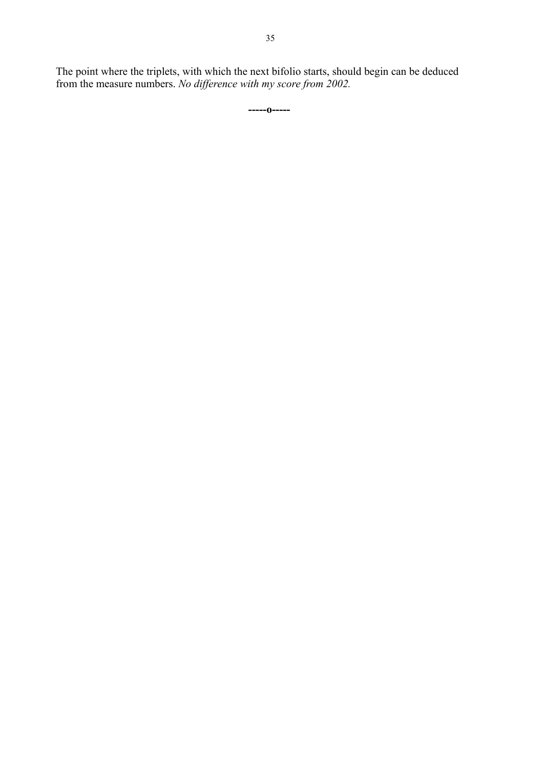The point where the triplets, with which the next bifolio starts, should begin can be deduced from the measure numbers. *No difference with my score from 2002.*

**-----o-----**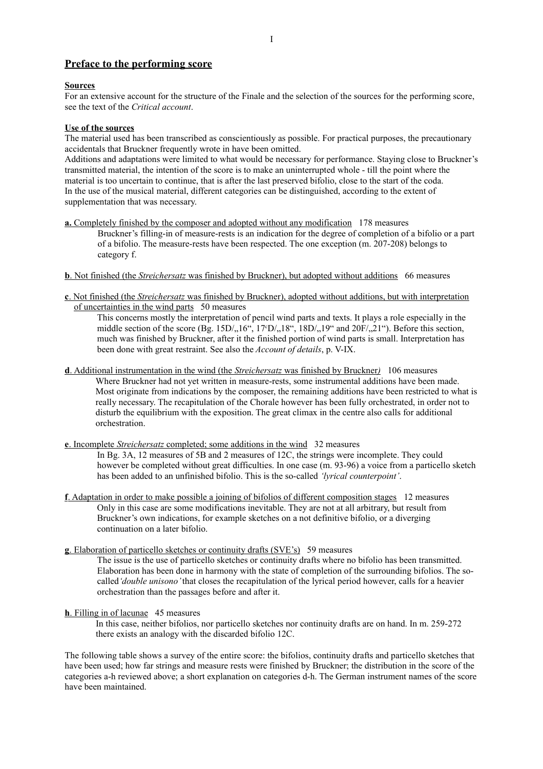#### **Preface to the performing score**

#### **Sources**

For an extensive account for the structure of the Finale and the selection of the sources for the performing score, see the text of the *Critical account*.

#### **Use of the sources**

The material used has been transcribed as conscientiously as possible. For practical purposes, the precautionary accidentals that Bruckner frequently wrote in have been omitted.

Additions and adaptations were limited to what would be necessary for performance. Staying close to Bruckner's transmitted material, the intention of the score is to make an uninterrupted whole - till the point where the material is too uncertain to continue, that is after the last preserved bifolio, close to the start of the coda. In the use of the musical material, different categories can be distinguished, according to the extent of supplementation that was necessary.

- **a.** Completely finished by the composer and adopted without any modification 178 measures Bruckner's filling-in of measure-rests is an indication for the degree of completion of a bifolio or a part of a bifolio. The measure-rests have been respected. The one exception (m. 207-208) belongs to category f.
- **b** . Not finished (the *Streichersatz* was finished by Bruckner), but adopted without additions 66 measures
- **c** . Not finished (the *Streichersatz* was finished by Bruckner), adopted without additions, but with interpretation of uncertainties in the wind parts 50 measures

This concerns mostly the interpretation of pencil wind parts and texts. It plays a role especially in the middle section of the score (Bg.  $15D/16''$ ,  $17D/18''$ ,  $18D/19''$  and  $20F/19''$ ). Before this section, much was finished by Bruckner, after it the finished portion of wind parts is small. Interpretation has been done with great restraint. See also the *Account of details*, p. V-IX.

- **d** . Additional instrumentation in the wind (the *Streichersatz* was finished by Bruckner*)* 106 measures Where Bruckner had not yet written in measure-rests, some instrumental additions have been made. Most originate from indications by the composer, the remaining additions have been restricted to what is really necessary. The recapitulation of the Chorale however has been fully orchestrated, in order not to disturb the equilibrium with the exposition. The great climax in the centre also calls for additional orchestration.
- **e** . Incomplete *Streichersatz* completed; some additions in the wind 32 measures In Bg. 3A, 12 measures of 5B and 2 measures of 12C, the strings were incomplete. They could however be completed without great difficulties. In one case (m. 93-96) a voice from a particello sketch has been added to an unfinished bifolio. This is the so-called *'lyrical counterpoint'*.
- **f**. Adaptation in order to make possible a joining of bifolios of different composition stages 12 measures Only in this case are some modifications inevitable. They are not at all arbitrary, but result from Bruckner's own indications, for example sketches on a not definitive bifolio, or a diverging continuation on a later bifolio.
- **g** . Elaboration of particello sketches or continuity drafts (SVE's) 59 measures

The issue is the use of particello sketches or continuity drafts where no bifolio has been transmitted. Elaboration has been done in harmony with the state of completion of the surrounding bifolios. The socalled*'double unisono'* that closes the recapitulation of the lyrical period however, calls for a heavier orchestration than the passages before and after it.

#### **h**. Filling in of lacunae 45 measures

In this case, neither bifolios, nor particello sketches nor continuity drafts are on hand. In m. 259-272 there exists an analogy with the discarded bifolio 12C.

The following table shows a survey of the entire score: the bifolios, continuity drafts and particello sketches that have been used; how far strings and measure rests were finished by Bruckner; the distribution in the score of the categories a-h reviewed above; a short explanation on categories d-h. The German instrument names of the score have been maintained.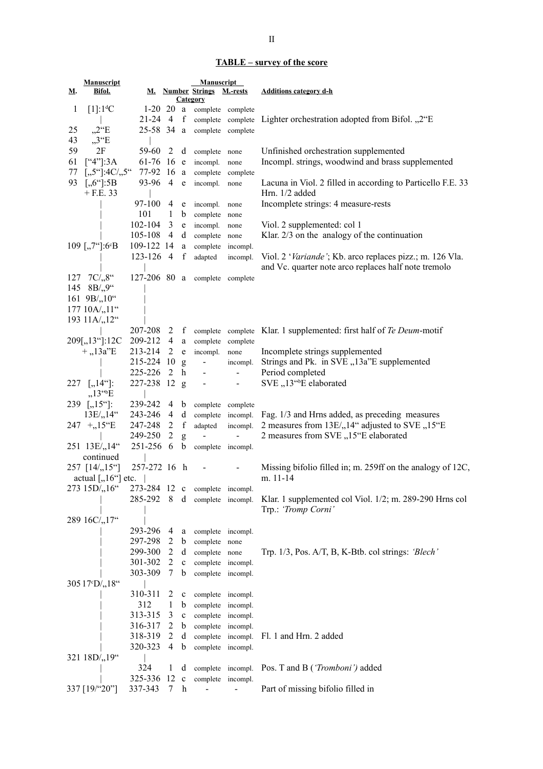### **TABLE – survey of the score**

|              | Manuscript                                           |                                |                |              | <b>Manuscript</b>                                    |                   |                                                                                       |
|--------------|------------------------------------------------------|--------------------------------|----------------|--------------|------------------------------------------------------|-------------------|---------------------------------------------------------------------------------------|
| <u>М</u> .   | <u>Bifol.</u>                                        |                                |                |              | M. Number Strings M.-rests                           |                   | <b>Additions category d-h</b>                                                         |
|              |                                                      |                                |                |              | <b>Category</b>                                      |                   |                                                                                       |
| $\mathbf{1}$ | $[1]:1^dC$                                           |                                |                |              | 1-20 20 a complete complete                          |                   |                                                                                       |
|              |                                                      |                                |                |              |                                                      |                   | 21-24 4 f complete complete Lighter orchestration adopted from Bifol. "2"E            |
| 25           | $,2^{\circ}E$                                        |                                |                |              | 25-58 34 a complete complete                         |                   |                                                                                       |
| 43           | $,3^{\circ}E$                                        |                                |                |              |                                                      |                   |                                                                                       |
| 59           | 2F                                                   | 59-60                          | 2              |              | d complete none                                      |                   | Unfinished orchestration supplemented                                                 |
| 61           | $[$ "4"]:3A                                          |                                |                |              | 61-76 16 $e$ incompl.                                | none              | Incompl. strings, woodwind and brass supplemented                                     |
|              | 77 [,,5"]:4C/,,5" 77-92 16 a complete complete       |                                |                |              |                                                      |                   |                                                                                       |
|              |                                                      |                                |                |              |                                                      |                   |                                                                                       |
|              | 93 [,,6"]:5B                                         | 93-96 4                        |                | e e          | incompl. none                                        |                   | Lacuna in Viol. 2 filled in according to Particello F.E. 33                           |
|              | $+$ F.E. 33                                          |                                |                |              |                                                      |                   | Hrn. 1/2 added                                                                        |
|              |                                                      | 97-100 4                       |                |              | e incompl.                                           | none              | Incomplete strings: 4 measure-rests                                                   |
|              |                                                      | 101                            | $\mathbf{1}$   |              | b complete none                                      |                   |                                                                                       |
|              |                                                      | 102-104                        | 3              |              | e incompl.                                           | none              | Viol. 2 supplemented: col 1                                                           |
|              |                                                      | 105-108 4                      |                |              | d complete none                                      |                   | Klar. $2/3$ on the analogy of the continuation                                        |
|              | 109 [,,7"]:6°B                                       | 109-122 14                     |                |              | a complete                                           | incompl.          |                                                                                       |
|              |                                                      | $123-126$ 4 f                  |                |              | adapted                                              | incompl.          | Viol. 2 'Variande'; Kb. arco replaces pizz.; m. 126 Vla.                              |
|              |                                                      |                                |                |              |                                                      |                   | and Vc. quarter note arco replaces half note tremolo                                  |
|              | 127 7C/ <sub>28</sub> "                              |                                |                |              | 127-206 80 a complete complete                       |                   |                                                                                       |
|              |                                                      |                                |                |              |                                                      |                   |                                                                                       |
|              | 145 $8B/9$                                           |                                |                |              |                                                      |                   |                                                                                       |
|              | 161 $9B', 10''$                                      |                                |                |              |                                                      |                   |                                                                                       |
|              | 177 10A/ <sub>2</sub> ,11"                           |                                |                |              |                                                      |                   |                                                                                       |
|              | 193 11A/ <sub>2</sub> 12"                            |                                |                |              |                                                      |                   |                                                                                       |
|              |                                                      |                                |                |              |                                                      |                   | 207-208 2 f complete complete Klar. 1 supplemented: first half of Te Deum-motif       |
|              | 209[,,13"]:12C 209-212 4 a complete complete         |                                |                |              |                                                      |                   |                                                                                       |
|              | $+, 13a$ <sup>"</sup> E                              | 213-214 2                      |                |              | e incompl.                                           | none              | Incomplete strings supplemented                                                       |
|              |                                                      | 215-224 10 g                   |                |              | $\alpha$ , $\alpha$ , $\alpha$ , $\alpha$ , $\alpha$ | incompl.          | Strings and Pk. in SVE "13a"E supplemented                                            |
|              |                                                      | 225-226 2 h                    |                |              | $\sim$                                               | $\blacksquare$    | Period completed                                                                      |
|              | 227 [,,14"]:                                         | 227-238 12 g                   |                |              | $\blacksquare$                                       | $\sim$            | SVE "13" <sup>b</sup> E elaborated                                                    |
|              | $,13^{\text{c}}\text{E}$                             |                                |                |              |                                                      |                   |                                                                                       |
|              |                                                      |                                |                |              |                                                      |                   |                                                                                       |
|              | 239 [,15"]:                                          | 239-242                        | 4              |              | b complete complete                                  |                   |                                                                                       |
|              | 13E/14                                               | 243-246                        | 4              | d            |                                                      | complete incompl. | Fag. 1/3 and Hrns added, as preceding measures                                        |
|              | $247 + 15 \text{°E}$                                 | 247-248                        | 2              | $\mathbf{f}$ | adapted                                              | incompl.          | 2 measures from 13E/, 14" adjusted to SVE , 15"E                                      |
|              |                                                      | 249-250                        | 2              | g            | $\blacksquare$                                       | $\blacksquare$    | 2 measures from SVE "15"E elaborated                                                  |
|              | 251 13E/ <sub>2</sub> ,14"                           | 251-256 6                      |                | b            | complete incompl.                                    |                   |                                                                                       |
|              | continued                                            |                                |                |              |                                                      |                   |                                                                                       |
|              | $257$ [14/,,15 <sup>o</sup> ]                        | 257-272 16 h                   |                |              |                                                      |                   | Missing bifolio filled in; m. 259ff on the analogy of 12C,                            |
|              | actual $[, 16^{\circ}]$ etc. $\parallel$             |                                |                |              |                                                      |                   | m. 11-14                                                                              |
|              | 273 15D/ <sub>,16</sub> "                            | 273-284 12 c complete incompl. |                |              |                                                      |                   |                                                                                       |
|              |                                                      |                                |                |              |                                                      |                   | 285-292 8 d complete incompl. Klar. 1 supplemented col Viol. 1/2; m. 289-290 Hrns col |
|              |                                                      |                                |                |              |                                                      |                   | Trp.: 'Tromp Corni'                                                                   |
|              | 289 16C/ <sub>2</sub> 17"                            |                                |                |              |                                                      |                   |                                                                                       |
|              |                                                      | 293-296                        | 4              |              |                                                      |                   |                                                                                       |
|              |                                                      | 297-298                        |                |              | a complete incompl.                                  |                   |                                                                                       |
|              |                                                      |                                | 2              | b            | complete none                                        |                   |                                                                                       |
|              |                                                      | 299-300                        | $\overline{2}$ | d            | complete none                                        |                   | Trp. $1/3$ , Pos. A/T, B, K-Btb. col strings: 'Blech'                                 |
|              |                                                      | 301-302                        | $\overline{2}$ | $\mathbf c$  | complete incompl.                                    |                   |                                                                                       |
|              |                                                      | 303-309                        | 7              | b            | complete incompl.                                    |                   |                                                                                       |
|              | 305 17 <sup>c</sup> D/ <sub>2</sub> 18 <sup>cc</sup> |                                |                |              |                                                      |                   |                                                                                       |
|              |                                                      | 310-311                        | 2              | $\mathbf c$  | complete incompl.                                    |                   |                                                                                       |
|              |                                                      | 312                            | 1              | $\mathbf b$  | complete incompl.                                    |                   |                                                                                       |
|              |                                                      | 313-315                        | 3              | $\mathbf c$  | complete incompl.                                    |                   |                                                                                       |
|              |                                                      | 316-317                        | 2              | $\mathbf b$  | complete incompl.                                    |                   |                                                                                       |
|              |                                                      | 318-319                        | 2              |              | d complete incompl.                                  |                   | Fl. 1 and Hrn. 2 added                                                                |
|              |                                                      | 320-323                        | 4              | $\mathbf b$  |                                                      |                   |                                                                                       |
|              |                                                      |                                |                |              | complete incompl.                                    |                   |                                                                                       |
|              | 321 18D/ <sub>219"</sub>                             |                                |                |              |                                                      |                   |                                                                                       |
|              |                                                      | 324                            | $\mathbf{1}$   | d            |                                                      | complete incompl. | Pos. T and B (' <i>Tromboni'</i> ) added                                              |
|              |                                                      | 325-336 12 c                   |                |              | complete incompl.                                    |                   |                                                                                       |
|              | 337 [19/"20"]                                        | 337-343                        | 7              | h            |                                                      |                   | Part of missing bifolio filled in                                                     |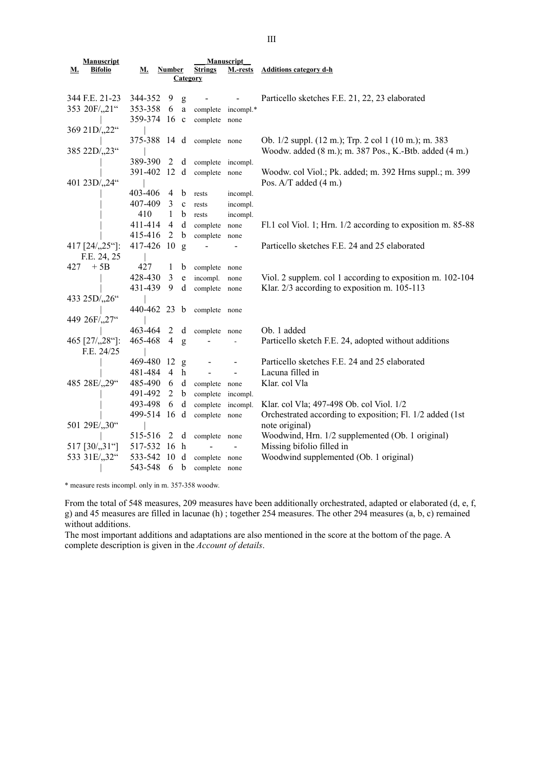| Manuscript                                   |                |                                |              | <b>Manuscript</b>               |                          |                                                             |
|----------------------------------------------|----------------|--------------------------------|--------------|---------------------------------|--------------------------|-------------------------------------------------------------|
| <b>Bifolio</b><br><u>М.</u>                  | <u>м.</u>      | <b>Number</b>                  |              | <b>Strings</b>                  | M.-rests                 | <b>Additions category d-h</b>                               |
|                                              | Category       |                                |              |                                 |                          |                                                             |
|                                              |                |                                |              |                                 |                          |                                                             |
| 344 F.E. 21-23<br>353 20F/ <sub>1</sub> ,21" | 344-352        | - 9                            | g            |                                 |                          | Particello sketches F.E. 21, 22, 23 elaborated              |
|                                              | 353-358        | - 6                            | $\mathbf{a}$ | complete                        | incompl.*                |                                                             |
|                                              | 359-374 16 c   |                                |              | complete none                   |                          |                                                             |
| 369 21D/ <sub>22</sub> "                     |                |                                |              |                                 |                          |                                                             |
|                                              | 375-388 14 d   |                                |              | complete none                   |                          | Ob. 1/2 suppl. (12 m.); Trp. 2 col 1 (10 m.); m. 383        |
| 385 22D/ <sub>23"</sub>                      |                |                                |              |                                 |                          | Woodw. added (8 m.); m. 387 Pos., K.-Btb. added (4 m.)      |
|                                              | 389-390        | 2                              | d            | complete incompl.               |                          |                                                             |
|                                              | 391-402 12 d   |                                |              | complete none                   |                          | Woodw. col Viol.; Pk. added; m. 392 Hrns suppl.; m. 399     |
| 401 23D/ <sub>24"</sub>                      |                |                                |              |                                 |                          | Pos. A/T added (4 m.)                                       |
|                                              | 403-406        | 4 b                            |              | rests                           | incompl.                 |                                                             |
|                                              | 407-409        | $3 \text{ } c$                 |              | rests                           | incompl.                 |                                                             |
|                                              | 410            | $\mathbf{1}$                   | $\mathbf b$  | rests                           | incompl.                 |                                                             |
|                                              | 411-414        | $\overline{4}$                 | d            | complete                        | none                     | Fl.1 col Viol. 1; Hrn. 1/2 according to exposition m. 85-88 |
|                                              | 415-416        | 2                              | b            | complete                        | none                     |                                                             |
| 417 [24/, 25"]:                              | 417-426 10 g   |                                |              |                                 | $\overline{\phantom{0}}$ | Particello sketches F.E. 24 and 25 elaborated               |
| F.E. 24, 25<br>$+5B$                         |                |                                |              |                                 |                          |                                                             |
| 427                                          | 427<br>428-430 | $\mathbf{1}$<br>$\mathfrak{Z}$ | $\mathbf b$  | complete none                   |                          |                                                             |
|                                              |                | 9                              | $\rm e$      | incompl.                        | none                     | Viol. 2 supplem. col 1 according to exposition m. 102-104   |
| 433 25D/ <sub>26</sub> "                     | 431-439        |                                | d            | complete none                   |                          | Klar. 2/3 according to exposition m. 105-113                |
|                                              | 440-462 23 b   |                                |              |                                 |                          |                                                             |
| 449 26F/ <sub>27</sub> "                     |                |                                |              | complete none                   |                          |                                                             |
|                                              | 463-464        | 2                              | d            |                                 |                          | Ob. 1 added                                                 |
| 465 [27/,,28"]:                              | 465-468        | $\overline{4}$                 | g            | complete none<br>$\overline{a}$ |                          | Particello sketch F.E. 24, adopted without additions        |
| F.E. 24/25                                   |                |                                |              |                                 |                          |                                                             |
|                                              | 469-480 12     |                                | g            |                                 |                          | Particello sketches F.E. 24 and 25 elaborated               |
|                                              | 481-484 4      |                                | h            |                                 | $\sim$                   | Lacuna filled in                                            |
| 485 28E/,,29"                                | 485-490        | - 6                            |              | d complete none                 |                          | Klar. col Vla                                               |
|                                              | 491-492        | $\overline{2}$                 | $\mathbf b$  | complete incompl.               |                          |                                                             |
|                                              | 493-498        | 6                              | d            | complete                        | incompl.                 | Klar. col Vla; 497-498 Ob. col Viol. 1/2                    |
|                                              | 499-514 16 d   |                                |              | complete                        | none                     | Orchestrated according to exposition; Fl. 1/2 added (1st    |
| 501 29E/,,30"                                |                |                                |              |                                 |                          | note original)                                              |
|                                              | 515-516        | 2 d                            |              | complete none                   |                          | Woodwind, Hrn. 1/2 supplemented (Ob. 1 original)            |
| 517 [30/,,31"]                               | 517-532 16 h   |                                |              |                                 |                          | Missing bifolio filled in                                   |
| 533 31E/,,32"                                | 533-542        | 10                             | d            | complete none                   |                          | Woodwind supplemented (Ob. 1 original)                      |
|                                              | 543-548        | 6                              | b            | complete                        | none                     |                                                             |

\* measure rests incompl. only in m. 357-358 woodw.

From the total of 548 measures, 209 measures have been additionally orchestrated, adapted or elaborated (d, e, f, g) and 45 measures are filled in lacunae (h) ; together 254 measures. The other 294 measures (a, b, c) remained without additions.

The most important additions and adaptations are also mentioned in the score at the bottom of the page. A complete description is given in the *Account of details*.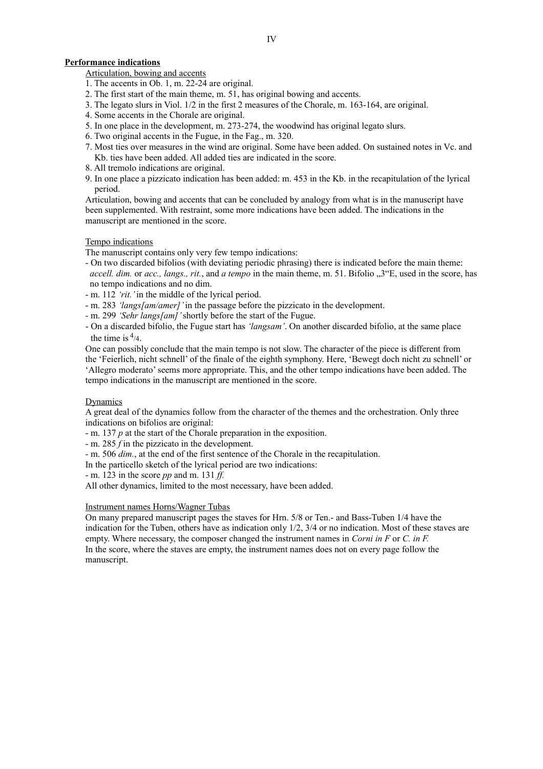#### **Performance indications**

Articulation, bowing and accents

- 1. The accents in Ob. 1, m. 22-24 are original.
- 2. The first start of the main theme, m. 51, has original bowing and accents.
- 3. The legato slurs in Viol. 1/2 in the first 2 measures of the Chorale, m. 163-164, are original.
- 4. Some accents in the Chorale are original.
- 5. In one place in the development, m. 273-274, the woodwind has original legato slurs.
- 6. Two original accents in the Fugue, in the Fag., m. 320.
- 7. Most ties over measures in the wind are original. Some have been added. On sustained notes in Vc. and Kb. ties have been added. All added ties are indicated in the score.
- 8. All tremolo indications are original.
- 9. In one place a pizzicato indication has been added: m. 453 in the Kb. in the recapitulation of the lyrical period.

Articulation, bowing and accents that can be concluded by analogy from what is in the manuscript have been supplemented. With restraint, some more indications have been added. The indications in the manuscript are mentioned in the score.

#### Tempo indications

The manuscript contains only very few tempo indications:

- On two discarded bifolios (with deviating periodic phrasing) there is indicated before the main theme: *accell. dim.* or *acc., langs., rit., and a tempo* in the main theme, m. 51. Bifolio "3"E, used in the score, has no tempo indications and no dim.
- m. 112 *'rit.'* in the middle of the lyrical period.
- m. 283 *'langs[am/amer]'* in the passage before the pizzicato in the development.
- m. 299 *'Sehr langs[am]'* shortly before the start of the Fugue.
- On a discarded bifolio, the Fugue start has *'langsam'*. On another discarded bifolio, at the same place the time is  $\frac{4}{4}$ .

One can possibly conclude that the main tempo is not slow. The character of the piece is different from the 'Feierlich, nicht schnell' of the finale of the eighth symphony. Here, 'Bewegt doch nicht zu schnell' or 'Allegro moderato' seems more appropriate. This, and the other tempo indications have been added. The tempo indications in the manuscript are mentioned in the score.

#### Dynamics

A great deal of the dynamics follow from the character of the themes and the orchestration. Only three indications on bifolios are original:

- m. 137 *p* at the start of the Chorale preparation in the exposition.

- m. 285 *f* in the pizzicato in the development.
- m. 506 *dim.*, at the end of the first sentence of the Chorale in the recapitulation.

In the particello sketch of the lyrical period are two indications:

- m. 123 in the score *pp* and m. 131 *ff.*

All other dynamics, limited to the most necessary, have been added.

#### Instrument names Horns/Wagner Tubas

On many prepared manuscript pages the staves for Hrn. 5/8 or Ten.- and Bass-Tuben 1/4 have the indication for the Tuben, others have as indication only 1/2, 3/4 or no indication. Most of these staves are empty. Where necessary, the composer changed the instrument names in *Corni in F* or *C. in F.*  In the score, where the staves are empty, the instrument names does not on every page follow the manuscript.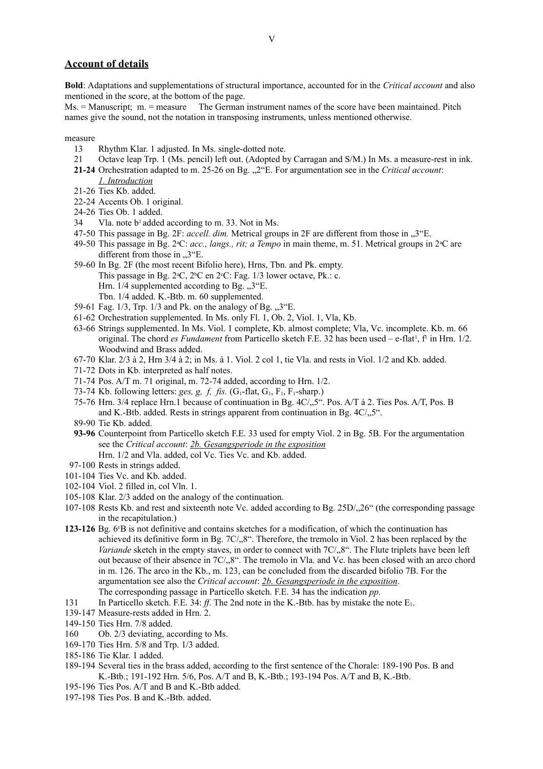#### **Account of details**

**Bold**: Adaptations and supplementations of structural importance, accounted for in the *Critical account* and also mentioned in the score, at the bottom of the page.

 $Ms =$  Manuscript:  $m =$  measure The German instrument names of the score have been maintained. Pitch names give the sound, not the notation in transposing instruments, unless mentioned otherwise.

measure

- 13 Rhythm Klar. 1 adjusted. In Ms. single-dotted note.
- 21 Octave leap Trp. 1 (Ms. pencil) left out. (Adopted by Carragan and S/M.) In Ms. a measure-rest in ink.
- **21-24** Orchestration adapted to m. 25-26 on Bg.  $\mu$ <sup>2"</sup>E. For argumentation see in the *Critical account*: *1. Introduction*
- 21-26 Ties Kb. added.
- 22-24 Accents Ob. 1 original.
- 24-26 Ties Ob. 1 added.
- 34 Vla. note b1 added according to m. 33. Not in Ms.
- 47-50 This passage in Bg. 2F: *accell. dim.* Metrical groups in 2F are different from those in , 3<sup>"E.</sup>
- 49-50 This passage in Bg. 2<sup>a</sup>C: *acc., langs., rit; a Tempo* in main theme, m. 51. Metrical groups in 2<sup>a</sup>C are different from those in  $.3^{\circ}$ E.
- 59-60 In Bg. 2F (the most recent Bifolio here), Hrns, Tbn. and Pk. empty. This passage in Bg.  $2^{\circ}C$ ,  $2^{\circ}C$  en  $2^{\circ}C$ : Fag. 1/3 lower octave, Pk.: c. Hrn.  $1/4$  supplemented according to Bg.  $\cdot$ ,  $3^{\circ}$ E. Tbn. 1/4 added. K.-Btb. m. 60 supplemented.
- 59-61 Fag.  $1/3$ , Trp.  $1/3$  and Pk. on the analogy of Bg.  $\mathcal{F}^{\prime}$ .
- 61-62 Orchestration supplemented. In Ms. only Fl. 1, Ob. 2, Viol. 1, Vla, Kb.
- 63-66 Strings supplemented. In Ms. Viol. 1 complete, Kb. almost complete; Vla, Vc. incomplete. Kb. m. 66 original. The chord *es Fundament* from Particello sketch F.E. 32 has been used – e-flat<sup>1</sup>, f<sup>1</sup> in Hrn. 1/2. Woodwind and Brass added.
- 67-70 Klar. 2/3 à 2, Hrn 3/4 à 2; in Ms. à 1. Viol. 2 col 1, tie Vla. and rests in Viol. 1/2 and Kb. added.
- 71-72 Dots in Kb. interpreted as half notes.
- 71-74 Pos. A/T m. 71 original, m. 72-74 added, according to Hrn. 1/2.
- 73-74 Kb. following letters: *ges, g, f, fis.*  $(G_1$ -flat,  $G_1$ ,  $F_1$ ,  $F_1$ -sharp.)
- 75-76 Hrn. 3/4 replace Hrn.1 because of continuation in Bg.  $4C/\sqrt{5}$ ". Pos. A/T à 2. Ties Pos. A/T, Pos. B and K.-Btb. added. Rests in strings apparent from continuation in Bg.  $4C/15$ .
- 89-90 Tie Kb. added.
- **93-96** Counterpoint from Particello sketch F.E. 33 used for empty Viol. 2 in Bg. 5B. For the argumentation see the *Critical account*: *2b. Gesangsperiode in the exposition* Hrn. 1/2 and Vla. added, col Vc. Ties Vc. and Kb. added.
- 97-100 Rests in strings added.
- 101-104 Ties Vc. and Kb. added.
- 102-104 Viol. 2 filled in, col Vln. 1.
- 105-108 Klar. 2/3 added on the analogy of the continuation.
- 107-108 Rests Kb. and rest and sixteenth note Vc. added according to Bg. 25D/, 26" (the corresponding passage in the recapitulation.)
- **123-126** Bg. 6<sup>c</sup>B is not definitive and contains sketches for a modification, of which the continuation has achieved its definitive form in Bg.  $7C/3$ ,  $8$ ". Therefore, the tremolo in Viol. 2 has been replaced by the *Variande* sketch in the empty staves, in order to connect with 7C/<sub>1</sub>8". The Flute triplets have been left out because of their absence in 7C/<sub>1</sub>,8". The tremolo in Vla. and Vc. has been closed with an arco chord in m. 126. The arco in the Kb., m. 123, can be concluded from the discarded bifolio 7B. For the argumentation see also the *Critical account*: *2b. Gesangsperiode in the exposition*. The corresponding passage in Particello sketch. F.E. 34 has the indication *pp*.
- 131 In Particello sketch. F.E. 34: *ff*. The 2nd note in the K.-Btb. has by mistake the note E1.
- 139-147 Measure-rests added in Hrn. 2.
- 149-150 Ties Hrn. 7/8 added.
- 160 Ob. 2/3 deviating, according to Ms.
- 169-170 Ties Hrn. 5/8 and Trp. 1/3 added.
- 185-186 Tie Klar. 1 added.
- 189-194 Several ties in the brass added, according to the first sentence of the Chorale: 189-190 Pos. B and K.-Btb.; 191-192 Hrn. 5/6, Pos. A/T and B, K.-Btb.; 193-194 Pos. A/T and B, K.-Btb.
- 195-196 Ties Pos. A/T and B and K.-Btb added.
- 197-198 Ties Pos. B and K.-Btb. added.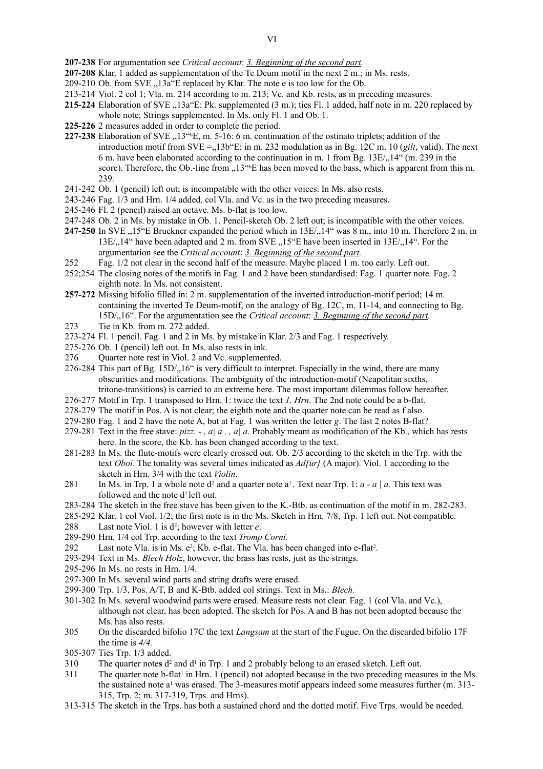- **207-238** For argumentation see *Critical account*: *3. Beginning of the second part.*
- **207-208** Klar. 1 added as supplementation of the Te Deum motif in the next 2 m.; in Ms. rests.
- 209-210 Ob. from SVE "13a"E replaced by Klar. The note e is too low for the Ob.
- 213-214 Viol. 2 col 1; Vla. m. 214 according to m. 213; Vc. and Kb. rests, as in preceding measures.
- **215-224** Elaboration of SVE "13a"E: Pk. supplemented (3 m.); ties Fl. 1 added, half note in m. 220 replaced by whole note; Strings supplemented. In Ms. only Fl. 1 and Ob. 1.
- **225-226** 2 measures added in order to complete the period.
- **227-238** Elaboration of SVE  $, 13^{\text{th}}E, m. 5-16$ : 6 m. continuation of the ostinato triplets; addition of the introduction motif from  $SVE = 13b^{\circ}E$ ; in m. 232 modulation as in Bg. 12C m. 10 (*gilt*, valid). The next 6 m. have been elaborated according to the continuation in m. 1 from Bg.  $13E/14$ " (m. 239 in the score). Therefore, the Ob.-line from  $.13^{\text{th}}E$  has been moved to the bass, which is apparent from this m. 239.
- 241-242 Ob. 1 (pencil) left out; is incompatible with the other voices. In Ms. also rests.
- 243-246 Fag. 1/3 and Hrn. 1/4 added, col Vla. and Vc. as in the two preceding measures.
- 245-246 Fl. 2 (pencil) raised an octave. Ms. b-flat is too low.
- 247-248 Ob. 2 in Ms. by mistake in Ob. 1. Pencil-sketch Ob. 2 left out; is incompatible with the other voices.
- **247-250** In SVE "15"E Bruckner expanded the period which in 13E/<sub>2</sub>,14" was 8 m., into 10 m. Therefore 2 m. in 13E/<sub>1</sub>,14" have been adapted and 2 m. from SVE <sub>1</sub>,15"E have been inserted in 13E/<sub>1</sub>,14". For the argumentation see the *Critical account*: *3. Beginning of the second part.*
- 252 Fag. 1/2 not clear in the second half of the measure. Maybe placed 1 m. too early. Left out.
- 252;254 The closing notes of the motifs in Fag. 1 and 2 have been standardised: Fag. 1 quarter note*,* Fag. 2 eighth note. In Ms. not consistent.
- **257-272** Missing bifolio filled in: 2 m. supplementation of the inverted introduction-motif period; 14 m. containing the inverted Te Deum-motif, on the analogy of Bg. 12C, m. 11-14, and connecting to Bg. 15D/"16". For the argumentation see the *Critical account*: *3. Beginning of the second part.*
- 273 Tie in Kb. from m. 272 added.
- 273-274 Fl. 1 pencil. Fag. 1 and 2 in Ms. by mistake in Klar. 2/3 and Fag. 1 respectively.
- 275-276 Ob. 1 (pencil) left out. In Ms. also rests in ink.
- 276 Quarter note rest in Viol. 2 and Vc. supplemented.
- $276-284$  This part of Bg. 15D/ $\alpha$ 16" is very difficult to interpret. Especially in the wind, there are many obscurities and modifications. The ambiguity of the introduction-motif (Neapolitan sixths, tritone-transitions) is carried to an extreme here. The most important dilemmas follow hereafter.
- 276-277 Motif in Trp. 1 transposed to Hrn. 1: twice the text *1. Hrn*. The 2nd note could be a b-flat.
- 278-279 The motif in Pos. A is not clear; the eighth note and the quarter note can be read as f also.
- 279-280 Fag. 1 and 2 have the note A, but at Fag. 1 was written the letter *g*. The last 2 notes B-flat?
- 279-281 Text in the free stave: *pizz. , a| a , , a| a*. Probably meant as modification of the Kb., which has rests here. In the score, the Kb. has been changed according to the text.
- 281-283 In Ms. the flute-motifs were clearly crossed out. Ob. 2/3 according to the sketch in the Trp. with the text *Oboi*. The tonality was several times indicated as *Ad[ur]* (A major). Viol. 1 according to the sketch in Hrn. 3/4 with the text *Violin*.
- 281 In Ms. in Trp. 1 a whole note  $d^2$  and a quarter note  $a^1$ . Text near Trp. 1:  $a a \mid a$ . This text was followed and the note d<sup>2</sup> left out.
- 283-284 The sketch in the free stave has been given to the K.-Btb. as continuation of the motif in m. 282-283.
- 285-292 Klar. 1 col Viol. 1/2; the first note is in the Ms. Sketch in Hrn. 7/8, Trp. 1 left out. Not compatible.
- 288 Last note Viol. 1 is d<sup>2</sup> ; however with letter *e*.
- 289-290 Hrn. 1/4 col Trp. according to the text *Tromp Corni.*
- 292 Last note Vla. is in Ms.  $e^2$ ; Kb. e-flat. The Vla. has been changed into e-flat<sup>2</sup>.
- 293-294 Text in Ms. *Blech Holz*, however, the brass has rests, just as the strings.
- 295-296 In Ms. no rests in Hrn. 1/4.
- 297-300 In Ms. several wind parts and string drafts were erased.
- 299-300 Trp. 1/3, Pos. A/T, B and K-Btb. added col strings. Text in Ms.: *Blech.*
- 301-302 In Ms. several woodwind parts were erased. Measure rests not clear. Fag. 1 (col Vla. and Vc.), although not clear, has been adopted. The sketch for Pos. A and B has not been adopted because the Ms. has also rests.
- 305 On the discarded bifolio 17C the text *Langsam* at the start of the Fugue. On the discarded bifolio 17F the time is *4/4.*
- 305-307 Ties Trp. 1/3 added.
- 310 The quarter notes  $d^2$  and  $d^1$  in Trp. 1 and 2 probably belong to an erased sketch. Left out.
- 311 The quarter note b-flat<sup>1</sup> in Hrn. 1 (pencil) not adopted because in the two preceding measures in the Ms. the sustained note  $a<sup>1</sup>$  was erased. The 3-measures motif appears indeed some measures further (m. 313-315, Trp. 2; m. 317-319, Trps. and Hrns).
- 313-315 The sketch in the Trps. has both a sustained chord and the dotted motif. Five Trps. would be needed.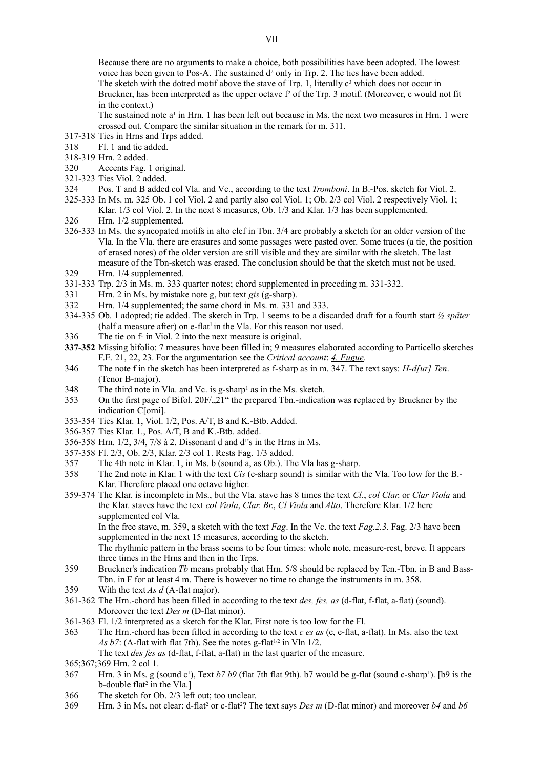Because there are no arguments to make a choice, both possibilities have been adopted. The lowest voice has been given to Pos-A. The sustained  $d^2$  only in Trp. 2. The ties have been added. The sketch with the dotted motif above the stave of Trp. 1, literally  $c<sup>3</sup>$  which does not occur in Bruckner, has been interpreted as the upper octave f<sup>2</sup> of the Trp. 3 motif. (Moreover, c would not fit in the context.)

The sustained note  $a<sup>1</sup>$  in Hrn. 1 has been left out because in Ms. the next two measures in Hrn. 1 were crossed out. Compare the similar situation in the remark for m. 311.

- 317-318 Ties in Hrns and Trps added.
- 318 Fl. 1 and tie added.
- 318-319 Hrn. 2 added.
- 320 Accents Fag. 1 original.
- 321-323 Ties Viol. 2 added.
- 324 Pos. T and B added col Vla. and Vc., according to the text *Tromboni*. In B.-Pos. sketch for Viol. 2.
- 325-333 In Ms. m. 325 Ob. 1 col Viol. 2 and partly also col Viol. 1; Ob. 2/3 col Viol. 2 respectively Viol. 1; Klar. 1/3 col Viol. 2. In the next 8 measures, Ob. 1/3 and Klar. 1/3 has been supplemented.
- 326 Hrn. 1/2 supplemented.
- 326-333 In Ms. the syncopated motifs in alto clef in Tbn. 3/4 are probably a sketch for an older version of the Vla. In the Vla. there are erasures and some passages were pasted over. Some traces (a tie, the position of erased notes) of the older version are still visible and they are similar with the sketch. The last measure of the Tbn-sketch was erased. The conclusion should be that the sketch must not be used. 329 Hrn. 1/4 supplemented.
- 331-333 Trp. 2/3 in Ms. m. 333 quarter notes; chord supplemented in preceding m. 331-332.
- 331 Hrn. 2 in Ms. by mistake note g, but text *gis* (g-sharp).
- 332 Hrn. 1/4 supplemented; the same chord in Ms. m. 331 and 333.
- 334-335 Ob. 1 adopted; tie added. The sketch in Trp. 1 seems to be a discarded draft for a fourth start *½ später*  $(half a measure after) on e-flat<sup>1</sup> in the Vla. For this reason not used.$
- $336$  The tie on  $f<sup>1</sup>$  in Viol. 2 into the next measure is original.
- **337-352** Missing bifolio: 7 measures have been filled in; 9 measures elaborated according to Particello sketches F.E. 21, 22, 23. For the argumentation see the *Critical account*: *4. Fugue.*
- 346 The note f in the sketch has been interpreted as f-sharp as in m. 347. The text says: *H-d[ur] Ten*. (Tenor B-major).
- 348 The third note in Vla. and Vc. is g-sharp<sup>1</sup> as in the Ms. sketch.
- 353 On the first page of Bifol. 20F/<sub>2</sub>21" the prepared Tbn.-indication was replaced by Bruckner by the indication C[orni].
- 353-354 Ties Klar. 1, Viol. 1/2, Pos. A/T, B and K.-Btb. Added.
- 356-357 Ties Klar. 1., Pos. A/T, B and K.-Btb. added.
- 356-358 Hrn. 1/2, 3/4, 7/8 à 2. Dissonant d and d<sup>1</sup>'s in the Hrns in Ms.
- 357-358 Fl. 2/3, Ob. 2/3, Klar. 2/3 col 1. Rests Fag. 1/3 added.
- 357 The 4th note in Klar. 1, in Ms. b (sound a, as Ob.). The Vla has g-sharp.
- 358 The 2nd note in Klar. 1 with the text *Cis* (c-sharp sound) is similar with the Vla. Too low for the B.- Klar. Therefore placed one octave higher.
- 359-374 The Klar. is incomplete in Ms., but the Vla. stave has 8 times the text *Cl*., *col Clar*. or *Clar Viola* and the Klar. staves have the text *col Viola*, *Clar. Br*., *Cl Viola* and *Alto*. Therefore Klar. 1/2 here supplemented col Vla.

In the free stave, m. 359, a sketch with the text *Fag*. In the Vc. the text *Fag.2.3.* Fag. 2/3 have been supplemented in the next 15 measures, according to the sketch.

- The rhythmic pattern in the brass seems to be four times: whole note, measure-rest, breve. It appears three times in the Hrns and then in the Trps.
- 359 Bruckner's indication *Tb* means probably that Hrn. 5/8 should be replaced by Ten.-Tbn. in B and Bass-Tbn. in F for at least 4 m. There is however no time to change the instruments in m. 358.
- 359 With the text *As d* (A-flat major).
- 361-362 The Hrn.-chord has been filled in according to the text *des, fes, as* (d-flat, f-flat, a-flat) (sound). Moreover the text *Des m* (D-flat minor).
- 361-363 Fl. 1/2 interpreted as a sketch for the Klar. First note is too low for the Fl.
- 363 The Hrn.-chord has been filled in according to the text *c es as* (c, e-flat, a-flat). In Ms. also the text *As b7*: (A-flat with flat 7th). See the notes g-flat<sup> $1/2$ </sup> in Vln  $1/2$ .

The text *des fes as* (d-flat, f-flat, a-flat) in the last quarter of the measure.

365;367;369 Hrn. 2 col 1.

- 367 Hrn. 3 in Ms. g (sound c<sup>1</sup>), Text *b7 b9* (flat 7th flat 9th). *b7* would be g-flat (sound c-sharp<sup>1</sup>). [b9 is the  $b$ -double flat<sup>2</sup> in the Vla.]
- 366 The sketch for Ob. 2/3 left out; too unclear.
- 369 Hrn. 3 in Ms. not clear: d-flat<sup>2</sup> or c-flat<sup>2</sup>? The text says *Des m* (D-flat minor) and moreover *b4* and *b6*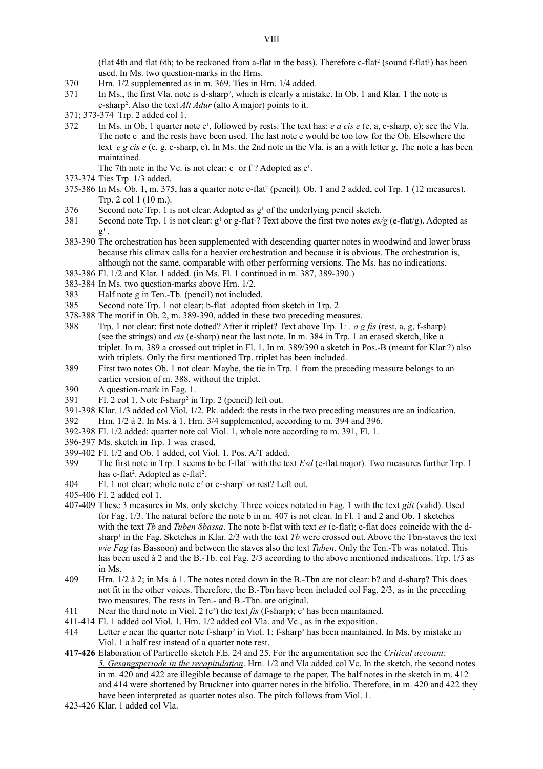(flat 4th and flat 6th; to be reckoned from a-flat in the bass). Therefore c-flat<sup>2</sup> (sound f-flat<sup>1</sup>) has been used. In Ms. two question-marks in the Hrns.

- 370 Hrn. 1/2 supplemented as in m. 369. Ties in Hrn. 1/4 added.
- 371 In Ms., the first Vla. note is d-sharp<sup>2</sup>, which is clearly a mistake. In Ob. 1 and Klar. 1 the note is c-sharp<sup>2</sup> . Also the text *Alt Adur* (alto A major) points to it.
- 371; 373-374 Trp. 2 added col 1.
- 372 In Ms. in Ob. 1 quarter note  $e^1$ , followed by rests. The text has: *e a cis e* (e, a, c-sharp, e); see the Vla. The note e<sup>1</sup> and the rests have been used. The last note e would be too low for the Ob. Elsewhere the text *e g cis e* (e, g, c-sharp, e). In Ms. the 2nd note in the Vla. is an a with letter *g*. The note a has been maintained.
	- The 7th note in the Vc. is not clear:  $e^1$  or  $f^1$ ? Adopted as  $e^1$ .
- 373-374 Ties Trp. 1/3 added.
- $375-386$  In Ms. Ob. 1, m.  $375$ , has a quarter note e-flat<sup>2</sup> (pencil). Ob. 1 and 2 added, col Trp. 1 (12 measures). Trp. 2 col 1 (10 m.).
- $376$  Second note Trp. 1 is not clear. Adopted as  $g<sup>1</sup>$  of the underlying pencil sketch.
- 381 Second note Trp. 1 is not clear:  $g<sup>1</sup>$  or g-flat<sup>1</sup>? Text above the first two notes  $\frac{es}{g}$  (e-flat/g). Adopted as  $g^1$  .
- 383-390 The orchestration has been supplemented with descending quarter notes in woodwind and lower brass because this climax calls for a heavier orchestration and because it is obvious. The orchestration is, although not the same, comparable with other performing versions. The Ms. has no indications.
- 383-386 Fl. 1/2 and Klar. 1 added. (in Ms. Fl. 1 continued in m. 387, 389-390.)
- 383-384 In Ms. two question-marks above Hrn. 1/2.
- 383 Half note g in Ten.-Tb. (pencil) not included.
- 385 Second note Trp. 1 not clear; b-flat<sup>1</sup> adopted from sketch in Trp. 2.
- 378-388 The motif in Ob. 2, m. 389-390, added in these two preceding measures.
- 388 Trp. 1 not clear: first note dotted? After it triplet? Text above Trp. 1*: , a g fis* (rest, a, g, f-sharp) (see the strings) and *eis* (e-sharp) near the last note. In m. 384 in Trp. 1 an erased sketch, like a triplet. In m. 389 a crossed out triplet in Fl. 1. In m. 389/390 a sketch in Pos.-B (meant for Klar.?) also with triplets. Only the first mentioned Trp. triplet has been included.
- 389 First two notes Ob. 1 not clear. Maybe, the tie in Trp. 1 from the preceding measure belongs to an earlier version of m. 388, without the triplet.
- 390 A question-mark in Fag. 1.
- 391 Fl. 2 col 1. Note f-sharp<sup>2</sup> in Trp. 2 (pencil) left out.
- 391-398 Klar. 1/3 added col Viol. 1/2. Pk. added: the rests in the two preceding measures are an indication.
- 392 Hrn. 1/2 à 2. In Ms. à 1. Hrn. 3/4 supplemented, according to m. 394 and 396.
- 392-398 Fl. 1/2 added: quarter note col Viol. 1, whole note according to m. 391, Fl. 1.
- 396-397 Ms. sketch in Trp. 1 was erased.
- 399-402 Fl. 1/2 and Ob. 1 added, col Viol. 1. Pos. A/T added.
- 399 The first note in Trp. 1 seems to be f-flat<sup>2</sup> with the text *Esd* (e-flat major). Two measures further Trp. 1 has e-flat<sup>2</sup>. Adopted as e-flat<sup>2</sup>.
- 404 Fl. 1 not clear: whole note  $c^2$  or c-sharp<sup>2</sup> or rest? Left out.
- 405-406 Fl. 2 added col 1.
- 407-409 These 3 measures in Ms. only sketchy. Three voices notated in Fag. 1 with the text *gilt* (valid). Used for Fag. 1/3. The natural before the note b in m. 407 is not clear. In Fl. 1 and 2 and Ob. 1 sketches with the text *Tb* and *Tuben 8bassa*. The note b-flat with text *es* (e-flat); e-flat does coincide with the dsharp<sup>1</sup> in the Fag. Sketches in Klar. 2/3 with the text *Tb* were crossed out. Above the Tbn-staves the text *wie Fag* (as Bassoon) and between the staves also the text *Tuben*. Only the Ten.-Tb was notated. This has been used à 2 and the B.-Tb. col Fag. 2/3 according to the above mentioned indications. Trp. 1/3 as in Ms.
- 409 Hrn. 1/2 à 2; in Ms. à 1. The notes noted down in the B.-Tbn are not clear: b? and d-sharp? This does not fit in the other voices. Therefore, the B.-Tbn have been included col Fag. 2/3, as in the preceding two measures. The rests in Ten.- and B.-Tbn. are original.
- 411 Near the third note in Viol. 2 ( $e^2$ ) the text *fis* (f-sharp);  $e^2$  has been maintained.
- 411-414 Fl. 1 added col Viol. 1. Hrn. 1/2 added col Vla. and Vc., as in the exposition.
- 414 Letter *e* near the quarter note f-sharp<sup>2</sup> in Viol. 1; f-sharp<sup>2</sup> has been maintained. In Ms. by mistake in Viol. 1 a half rest instead of a quarter note rest.
- **417-426** Elaboration of Particello sketch F.E. 24 and 25. For the argumentation see the *Critical account*: *5. Gesangsperiode in the recapitulation*. Hrn. 1/2 and Vla added col Vc. In the sketch, the second notes in m. 420 and 422 are illegible because of damage to the paper. The half notes in the sketch in m. 412 and 414 were shortened by Bruckner into quarter notes in the bifolio. Therefore, in m. 420 and 422 they have been interpreted as quarter notes also. The pitch follows from Viol. 1.
- 423-426 Klar. 1 added col Vla.